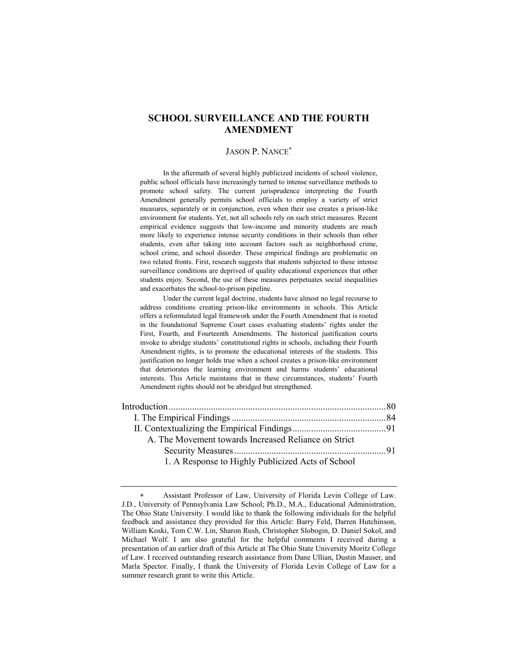# **SCHOOL SURVEILLANCE AND THE FOURTH AMENDMENT**

### JASON P. NANCE<sup>∗</sup>

 In the aftermath of several highly publicized incidents of school violence, public school officials have increasingly turned to intense surveillance methods to promote school safety. The current jurisprudence interpreting the Fourth Amendment generally permits school officials to employ a variety of strict measures, separately or in conjunction, even when their use creates a prison-like environment for students. Yet, not all schools rely on such strict measures. Recent empirical evidence suggests that low-income and minority students are much more likely to experience intense security conditions in their schools than other students, even after taking into account factors such as neighborhood crime, school crime, and school disorder. These empirical findings are problematic on two related fronts. First, research suggests that students subjected to these intense surveillance conditions are deprived of quality educational experiences that other students enjoy. Second, the use of these measures perpetuates social inequalities and exacerbates the school-to-prison pipeline.

 Under the current legal doctrine, students have almost no legal recourse to address conditions creating prison-like environments in schools. This Article offers a reformulated legal framework under the Fourth Amendment that is rooted in the foundational Supreme Court cases evaluating students' rights under the First, Fourth, and Fourteenth Amendments. The historical justification courts invoke to abridge students' constitutional rights in schools, including their Fourth Amendment rights, is to promote the educational interests of the students. This justification no longer holds true when a school creates a prison-like environment that deteriorates the learning environment and harms students' educational interests. This Article maintains that in these circumstances, students' Fourth Amendment rights should not be abridged but strengthened.

| A. The Movement towards Increased Reliance on Strict |  |
|------------------------------------------------------|--|
|                                                      |  |
| 1. A Response to Highly Publicized Acts of School    |  |

Assistant Professor of Law, University of Florida Levin College of Law. J.D., University of Pennsylvania Law School; Ph.D., M.A., Educational Administration, The Ohio State University. I would like to thank the following individuals for the helpful feedback and assistance they provided for this Article: Barry Feld, Darren Hutchinson, William Koski, Tom C.W. Lin, Sharon Rush, Christopher Slobogin, D. Daniel Sokol, and Michael Wolf. I am also grateful for the helpful comments I received during a presentation of an earlier draft of this Article at The Ohio State University Moritz College of Law. I received outstanding research assistance from Dane Ullian, Dustin Mauser, and Marla Spector. Finally, I thank the University of Florida Levin College of Law for a summer research grant to write this Article.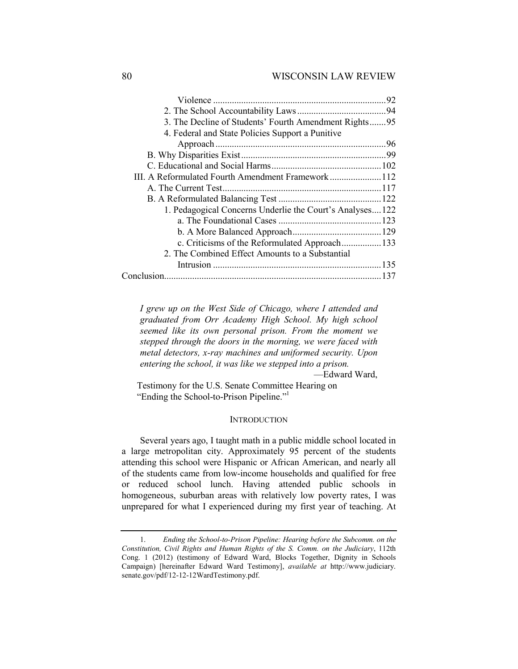# 80 WISCONSIN LAW REVIEW

| 3. The Decline of Students' Fourth Amendment Rights95    |  |
|----------------------------------------------------------|--|
|                                                          |  |
|                                                          |  |
| 4. Federal and State Policies Support a Punitive         |  |
|                                                          |  |
|                                                          |  |
|                                                          |  |
| III. A Reformulated Fourth Amendment Framework112        |  |
|                                                          |  |
|                                                          |  |
| 1. Pedagogical Concerns Underlie the Court's Analyses122 |  |
|                                                          |  |
|                                                          |  |
| c. Criticisms of the Reformulated Approach133            |  |
| 2. The Combined Effect Amounts to a Substantial          |  |
|                                                          |  |
|                                                          |  |

*I grew up on the West Side of Chicago, where I attended and graduated from Orr Academy High School. My high school seemed like its own personal prison. From the moment we stepped through the doors in the morning, we were faced with metal detectors, x-ray machines and uniformed security. Upon entering the school, it was like we stepped into a prison.*

—Edward Ward,

Testimony for the U.S. Senate Committee Hearing on "Ending the School-to-Prison Pipeline."1

### **INTRODUCTION**

Several years ago, I taught math in a public middle school located in a large metropolitan city. Approximately 95 percent of the students attending this school were Hispanic or African American, and nearly all of the students came from low-income households and qualified for free or reduced school lunch. Having attended public schools in homogeneous, suburban areas with relatively low poverty rates, I was unprepared for what I experienced during my first year of teaching. At

 <sup>1.</sup> *Ending the School-to-Prison Pipeline: Hearing before the Subcomm. on the Constitution, Civil Rights and Human Rights of the S. Comm. on the Judiciary*, 112th Cong. 1 (2012) (testimony of Edward Ward, Blocks Together, Dignity in Schools Campaign) [hereinafter Edward Ward Testimony], *available at* http://www.judiciary. senate.gov/pdf/12-12-12WardTestimony.pdf.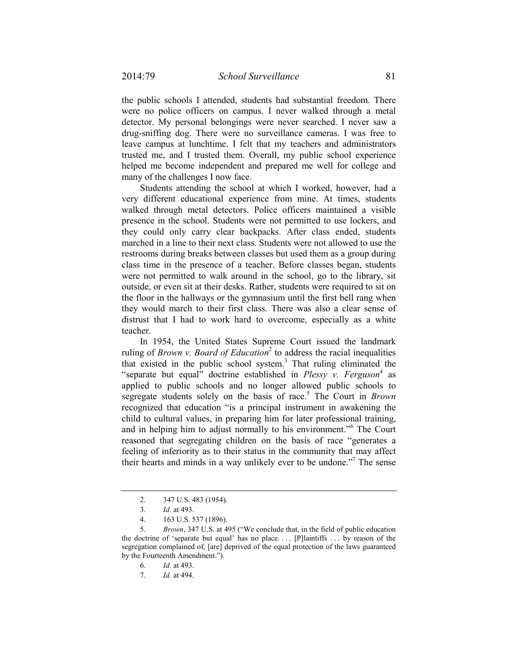the public schools I attended, students had substantial freedom. There were no police officers on campus. I never walked through a metal detector. My personal belongings were never searched. I never saw a drug-sniffing dog. There were no surveillance cameras. I was free to leave campus at lunchtime. I felt that my teachers and administrators trusted me, and I trusted them. Overall, my public school experience helped me become independent and prepared me well for college and many of the challenges I now face.

Students attending the school at which I worked, however, had a very different educational experience from mine. At times, students walked through metal detectors. Police officers maintained a visible presence in the school. Students were not permitted to use lockers, and they could only carry clear backpacks. After class ended, students marched in a line to their next class. Students were not allowed to use the restrooms during breaks between classes but used them as a group during class time in the presence of a teacher. Before classes began, students were not permitted to walk around in the school, go to the library, sit outside, or even sit at their desks. Rather, students were required to sit on the floor in the hallways or the gymnasium until the first bell rang when they would march to their first class. There was also a clear sense of distrust that I had to work hard to overcome, especially as a white teacher.

In 1954, the United States Supreme Court issued the landmark ruling of *Brown v. Board of Education*<sup>2</sup> to address the racial inequalities that existed in the public school system.<sup>3</sup> That ruling eliminated the "separate but equal" doctrine established in *Plessy v. Ferguson*<sup>4</sup> as applied to public schools and no longer allowed public schools to segregate students solely on the basis of race.<sup>5</sup> The Court in *Brown* recognized that education "is a principal instrument in awakening the child to cultural values, in preparing him for later professional training, and in helping him to adjust normally to his environment."<sup>6</sup> The Court reasoned that segregating children on the basis of race "generates a feeling of inferiority as to their status in the community that may affect their hearts and minds in a way unlikely ever to be undone."<sup>7</sup> The sense

 <sup>2. 347</sup> U.S. 483 (1954).

 <sup>3.</sup> *Id.* at 493.

 <sup>4. 163</sup> U.S. 537 (1896).

 <sup>5.</sup> *Brown*, 347 U.S. at 495 ("We conclude that, in the field of public education the doctrine of 'separate but equal' has no place. . . . [P]laintiffs . . . by reason of the segregation complained of, [are] deprived of the equal protection of the laws guaranteed by the Fourteenth Amendment.").

 <sup>6.</sup> *Id.* at 493.

 <sup>7.</sup> *Id.* at 494.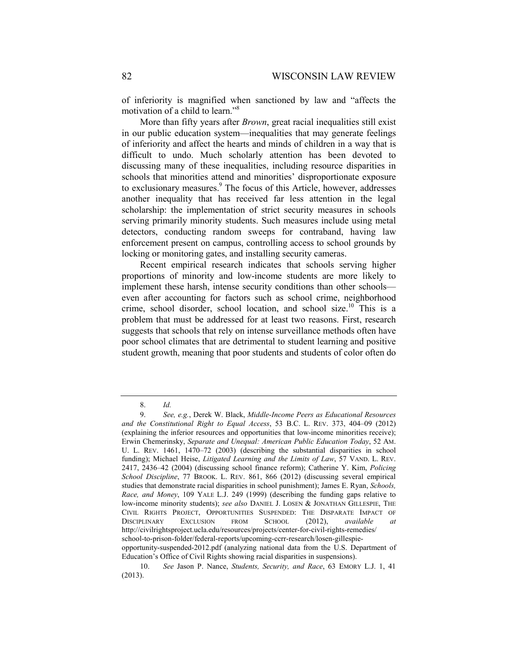of inferiority is magnified when sanctioned by law and "affects the motivation of a child to learn."8

More than fifty years after *Brown*, great racial inequalities still exist in our public education system—inequalities that may generate feelings of inferiority and affect the hearts and minds of children in a way that is difficult to undo. Much scholarly attention has been devoted to discussing many of these inequalities, including resource disparities in schools that minorities attend and minorities' disproportionate exposure to exclusionary measures.<sup>9</sup> The focus of this Article, however, addresses another inequality that has received far less attention in the legal scholarship: the implementation of strict security measures in schools serving primarily minority students. Such measures include using metal detectors, conducting random sweeps for contraband, having law enforcement present on campus, controlling access to school grounds by locking or monitoring gates, and installing security cameras.

Recent empirical research indicates that schools serving higher proportions of minority and low-income students are more likely to implement these harsh, intense security conditions than other schools even after accounting for factors such as school crime, neighborhood crime, school disorder, school location, and school size.<sup>10</sup> This is a problem that must be addressed for at least two reasons. First, research suggests that schools that rely on intense surveillance methods often have poor school climates that are detrimental to student learning and positive student growth, meaning that poor students and students of color often do

 <sup>8.</sup> *Id.*

 <sup>9.</sup> *See, e.g.*, Derek W. Black, *Middle-Income Peers as Educational Resources and the Constitutional Right to Equal Access*, 53 B.C. L. REV. 373, 404–09 (2012) (explaining the inferior resources and opportunities that low-income minorities receive); Erwin Chemerinsky, *Separate and Unequal: American Public Education Today*, 52 AM. U. L. REV. 1461, 1470–72 (2003) (describing the substantial disparities in school funding); Michael Heise, *Litigated Learning and the Limits of Law*, 57 VAND. L. REV. 2417, 2436–42 (2004) (discussing school finance reform); Catherine Y. Kim, *Policing School Discipline*, 77 BROOK. L. REV. 861, 866 (2012) (discussing several empirical studies that demonstrate racial disparities in school punishment); James E. Ryan, *Schools, Race, and Money*, 109 YALE L.J. 249 (1999) (describing the funding gaps relative to low-income minority students); *see also* DANIEL J. LOSEN & JONATHAN GILLESPIE, THE CIVIL RIGHTS PROJECT, OPPORTUNITIES SUSPENDED: THE DISPARATE IMPACT OF DISCIPLINARY EXCLUSION FROM SCHOOL (2012), *available at* http://civilrightsproject.ucla.edu/resources/projects/center-for-civil-rights-remedies/ school-to-prison-folder/federal-reports/upcoming-ccrr-research/losen-gillespieopportunity-suspended-2012.pdf (analyzing national data from the U.S. Department of

Education's Office of Civil Rights showing racial disparities in suspensions).

 <sup>10.</sup> *See* Jason P. Nance, *Students, Security, and Race*, 63 EMORY L.J. 1, 41 (2013).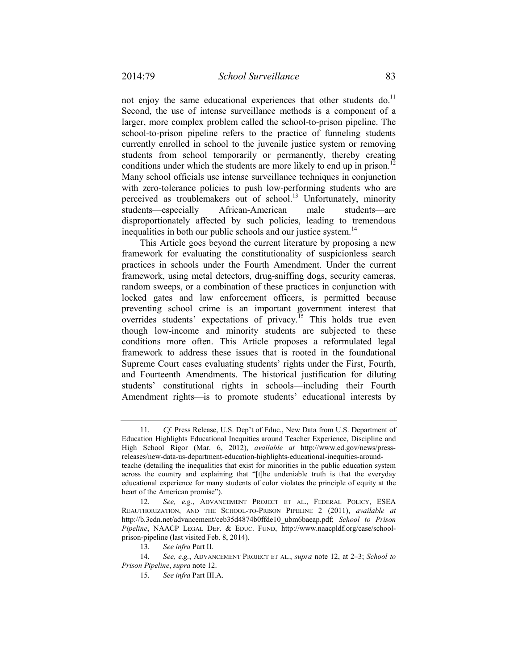not enjoy the same educational experiences that other students do.<sup>11</sup> Second, the use of intense surveillance methods is a component of a larger, more complex problem called the school-to-prison pipeline. The school-to-prison pipeline refers to the practice of funneling students currently enrolled in school to the juvenile justice system or removing students from school temporarily or permanently, thereby creating conditions under which the students are more likely to end up in prison.<sup>12</sup> Many school officials use intense surveillance techniques in conjunction with zero-tolerance policies to push low-performing students who are perceived as troublemakers out of school.<sup>13</sup> Unfortunately, minority students—especially African-American male students—are disproportionately affected by such policies, leading to tremendous inequalities in both our public schools and our justice system.<sup>14</sup>

This Article goes beyond the current literature by proposing a new framework for evaluating the constitutionality of suspicionless search practices in schools under the Fourth Amendment. Under the current framework, using metal detectors, drug-sniffing dogs, security cameras, random sweeps, or a combination of these practices in conjunction with locked gates and law enforcement officers, is permitted because preventing school crime is an important government interest that overrides students' expectations of privacy.<sup> $15$ </sup> This holds true even though low-income and minority students are subjected to these conditions more often. This Article proposes a reformulated legal framework to address these issues that is rooted in the foundational Supreme Court cases evaluating students' rights under the First, Fourth, and Fourteenth Amendments. The historical justification for diluting students' constitutional rights in schools—including their Fourth Amendment rights—is to promote students' educational interests by

 <sup>11.</sup> *Cf.* Press Release, U.S. Dep't of Educ., New Data from U.S. Department of Education Highlights Educational Inequities around Teacher Experience, Discipline and High School Rigor (Mar. 6, 2012), *available at* http://www.ed.gov/news/pressreleases/new-data-us-department-education-highlights-educational-inequities-aroundteache (detailing the inequalities that exist for minorities in the public education system

across the country and explaining that "[t]he undeniable truth is that the everyday educational experience for many students of color violates the principle of equity at the heart of the American promise").

 <sup>12.</sup> *See, e.g.*, ADVANCEMENT PROJECT ET AL., FEDERAL POLICY, ESEA REAUTHORIZATION, AND THE SCHOOL-TO-PRISON PIPELINE 2 (2011), *available at* http://b.3cdn.net/advancement/ceb35d4874b0ffde10\_ubm6baeap.pdf; *School to Prison Pipeline*, NAACP LEGAL DEF. & EDUC. FUND, http://www.naacpldf.org/case/schoolprison-pipeline (last visited Feb. 8, 2014).

 <sup>13.</sup> *See infra* Part II.

 <sup>14.</sup> *See, e.g.*, ADVANCEMENT PROJECT ET AL., *supra* note 12, at 2–3; *School to Prison Pipeline*, *supra* note 12.

 <sup>15.</sup> *See infra* Part III.A.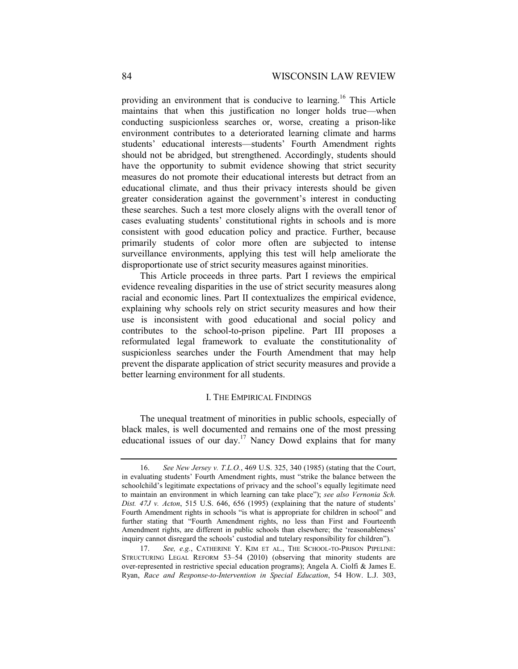providing an environment that is conducive to learning.<sup>16</sup> This Article maintains that when this justification no longer holds true—when conducting suspicionless searches or, worse, creating a prison-like environment contributes to a deteriorated learning climate and harms students' educational interests—students' Fourth Amendment rights should not be abridged, but strengthened. Accordingly, students should have the opportunity to submit evidence showing that strict security measures do not promote their educational interests but detract from an educational climate, and thus their privacy interests should be given greater consideration against the government's interest in conducting these searches. Such a test more closely aligns with the overall tenor of cases evaluating students' constitutional rights in schools and is more consistent with good education policy and practice. Further, because primarily students of color more often are subjected to intense surveillance environments, applying this test will help ameliorate the disproportionate use of strict security measures against minorities.

This Article proceeds in three parts. Part I reviews the empirical evidence revealing disparities in the use of strict security measures along racial and economic lines. Part II contextualizes the empirical evidence, explaining why schools rely on strict security measures and how their use is inconsistent with good educational and social policy and contributes to the school-to-prison pipeline. Part III proposes a reformulated legal framework to evaluate the constitutionality of suspicionless searches under the Fourth Amendment that may help prevent the disparate application of strict security measures and provide a better learning environment for all students.

### I. THE EMPIRICAL FINDINGS

The unequal treatment of minorities in public schools, especially of black males, is well documented and remains one of the most pressing educational issues of our day.17 Nancy Dowd explains that for many

 <sup>16.</sup> *See New Jersey v. T.L.O.*, 469 U.S. 325, 340 (1985) (stating that the Court, in evaluating students' Fourth Amendment rights, must "strike the balance between the schoolchild's legitimate expectations of privacy and the school's equally legitimate need to maintain an environment in which learning can take place"); *see also Vernonia Sch. Dist. 47J v. Acton*, 515 U.S. 646, 656 (1995) (explaining that the nature of students' Fourth Amendment rights in schools "is what is appropriate for children in school" and further stating that "Fourth Amendment rights, no less than First and Fourteenth Amendment rights, are different in public schools than elsewhere; the 'reasonableness' inquiry cannot disregard the schools' custodial and tutelary responsibility for children").

 <sup>17.</sup> *See, e.g.*, CATHERINE Y. KIM ET AL., THE SCHOOL-TO-PRISON PIPELINE: STRUCTURING LEGAL REFORM 53–54 (2010) (observing that minority students are over-represented in restrictive special education programs); Angela A. Ciolfi & James E. Ryan, *Race and Response-to-Intervention in Special Education*, 54 HOW. L.J. 303,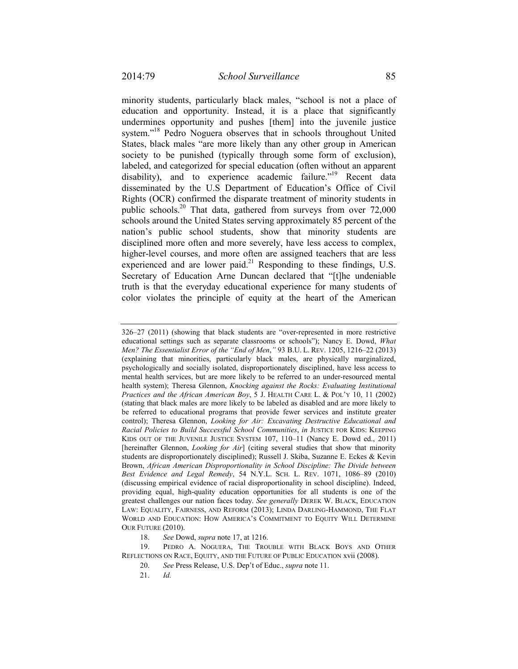minority students, particularly black males, "school is not a place of education and opportunity. Instead, it is a place that significantly undermines opportunity and pushes [them] into the juvenile justice system."<sup>18</sup> Pedro Noguera observes that in schools throughout United States, black males "are more likely than any other group in American society to be punished (typically through some form of exclusion), labeled, and categorized for special education (often without an apparent disability), and to experience academic failure."<sup>19</sup> Recent data disseminated by the U.S Department of Education's Office of Civil Rights (OCR) confirmed the disparate treatment of minority students in public schools.20 That data, gathered from surveys from over 72,000 schools around the United States serving approximately 85 percent of the nation's public school students, show that minority students are disciplined more often and more severely, have less access to complex, higher-level courses, and more often are assigned teachers that are less experienced and are lower paid. $^{21}$  Responding to these findings, U.S. Secretary of Education Arne Duncan declared that "[t]he undeniable truth is that the everyday educational experience for many students of color violates the principle of equity at the heart of the American

18. *See* Dowd, *supra* note 17, at 1216.

<sup>326–27 (2011) (</sup>showing that black students are "over-represented in more restrictive educational settings such as separate classrooms or schools"); Nancy E. Dowd, *What Men? The Essentialist Error of the "End of Men*,*"* 93 B.U. L. REV. 1205, 1216–22 (2013) (explaining that minorities, particularly black males, are physically marginalized, psychologically and socially isolated, disproportionately disciplined, have less access to mental health services, but are more likely to be referred to an under-resourced mental health system); Theresa Glennon, *Knocking against the Rocks: Evaluating Institutional Practices and the African American Boy*, 5 J. HEALTH CARE L. & POL'Y 10, 11 (2002) (stating that black males are more likely to be labeled as disabled and are more likely to be referred to educational programs that provide fewer services and institute greater control); Theresa Glennon, *Looking for Air: Excavating Destructive Educational and Racial Policies to Build Successful School Communities*, *in* JUSTICE FOR KIDS: KEEPING KIDS OUT OF THE JUVENILE JUSTICE SYSTEM 107, 110–11 (Nancy E. Dowd ed., 2011) [hereinafter Glennon, *Looking for Air*] (citing several studies that show that minority students are disproportionately disciplined); Russell J. Skiba, Suzanne E. Eckes & Kevin Brown, *African American Disproportionality in School Discipline: The Divide between Best Evidence and Legal Remedy*, 54 N.Y.L. SCH. L. REV. 1071, 1086–89 (2010) (discussing empirical evidence of racial disproportionality in school discipline). Indeed, providing equal, high-quality education opportunities for all students is one of the greatest challenges our nation faces today. *See generally* DEREK W. BLACK, EDUCATION LAW: EQUALITY, FAIRNESS, AND REFORM (2013); LINDA DARLING-HAMMOND, THE FLAT WORLD AND EDUCATION: HOW AMERICA'S COMMITMENT TO EQUITY WILL DETERMINE OUR FUTURE (2010).

 <sup>19.</sup> PEDRO A. NOGUERA, THE TROUBLE WITH BLACK BOYS AND OTHER REFLECTIONS ON RACE, EQUITY, AND THE FUTURE OF PUBLIC EDUCATION xvii (2008).

 <sup>20.</sup> *See* Press Release, U.S. Dep't of Educ., *supra* note 11.

 <sup>21.</sup> *Id.*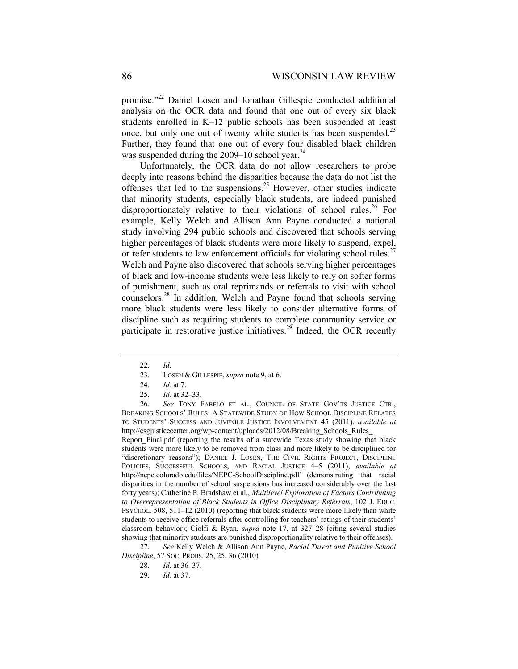promise."22 Daniel Losen and Jonathan Gillespie conducted additional analysis on the OCR data and found that one out of every six black students enrolled in K–12 public schools has been suspended at least once, but only one out of twenty white students has been suspended.<sup>23</sup> Further, they found that one out of every four disabled black children was suspended during the  $2009-10$  school year.<sup>24</sup>

Unfortunately, the OCR data do not allow researchers to probe deeply into reasons behind the disparities because the data do not list the offenses that led to the suspensions.<sup>25</sup> However, other studies indicate that minority students, especially black students, are indeed punished disproportionately relative to their violations of school rules.<sup>26</sup> For example, Kelly Welch and Allison Ann Payne conducted a national study involving 294 public schools and discovered that schools serving higher percentages of black students were more likely to suspend, expel, or refer students to law enforcement officials for violating school rules.<sup>27</sup> Welch and Payne also discovered that schools serving higher percentages of black and low-income students were less likely to rely on softer forms of punishment, such as oral reprimands or referrals to visit with school counselors.28 In addition, Welch and Payne found that schools serving more black students were less likely to consider alternative forms of discipline such as requiring students to complete community service or participate in restorative justice initiatives.<sup>29</sup> Indeed, the OCR recently

 26. *See* TONY FABELO ET AL., COUNCIL OF STATE GOV'TS JUSTICE CTR., BREAKING SCHOOLS' RULES: A STATEWIDE STUDY OF HOW SCHOOL DISCIPLINE RELATES TO STUDENTS' SUCCESS AND JUVENILE JUSTICE INVOLVEMENT 45 (2011), *available at* http://csgjusticecenter.org/wp-content/uploads/2012/08/Breaking\_Schools\_Rules

Report Final.pdf (reporting the results of a statewide Texas study showing that black students were more likely to be removed from class and more likely to be disciplined for "discretionary reasons"); DANIEL J. LOSEN, THE CIVIL RIGHTS PROJECT, DISCIPLINE POLICIES, SUCCESSFUL SCHOOLS, AND RACIAL JUSTICE 4–5 (2011), *available at*  http://nepc.colorado.edu/files/NEPC-SchoolDiscipline.pdf (demonstrating that racial disparities in the number of school suspensions has increased considerably over the last forty years); Catherine P. Bradshaw et al., *Multilevel Exploration of Factors Contributing to Overrepresentation of Black Students in Office Disciplinary Referrals*, 102 J. EDUC. PSYCHOL. 508, 511–12 (2010) (reporting that black students were more likely than white students to receive office referrals after controlling for teachers' ratings of their students' classroom behavior); Ciolfi & Ryan, *supra* note 17, at 327–28 (citing several studies showing that minority students are punished disproportionality relative to their offenses).

 27. *See* Kelly Welch & Allison Ann Payne, *Racial Threat and Punitive School Discipline*, 57 SOC. PROBS. 25, 25, 36 (2010)

 <sup>22.</sup> *Id.*

 <sup>23.</sup> LOSEN & GILLESPIE, *supra* note 9, at 6.

 <sup>24.</sup> *Id.* at 7.

 <sup>25.</sup> *Id.* at 32–33.

 <sup>28.</sup> *Id.* at 36–37.

 <sup>29.</sup> *Id.* at 37.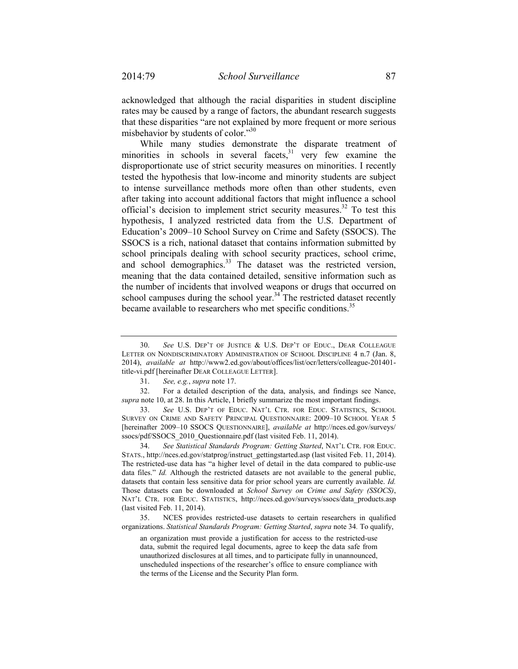acknowledged that although the racial disparities in student discipline rates may be caused by a range of factors, the abundant research suggests that these disparities "are not explained by more frequent or more serious misbehavior by students of color."<sup>30</sup>

While many studies demonstrate the disparate treatment of minorities in schools in several facets, $31$  very few examine the disproportionate use of strict security measures on minorities. I recently tested the hypothesis that low-income and minority students are subject to intense surveillance methods more often than other students, even after taking into account additional factors that might influence a school official's decision to implement strict security measures.<sup>32</sup> To test this hypothesis, I analyzed restricted data from the U.S. Department of Education's 2009–10 School Survey on Crime and Safety (SSOCS). The SSOCS is a rich, national dataset that contains information submitted by school principals dealing with school security practices, school crime, and school demographics.<sup>33</sup> The dataset was the restricted version, meaning that the data contained detailed, sensitive information such as the number of incidents that involved weapons or drugs that occurred on school campuses during the school year.<sup>34</sup> The restricted dataset recently became available to researchers who met specific conditions.<sup>35</sup>

 <sup>30.</sup> *See* U.S. DEP'T OF JUSTICE & U.S. DEP'T OF EDUC., DEAR COLLEAGUE LETTER ON NONDISCRIMINATORY ADMINISTRATION OF SCHOOL DISCIPLINE 4 n.7 (Jan. 8, 2014), *available at* http://www2.ed.gov/about/offices/list/ocr/letters/colleague-201401 title-vi.pdf [hereinafter DEAR COLLEAGUE LETTER].

 <sup>31.</sup> *See, e.g.*, *supra* note 17.

 <sup>32.</sup> For a detailed description of the data, analysis, and findings see Nance, *supra* note 10, at 28. In this Article, I briefly summarize the most important findings.

 <sup>33.</sup> *See* U.S. DEP'T OF EDUC. NAT'L CTR. FOR EDUC. STATISTICS, SCHOOL SURVEY ON CRIME AND SAFETY PRINCIPAL QUESTIONNAIRE: 2009–10 SCHOOL YEAR 5 [hereinafter 2009–10 SSOCS QUESTIONNAIRE], *available at* http://nces.ed.gov/surveys/ ssocs/pdf/SSOCS\_2010\_Questionnaire.pdf (last visited Feb. 11, 2014).

 <sup>34.</sup> *See Statistical Standards Program: Getting Started*, NAT'L CTR. FOR EDUC. STATS., http://nces.ed.gov/statprog/instruct\_gettingstarted.asp (last visited Feb. 11, 2014). The restricted-use data has "a higher level of detail in the data compared to public-use data files." *Id.* Although the restricted datasets are not available to the general public, datasets that contain less sensitive data for prior school years are currently available. *Id.* Those datasets can be downloaded at *School Survey on Crime and Safety (SSOCS)*, NAT'L CTR. FOR EDUC. STATISTICS, http://nces.ed.gov/surveys/ssocs/data\_products.asp (last visited Feb. 11, 2014).

 <sup>35.</sup> NCES provides restricted-use datasets to certain researchers in qualified organizations. *Statistical Standards Program: Getting Started*, *supra* note 34*.* To qualify,

an organization must provide a justification for access to the restricted-use data, submit the required legal documents, agree to keep the data safe from unauthorized disclosures at all times, and to participate fully in unannounced, unscheduled inspections of the researcher's office to ensure compliance with the terms of the License and the Security Plan form.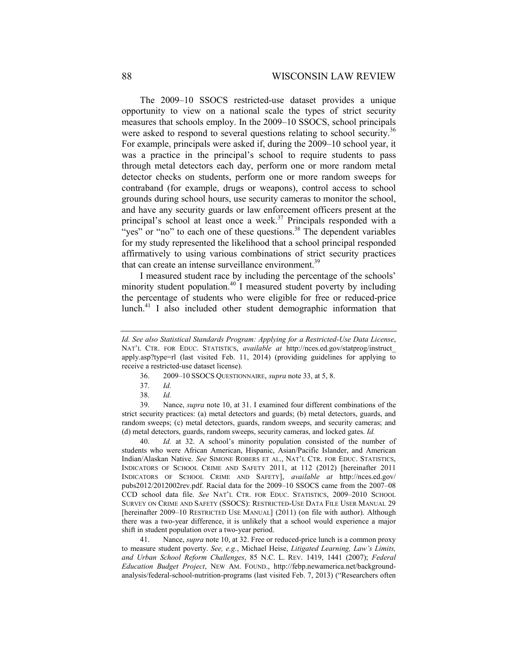The 2009–10 SSOCS restricted-use dataset provides a unique opportunity to view on a national scale the types of strict security measures that schools employ. In the 2009–10 SSOCS, school principals were asked to respond to several questions relating to school security.<sup>36</sup> For example, principals were asked if, during the 2009–10 school year, it was a practice in the principal's school to require students to pass through metal detectors each day, perform one or more random metal detector checks on students, perform one or more random sweeps for contraband (for example, drugs or weapons), control access to school grounds during school hours, use security cameras to monitor the school, and have any security guards or law enforcement officers present at the principal's school at least once a week.<sup>37</sup> Principals responded with a "yes" or "no" to each one of these questions. $38$  The dependent variables for my study represented the likelihood that a school principal responded affirmatively to using various combinations of strict security practices that can create an intense surveillance environment.<sup>39</sup>

I measured student race by including the percentage of the schools' minority student population. $40$  I measured student poverty by including the percentage of students who were eligible for free or reduced-price lunch.<sup>41</sup> I also included other student demographic information that

- 36. 2009–10 SSOCS QUESTIONNAIRE, *supra* note 33, at 5, 8.
- 37. *Id.*
- 38. *Id.*

 39. Nance, *supra* note 10, at 31. I examined four different combinations of the strict security practices: (a) metal detectors and guards; (b) metal detectors, guards, and random sweeps; (c) metal detectors, guards, random sweeps, and security cameras; and (d) metal detectors, guards, random sweeps, security cameras, and locked gates. *Id.*

40. *Id.* at 32. A school's minority population consisted of the number of students who were African American, Hispanic, Asian/Pacific Islander, and American Indian/Alaskan Native. *See* SIMONE ROBERS ET AL., NAT'L CTR. FOR EDUC. STATISTICS, INDICATORS OF SCHOOL CRIME AND SAFETY 2011, at 112 (2012) [hereinafter 2011 INDICATORS OF SCHOOL CRIME AND SAFETY], *available at* http://nces.ed.gov/ pubs2012/2012002rev.pdf. Racial data for the 2009–10 SSOCS came from the 2007–08 CCD school data file. *See* NAT'L CTR. FOR EDUC. STATISTICS, 2009–2010 SCHOOL SURVEY ON CRIME AND SAFETY (SSOCS): RESTRICTED-USE DATA FILE USER MANUAL 29 [hereinafter 2009–10 RESTRICTED USE MANUAL] (2011) (on file with author). Although there was a two-year difference, it is unlikely that a school would experience a major shift in student population over a two-year period.

41. Nance, *supra* note 10, at 32. Free or reduced-price lunch is a common proxy to measure student poverty. *See, e.g.*, Michael Heise, *Litigated Learning, Law's Limits, and Urban School Reform Challenges*, 85 N.C. L. REV. 1419, 1441 (2007); *Federal Education Budget Project*, NEW AM. FOUND., http://febp.newamerica.net/backgroundanalysis/federal-school-nutrition-programs (last visited Feb. 7, 2013) ("Researchers often

*Id. See also Statistical Standards Program: Applying for a Restricted-Use Data License*, NAT'L CTR. FOR EDUC. STATISTICS, *available at* http://nces.ed.gov/statprog/instruct\_ apply.asp?type=rl (last visited Feb. 11, 2014) (providing guidelines for applying to receive a restricted-use dataset license).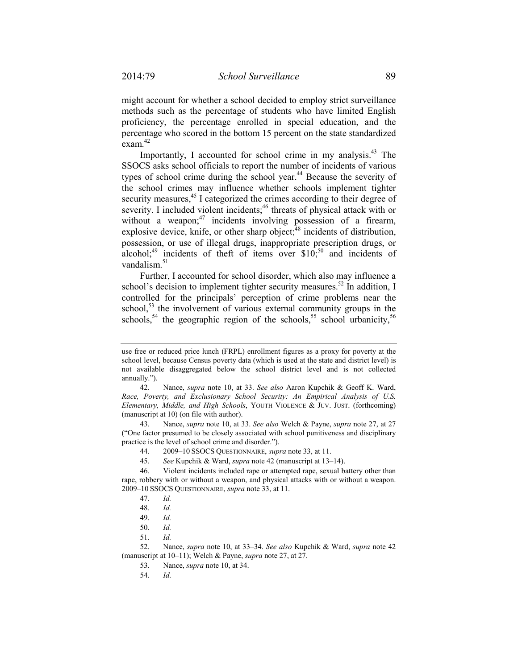might account for whether a school decided to employ strict surveillance methods such as the percentage of students who have limited English proficiency, the percentage enrolled in special education, and the percentage who scored in the bottom 15 percent on the state standardized exam.<sup>42</sup>

Importantly, I accounted for school crime in my analysis.<sup>43</sup> The SSOCS asks school officials to report the number of incidents of various types of school crime during the school year.<sup>44</sup> Because the severity of the school crimes may influence whether schools implement tighter security measures,<sup>45</sup> I categorized the crimes according to their degree of severity. I included violent incidents;<sup>46</sup> threats of physical attack with or without a weapon; $47$  incidents involving possession of a firearm, explosive device, knife, or other sharp object;<sup>48</sup> incidents of distribution, possession, or use of illegal drugs, inappropriate prescription drugs, or alcohol;<sup>49</sup> incidents of theft of items over  $$10$ ;<sup>50</sup> and incidents of vandalism. $51$ 

Further, I accounted for school disorder, which also may influence a school's decision to implement tighter security measures.<sup>52</sup> In addition, I controlled for the principals' perception of crime problems near the school,<sup>53</sup> the involvement of various external community groups in the schools,<sup>54</sup> the geographic region of the schools,<sup>55</sup> school urbanicity,<sup>56</sup>

use free or reduced price lunch (FRPL) enrollment figures as a proxy for poverty at the school level, because Census poverty data (which is used at the state and district level) is not available disaggregated below the school district level and is not collected annually.").

 <sup>42.</sup> Nance, *supra* note 10, at 33. *See also* Aaron Kupchik & Geoff K. Ward, *Race, Poverty, and Exclusionary School Security: An Empirical Analysis of U.S. Elementary, Middle, and High Schools*, YOUTH VIOLENCE & JUV. JUST. (forthcoming) (manuscript at 10) (on file with author).

 <sup>43.</sup> Nance, *supra* note 10, at 33. *See also* Welch & Payne, *supra* note 27, at 27 ("One factor presumed to be closely associated with school punitiveness and disciplinary practice is the level of school crime and disorder.").

 <sup>44. 2009–10</sup> SSOCS QUESTIONNAIRE, *supra* note 33, at 11.

 <sup>45.</sup> *See* Kupchik & Ward, *supra* note 42 (manuscript at 13–14).

 <sup>46.</sup> Violent incidents included rape or attempted rape, sexual battery other than rape, robbery with or without a weapon, and physical attacks with or without a weapon. 2009–10 SSOCS QUESTIONNAIRE, *supra* note 33, at 11.

 <sup>47.</sup> *Id.* 

 <sup>48.</sup> *Id.* 

 <sup>49.</sup> *Id.* 

 <sup>50.</sup> *Id.* 

 <sup>51.</sup> *Id.* 

 <sup>52.</sup> Nance, *supra* note 10, at 33–34. *See also* Kupchik & Ward, *supra* note 42 (manuscript at 10–11); Welch & Payne, *supra* note 27, at 27.

 <sup>53.</sup> Nance, *supra* note 10, at 34.

 <sup>54.</sup> *Id.*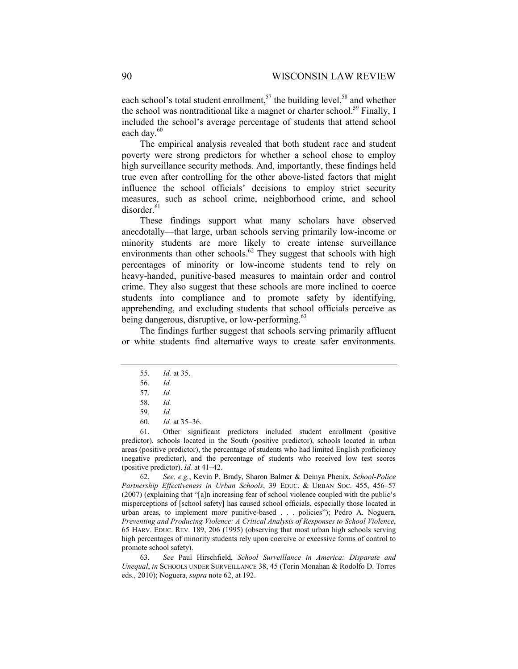each school's total student enrollment,<sup>57</sup> the building level,<sup>58</sup> and whether the school was nontraditional like a magnet or charter school.<sup>59</sup> Finally, I included the school's average percentage of students that attend school each day.<sup>60</sup>

The empirical analysis revealed that both student race and student poverty were strong predictors for whether a school chose to employ high surveillance security methods. And, importantly, these findings held true even after controlling for the other above-listed factors that might influence the school officials' decisions to employ strict security measures, such as school crime, neighborhood crime, and school disorder.<sup>61</sup>

These findings support what many scholars have observed anecdotally—that large, urban schools serving primarily low-income or minority students are more likely to create intense surveillance environments than other schools.<sup>62</sup> They suggest that schools with high percentages of minority or low-income students tend to rely on heavy-handed, punitive-based measures to maintain order and control crime. They also suggest that these schools are more inclined to coerce students into compliance and to promote safety by identifying, apprehending, and excluding students that school officials perceive as being dangerous, disruptive, or low-performing.<sup>63</sup>

The findings further suggest that schools serving primarily affluent or white students find alternative ways to create safer environments.

 61. Other significant predictors included student enrollment (positive predictor), schools located in the South (positive predictor), schools located in urban areas (positive predictor), the percentage of students who had limited English proficiency (negative predictor), and the percentage of students who received low test scores (positive predictor). *Id.* at 41–42.

 62. *See, e.g.*, Kevin P. Brady, Sharon Balmer & Deinya Phenix, *School-Police Partnership Effectiveness in Urban Schools*, 39 EDUC. & URBAN SOC. 455, 456–57 (2007) (explaining that "[a]n increasing fear of school violence coupled with the public's misperceptions of [school safety] has caused school officials, especially those located in urban areas, to implement more punitive-based . . . policies"); Pedro A. Noguera, *Preventing and Producing Violence: A Critical Analysis of Responses to School Violence*, 65 HARV. EDUC. REV. 189, 206 (1995) (observing that most urban high schools serving high percentages of minority students rely upon coercive or excessive forms of control to promote school safety).

 63. *See* Paul Hirschfield, *School Surveillance in America: Disparate and Unequal*, *in* SCHOOLS UNDER SURVEILLANCE 38, 45 (Torin Monahan & Rodolfo D. Torres eds., 2010); Noguera, *supra* note 62, at 192.

 <sup>55.</sup> *Id.* at 35.

 <sup>56.</sup> *Id.*

 <sup>57.</sup> *Id.*

 <sup>58.</sup> *Id.*

 <sup>59.</sup> *Id.*

 <sup>60.</sup> *Id.* at 35–36.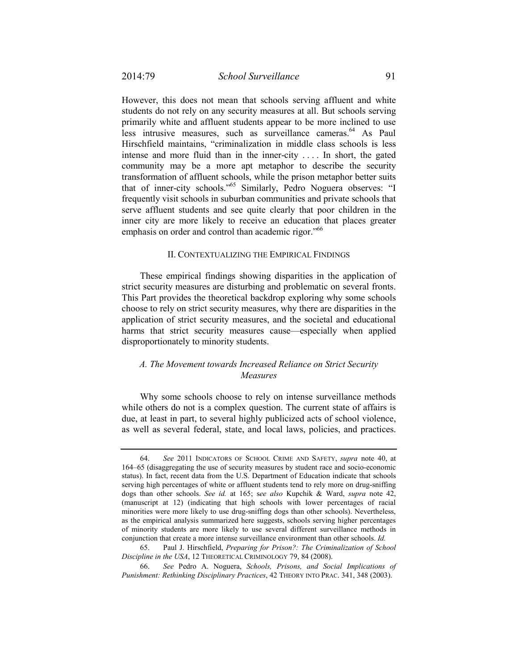However, this does not mean that schools serving affluent and white students do not rely on any security measures at all. But schools serving primarily white and affluent students appear to be more inclined to use less intrusive measures, such as surveillance cameras.<sup>64</sup> As Paul Hirschfield maintains, "criminalization in middle class schools is less intense and more fluid than in the inner-city . . . . In short, the gated community may be a more apt metaphor to describe the security transformation of affluent schools, while the prison metaphor better suits that of inner-city schools."65 Similarly, Pedro Noguera observes: "I frequently visit schools in suburban communities and private schools that serve affluent students and see quite clearly that poor children in the inner city are more likely to receive an education that places greater emphasis on order and control than academic rigor.<sup>"66</sup>

### II. CONTEXTUALIZING THE EMPIRICAL FINDINGS

These empirical findings showing disparities in the application of strict security measures are disturbing and problematic on several fronts. This Part provides the theoretical backdrop exploring why some schools choose to rely on strict security measures, why there are disparities in the application of strict security measures, and the societal and educational harms that strict security measures cause—especially when applied disproportionately to minority students.

# *A. The Movement towards Increased Reliance on Strict Security Measures*

Why some schools choose to rely on intense surveillance methods while others do not is a complex question. The current state of affairs is due, at least in part, to several highly publicized acts of school violence, as well as several federal, state, and local laws, policies, and practices.

 <sup>64.</sup> *See* 2011 INDICATORS OF SCHOOL CRIME AND SAFETY, *supra* note 40, at 164–65 (disaggregating the use of security measures by student race and socio-economic status). In fact, recent data from the U.S. Department of Education indicate that schools serving high percentages of white or affluent students tend to rely more on drug-sniffing dogs than other schools. *See id.* at 165; s*ee also* Kupchik & Ward, *supra* note 42, (manuscript at 12) (indicating that high schools with lower percentages of racial minorities were more likely to use drug-sniffing dogs than other schools). Nevertheless, as the empirical analysis summarized here suggests, schools serving higher percentages of minority students are more likely to use several different surveillance methods in conjunction that create a more intense surveillance environment than other schools. *Id.*

 <sup>65.</sup> Paul J. Hirschfield, *Preparing for Prison?: The Criminalization of School Discipline in the USA*, 12 THEORETICAL CRIMINOLOGY 79, 84 (2008).

 <sup>66.</sup> *See* Pedro A. Noguera, *Schools, Prisons, and Social Implications of Punishment: Rethinking Disciplinary Practices*, 42 THEORY INTO PRAC. 341, 348 (2003).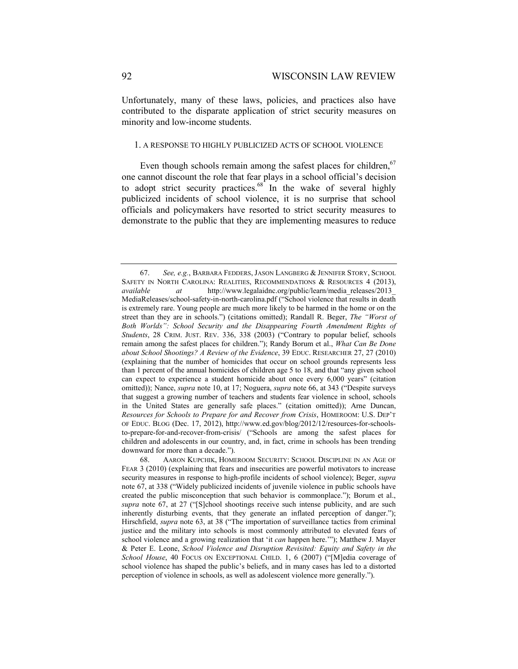Unfortunately, many of these laws, policies, and practices also have contributed to the disparate application of strict security measures on minority and low-income students.

#### 1. A RESPONSE TO HIGHLY PUBLICIZED ACTS OF SCHOOL VIOLENCE

Even though schools remain among the safest places for children.<sup>67</sup> one cannot discount the role that fear plays in a school official's decision to adopt strict security practices. $68^{\circ}$  In the wake of several highly publicized incidents of school violence, it is no surprise that school officials and policymakers have resorted to strict security measures to demonstrate to the public that they are implementing measures to reduce

 <sup>67.</sup> *See, e.g.*, BARBARA FEDDERS, JASON LANGBERG & JENNIFER STORY, SCHOOL SAFETY IN NORTH CAROLINA: REALITIES, RECOMMENDATIONS & RESOURCES 4 (2013), *available at* http://www.legalaidnc.org/public/learn/media\_releases/2013\_ MediaReleases/school-safety-in-north-carolina.pdf ("School violence that results in death is extremely rare. Young people are much more likely to be harmed in the home or on the street than they are in schools.") (citations omitted); Randall R. Beger, *The "Worst of Both Worlds": School Security and the Disappearing Fourth Amendment Rights of Students*, 28 CRIM. JUST. REV. 336, 338 (2003) ("Contrary to popular belief, schools remain among the safest places for children."); Randy Borum et al., *What Can Be Done about School Shootings? A Review of the Evidence*, 39 EDUC. RESEARCHER 27, 27 (2010) (explaining that the number of homicides that occur on school grounds represents less than 1 percent of the annual homicides of children age 5 to 18, and that "any given school can expect to experience a student homicide about once every 6,000 years" (citation omitted)); Nance, *supra* note 10, at 17; Noguera, *supra* note 66, at 343 ("Despite surveys that suggest a growing number of teachers and students fear violence in school, schools in the United States are generally safe places." (citation omitted)); Arne Duncan, *Resources for Schools to Prepare for and Recover from Crisis*, HOMEROOM: U.S. DEP'T OF EDUC. BLOG (Dec. 17, 2012), http://www.ed.gov/blog/2012/12/resources-for-schoolsto-prepare-for-and-recover-from-crisis/ ("Schools are among the safest places for children and adolescents in our country, and, in fact, crime in schools has been trending downward for more than a decade.").

 <sup>68.</sup> AARON KUPCHIK, HOMEROOM SECURITY: SCHOOL DISCIPLINE IN AN AGE OF FEAR 3 (2010) (explaining that fears and insecurities are powerful motivators to increase security measures in response to high-profile incidents of school violence); Beger, *supra*  note 67, at 338 ("Widely publicized incidents of juvenile violence in public schools have created the public misconception that such behavior is commonplace."); Borum et al., *supra* note 67, at 27 ("[S]chool shootings receive such intense publicity, and are such inherently disturbing events, that they generate an inflated perception of danger."); Hirschfield, *supra* note 63, at 38 ("The importation of surveillance tactics from criminal justice and the military into schools is most commonly attributed to elevated fears of school violence and a growing realization that 'it *can* happen here.'"); Matthew J. Mayer & Peter E. Leone, *School Violence and Disruption Revisited: Equity and Safety in the School House*, 40 FOCUS ON EXCEPTIONAL CHILD. 1, 6 (2007) ("[M]edia coverage of school violence has shaped the public's beliefs, and in many cases has led to a distorted perception of violence in schools, as well as adolescent violence more generally.").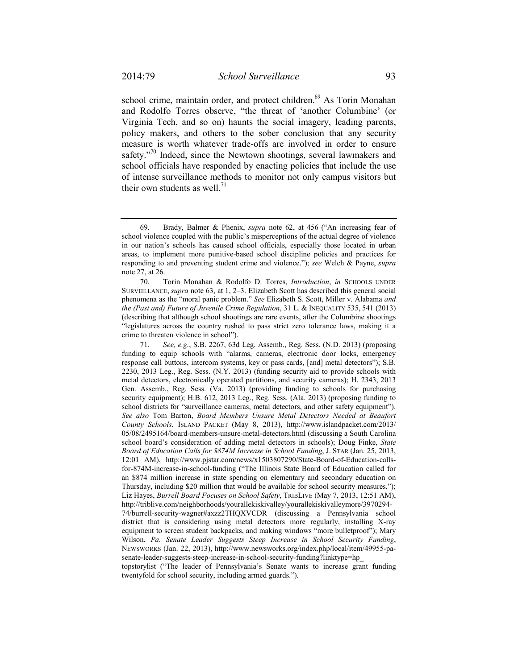school crime, maintain order, and protect children.<sup>69</sup> As Torin Monahan and Rodolfo Torres observe, "the threat of 'another Columbine' (or Virginia Tech, and so on) haunts the social imagery, leading parents, policy makers, and others to the sober conclusion that any security measure is worth whatever trade-offs are involved in order to ensure safety."<sup>70</sup> Indeed, since the Newtown shootings, several lawmakers and school officials have responded by enacting policies that include the use of intense surveillance methods to monitor not only campus visitors but their own students as well.<sup>71</sup>

 <sup>69.</sup> Brady, Balmer & Phenix, *supra* note 62, at 456 ("An increasing fear of school violence coupled with the public's misperceptions of the actual degree of violence in our nation's schools has caused school officials, especially those located in urban areas, to implement more punitive-based school discipline policies and practices for responding to and preventing student crime and violence."); *see* Welch & Payne, *supra* note 27, at 26.

 <sup>70.</sup> Torin Monahan & Rodolfo D. Torres, *Introduction*, *in* SCHOOLS UNDER SURVEILLANCE, *supra* note 63, at 1, 2–3. Elizabeth Scott has described this general social phenomena as the "moral panic problem." *See* Elizabeth S. Scott, Miller v. Alabama *and the (Past and) Future of Juvenile Crime Regulation*, 31 L. & INEQUALITY 535, 541 (2013) (describing that although school shootings are rare events, after the Columbine shootings "legislatures across the country rushed to pass strict zero tolerance laws, making it a crime to threaten violence in school").

 <sup>71.</sup> *See, e.g.*, S.B. 2267, 63d Leg. Assemb., Reg. Sess. (N.D. 2013) (proposing funding to equip schools with "alarms, cameras, electronic door locks, emergency response call buttons, intercom systems, key or pass cards, [and] metal detectors"); S.B. 2230, 2013 Leg., Reg. Sess. (N.Y. 2013) (funding security aid to provide schools with metal detectors, electronically operated partitions, and security cameras); H. 2343, 2013 Gen. Assemb., Reg. Sess. (Va. 2013) (providing funding to schools for purchasing security equipment); H.B. 612, 2013 Leg., Reg. Sess. (Ala. 2013) (proposing funding to school districts for "surveillance cameras, metal detectors, and other safety equipment"). *See also* Tom Barton, *Board Members Unsure Metal Detectors Needed at Beaufort County Schools*, ISLAND PACKET (May 8, 2013), http://www.islandpacket.com/2013/ 05/08/2495164/board-members-unsure-metal-detectors.html (discussing a South Carolina school board's consideration of adding metal detectors in schools); Doug Finke, *State Board of Education Calls for \$874M Increase in School Funding*, J. STAR (Jan. 25, 2013, 12:01 AM), http://www.pjstar.com/news/x1503807290/State-Board-of-Education-callsfor-874M-increase-in-school-funding ("The Illinois State Board of Education called for an \$874 million increase in state spending on elementary and secondary education on Thursday, including \$20 million that would be available for school security measures."); Liz Hayes, *Burrell Board Focuses on School Safety*, TRIBLIVE (May 7, 2013, 12:51 AM), http://triblive.com/neighborhoods/yourallekiskivalley/yourallekiskivalleymore/3970294- 74/burrell-security-wagner#axzz2THQXVCDR (discussing a Pennsylvania school district that is considering using metal detectors more regularly, installing X-ray equipment to screen student backpacks, and making windows "more bulletproof"); Mary Wilson, *Pa. Senate Leader Suggests Steep Increase in School Security Funding*, NEWSWORKS (Jan. 22, 2013), http://www.newsworks.org/index.php/local/item/49955-pasenate-leader-suggests-steep-increase-in-school-security-funding?linktype=hp\_

topstorylist ("The leader of Pennsylvania's Senate wants to increase grant funding twentyfold for school security, including armed guards.").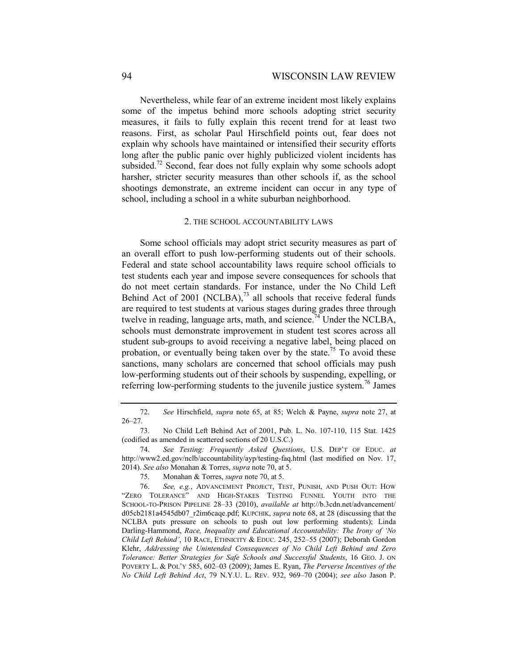Nevertheless, while fear of an extreme incident most likely explains some of the impetus behind more schools adopting strict security measures, it fails to fully explain this recent trend for at least two reasons. First, as scholar Paul Hirschfield points out, fear does not explain why schools have maintained or intensified their security efforts long after the public panic over highly publicized violent incidents has subsided.<sup>72</sup> Second, fear does not fully explain why some schools adopt harsher, stricter security measures than other schools if, as the school shootings demonstrate, an extreme incident can occur in any type of school, including a school in a white suburban neighborhood.

#### 2. THE SCHOOL ACCOUNTABILITY LAWS

Some school officials may adopt strict security measures as part of an overall effort to push low-performing students out of their schools. Federal and state school accountability laws require school officials to test students each year and impose severe consequences for schools that do not meet certain standards. For instance, under the No Child Left Behind Act of 2001 (NCLBA), $^{73}$  all schools that receive federal funds are required to test students at various stages during grades three through twelve in reading, language arts, math, and science.<sup>74</sup> Under the NCLBA, schools must demonstrate improvement in student test scores across all student sub-groups to avoid receiving a negative label, being placed on probation, or eventually being taken over by the state.<sup>75</sup> To avoid these sanctions, many scholars are concerned that school officials may push low-performing students out of their schools by suspending, expelling, or referring low-performing students to the juvenile justice system.<sup>76</sup> James

 <sup>72.</sup> *See* Hirschfield, *supra* note 65, at 85; Welch & Payne, *supra* note 27, at 26–27.

 <sup>73.</sup> No Child Left Behind Act of 2001, Pub. L. No. 107-110, 115 Stat. 1425 (codified as amended in scattered sections of 20 U.S.C.)

 <sup>74.</sup> *See Testing: Frequently Asked Questions*, U.S. DEP'T OF EDUC. *at*  http://www2.ed.gov/nclb/accountability/ayp/testing-faq.html (last modified on Nov. 17, 2014). *See also* Monahan & Torres, *supra* note 70, at 5.

 <sup>75.</sup> Monahan & Torres, *supra* note 70, at 5.

 <sup>76.</sup> *See, e.g.*, ADVANCEMENT PROJECT, TEST, PUNISH, AND PUSH OUT: HOW "ZERO TOLERANCE" AND HIGH-STAKES TESTING FUNNEL YOUTH INTO THE SCHOOL-TO-PRISON PIPELINE 28–33 (2010), *available at* http://b.3cdn.net/advancement/ d05cb2181a4545db07\_r2im6caqe.pdf; KUPCHIK, *supra* note 68, at 28 (discussing that the NCLBA puts pressure on schools to push out low performing students); Linda Darling-Hammond, *Race, Inequality and Educational Accountability: The Irony of 'No Child Left Behind'*, 10 RACE, ETHNICITY & EDUC. 245, 252–55 (2007); Deborah Gordon Klehr, *Addressing the Unintended Consequences of No Child Left Behind and Zero Tolerance: Better Strategies for Safe Schools and Successful Students*, 16 GEO. J. ON POVERTY L. & POL'Y 585, 602–03 (2009); James E. Ryan, *The Perverse Incentives of the No Child Left Behind Act*, 79 N.Y.U. L. REV. 932, 969–70 (2004); *see also* Jason P.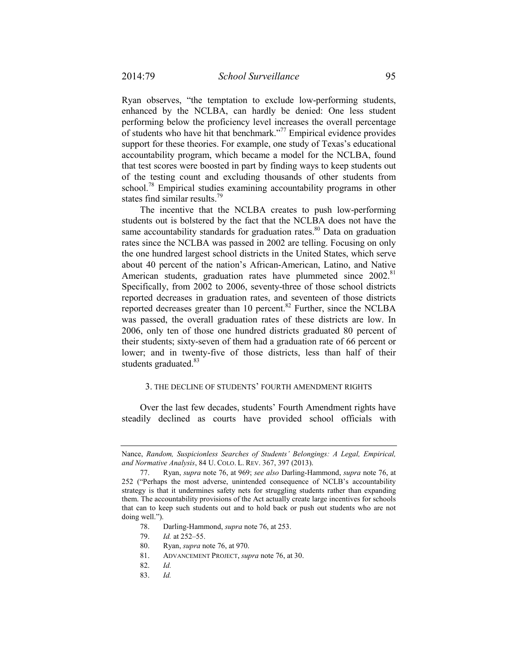Ryan observes, "the temptation to exclude low-performing students, enhanced by the NCLBA, can hardly be denied: One less student performing below the proficiency level increases the overall percentage of students who have hit that benchmark."77 Empirical evidence provides support for these theories. For example, one study of Texas's educational accountability program, which became a model for the NCLBA, found that test scores were boosted in part by finding ways to keep students out of the testing count and excluding thousands of other students from school.<sup>78</sup> Empirical studies examining accountability programs in other states find similar results.<sup>79</sup>

The incentive that the NCLBA creates to push low-performing students out is bolstered by the fact that the NCLBA does not have the same accountability standards for graduation rates. $80$  Data on graduation rates since the NCLBA was passed in 2002 are telling. Focusing on only the one hundred largest school districts in the United States, which serve about 40 percent of the nation's African-American, Latino, and Native American students, graduation rates have plummeted since 2002.<sup>81</sup> Specifically, from 2002 to 2006, seventy-three of those school districts reported decreases in graduation rates, and seventeen of those districts reported decreases greater than 10 percent. $82$  Further, since the NCLBA was passed, the overall graduation rates of these districts are low. In 2006, only ten of those one hundred districts graduated 80 percent of their students; sixty-seven of them had a graduation rate of 66 percent or lower; and in twenty-five of those districts, less than half of their students graduated. $83$ 

# 3. THE DECLINE OF STUDENTS' FOURTH AMENDMENT RIGHTS

Over the last few decades, students' Fourth Amendment rights have steadily declined as courts have provided school officials with

- 79. *Id.* at 252–55.
- 80. Ryan, *supra* note 76, at 970.
- 81. ADVANCEMENT PROJECT, *supra* note 76, at 30.
- 82. *Id.*
- 83. *Id.*

Nance, *Random, Suspicionless Searches of Students' Belongings: A Legal, Empirical, and Normative Analysis*, 84 U. COLO. L. REV. 367, 397 (2013).

 <sup>77.</sup> Ryan, *supra* note 76, at 969; *see also* Darling-Hammond, *supra* note 76, at 252 ("Perhaps the most adverse, unintended consequence of NCLB's accountability strategy is that it undermines safety nets for struggling students rather than expanding them. The accountability provisions of the Act actually create large incentives for schools that can to keep such students out and to hold back or push out students who are not doing well.").

 <sup>78.</sup> Darling-Hammond, *supra* note 76, at 253.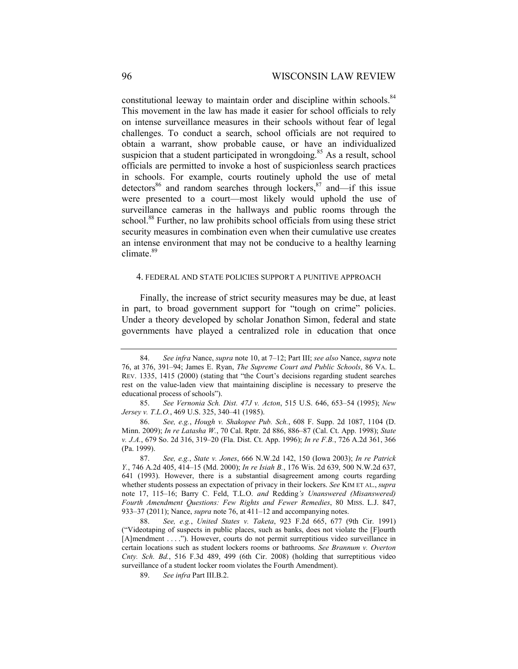constitutional leeway to maintain order and discipline within schools.<sup>84</sup> This movement in the law has made it easier for school officials to rely on intense surveillance measures in their schools without fear of legal challenges. To conduct a search, school officials are not required to obtain a warrant, show probable cause, or have an individualized suspicion that a student participated in wrongdoing.<sup>85</sup> As a result, school officials are permitted to invoke a host of suspicionless search practices in schools. For example, courts routinely uphold the use of metal detectors<sup>86</sup> and random searches through lockers, $87$  and—if this issue were presented to a court—most likely would uphold the use of surveillance cameras in the hallways and public rooms through the school.<sup>88</sup> Further, no law prohibits school officials from using these strict security measures in combination even when their cumulative use creates an intense environment that may not be conducive to a healthy learning climate.<sup>89</sup>

#### 4. FEDERAL AND STATE POLICIES SUPPORT A PUNITIVE APPROACH

Finally, the increase of strict security measures may be due, at least in part, to broad government support for "tough on crime" policies. Under a theory developed by scholar Jonathon Simon, federal and state governments have played a centralized role in education that once

<sup>84.</sup> *See infra* Nance, *supra* note 10, at 7–12; Part III; *see also* Nance, *supra* note 76, at 376, 391–94; James E. Ryan, *The Supreme Court and Public Schools*, 86 VA. L. REV. 1335, 1415 (2000) (stating that "the Court's decisions regarding student searches rest on the value-laden view that maintaining discipline is necessary to preserve the educational process of schools").

 <sup>85.</sup> *See Vernonia Sch. Dist. 47J v. Acton*, 515 U.S. 646, 653–54 (1995); *New Jersey v. T.L.O.*, 469 U.S. 325, 340–41 (1985).

 <sup>86.</sup> *See, e.g.*, *Hough v. Shakopee Pub. Sch.*, 608 F. Supp. 2d 1087, 1104 (D. Minn. 2009); *In re Latasha W.*, 70 Cal. Rptr. 2d 886, 886–87 (Cal. Ct. App. 1998); *State v. J.A.*, 679 So. 2d 316, 319–20 (Fla. Dist. Ct. App. 1996); *In re F.B.*, 726 A.2d 361, 366 (Pa. 1999).

 <sup>87.</sup> *See, e.g.*, *State v. Jones*, 666 N.W.2d 142, 150 (Iowa 2003); *In re Patrick Y.*, 746 A.2d 405, 414–15 (Md. 2000); *In re Isiah B.*, 176 Wis. 2d 639, 500 N.W.2d 637, 641 (1993). However, there is a substantial disagreement among courts regarding whether students possess an expectation of privacy in their lockers. *See* KIM ET AL., *supra* note 17, 115–16; Barry C. Feld, T.L.O. *and* Redding*'s Unanswered (Misanswered) Fourth Amendment Questions: Few Rights and Fewer Remedies*, 80 MISS. L.J. 847, 933–37 (2011); Nance, *supra* note 76, at 411–12 and accompanying notes.

 <sup>88.</sup> *See, e.g.*, *United States v. Taketa*, 923 F.2d 665, 677 (9th Cir. 1991) ("Videotaping of suspects in public places, such as banks, does not violate the [F]ourth [A]mendment . . . ."). However, courts do not permit surreptitious video surveillance in certain locations such as student lockers rooms or bathrooms. *See Brannum v. Overton Cnty. Sch. Bd.*, 516 F.3d 489, 499 (6th Cir. 2008) (holding that surreptitious video surveillance of a student locker room violates the Fourth Amendment).

 <sup>89.</sup> *See infra* Part III.B.2.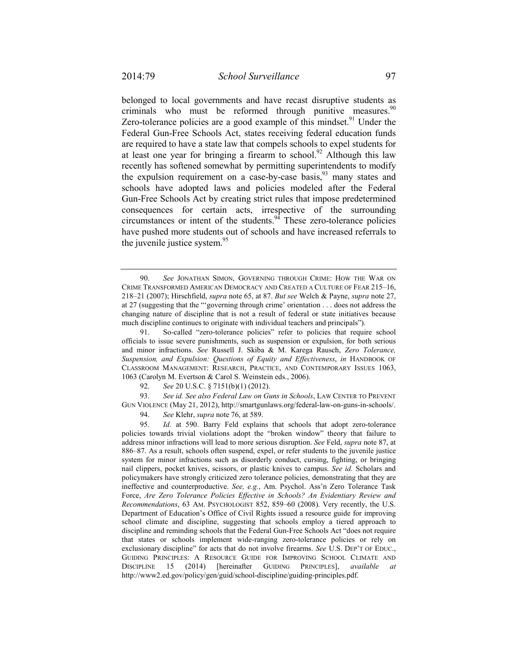belonged to local governments and have recast disruptive students as criminals who must be reformed through punitive measures.<sup>90</sup> Zero-tolerance policies are a good example of this mindset.<sup>91</sup> Under the Federal Gun-Free Schools Act, states receiving federal education funds are required to have a state law that compels schools to expel students for at least one year for bringing a firearm to school.<sup>92</sup> Although this law recently has softened somewhat by permitting superintendents to modify the expulsion requirement on a case-by-case basis,  $93$  many states and schools have adopted laws and policies modeled after the Federal Gun-Free Schools Act by creating strict rules that impose predetermined consequences for certain acts, irrespective of the surrounding circumstances or intent of the students. $94$  These zero-tolerance policies have pushed more students out of schools and have increased referrals to the juvenile justice system.<sup>95</sup>

92. *See* 20 U.S.C. § 7151(b)(1) (2012).

 93. *See id. See also Federal Law on Guns in Schools*, LAW CENTER TO PREVENT GUN VIOLENCE (May 21, 2012), http://smartgunlaws.org/federal-law-on-guns-in-schools/.

94. *See* Klehr, *supra* note 76, at 589.

 95. *Id.* at 590. Barry Feld explains that schools that adopt zero-tolerance policies towards trivial violations adopt the "broken window" theory that failure to address minor infractions will lead to more serious disruption. *See* Feld, *supra* note 87, at 886–87. As a result, schools often suspend, expel, or refer students to the juvenile justice system for minor infractions such as disorderly conduct, cursing, fighting, or bringing nail clippers, pocket knives, scissors, or plastic knives to campus. *See id.* Scholars and policymakers have strongly criticized zero tolerance policies, demonstrating that they are ineffective and counterproductive. *See, e.g.*, Am. Psychol. Ass'n Zero Tolerance Task Force, *Are Zero Tolerance Policies Effective in Schools? An Evidentiary Review and Recommendations*, 63 AM. PSYCHOLOGIST 852, 859–60 (2008). Very recently, the U.S. Department of Education's Office of Civil Rights issued a resource guide for improving school climate and discipline, suggesting that schools employ a tiered approach to discipline and reminding schools that the Federal Gun-Free Schools Act "does not require that states or schools implement wide-ranging zero-tolerance policies or rely on exclusionary discipline" for acts that do not involve firearms. *See* U.S. DEP'T OF EDUC., GUIDING PRINCIPLES: A RESOURCE GUIDE FOR IMPROVING SCHOOL CLIMATE AND DISCIPLINE 15 (2014) [hereinafter GUIDING PRINCIPLES], *available at*  http://www2.ed.gov/policy/gen/guid/school-discipline/guiding-principles.pdf.

 <sup>90.</sup> *See* JONATHAN SIMON, GOVERNING THROUGH CRIME: HOW THE WAR ON CRIME TRANSFORMED AMERICAN DEMOCRACY AND CREATED A CULTURE OF FEAR 215–16, 218–21 (2007); Hirschfield, *supra* note 65, at 87. *But see* Welch & Payne, *supra* note 27, at 27 (suggesting that the "'governing through crime' orientation . . . does not address the changing nature of discipline that is not a result of federal or state initiatives because much discipline continues to originate with individual teachers and principals").

 <sup>91.</sup> So-called "zero-tolerance policies" refer to policies that require school officials to issue severe punishments, such as suspension or expulsion, for both serious and minor infractions. *See* Russell J. Skiba & M. Karega Rausch, *Zero Tolerance, Suspension, and Expulsion: Questions of Equity and Effectiveness*, *in* HANDBOOK OF CLASSROOM MANAGEMENT: RESEARCH, PRACTICE, AND CONTEMPORARY ISSUES 1063, 1063 (Carolyn M. Evertson & Carol S. Weinstein eds., 2006).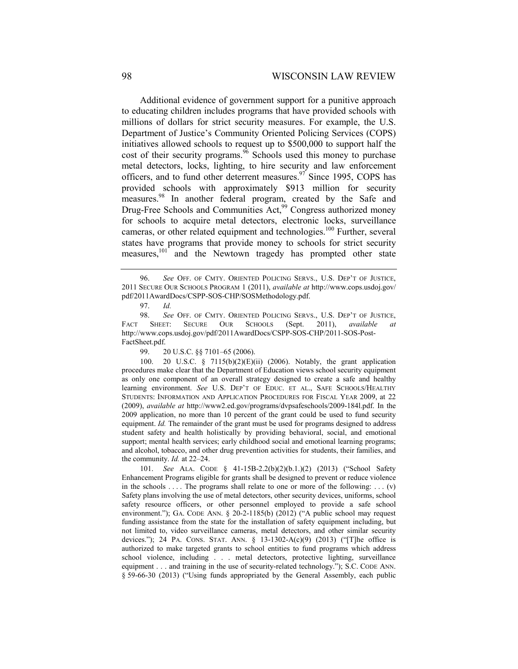Additional evidence of government support for a punitive approach to educating children includes programs that have provided schools with millions of dollars for strict security measures. For example, the U.S. Department of Justice's Community Oriented Policing Services (COPS) initiatives allowed schools to request up to \$500,000 to support half the cost of their security programs.<sup>96</sup> Schools used this money to purchase metal detectors, locks, lighting, to hire security and law enforcement officers, and to fund other deterrent measures. $97$  Since 1995, COPS has provided schools with approximately \$913 million for security measures.<sup>98</sup> In another federal program, created by the Safe and Drug-Free Schools and Communities Act,<sup>99</sup> Congress authorized money for schools to acquire metal detectors, electronic locks, surveillance cameras, or other related equipment and technologies.<sup>100</sup> Further, several states have programs that provide money to schools for strict security measures,<sup>101</sup> and the Newtown tragedy has prompted other state

 100. 20 U.S.C. § 7115(b)(2)(E)(ii) (2006). Notably, the grant application procedures make clear that the Department of Education views school security equipment as only one component of an overall strategy designed to create a safe and healthy learning environment. *See* U.S. DEP'T OF EDUC. ET AL., SAFE SCHOOLS/HEALTHY STUDENTS: INFORMATION AND APPLICATION PROCEDURES FOR FISCAL YEAR 2009, at 22 (2009), *available at* http://www2.ed.gov/programs/dvpsafeschools/2009-184l.pdf. In the 2009 application, no more than 10 percent of the grant could be used to fund security equipment. *Id.* The remainder of the grant must be used for programs designed to address student safety and health holistically by providing behavioral, social, and emotional support; mental health services; early childhood social and emotional learning programs; and alcohol, tobacco, and other drug prevention activities for students, their families, and the community. *Id.* at 22–24.

 101. *See* ALA. CODE § 41-15B-2.2(b)(2)(b.1.)(2) (2013) ("School Safety Enhancement Programs eligible for grants shall be designed to prevent or reduce violence in the schools .... The programs shall relate to one or more of the following: ...  $(v)$ Safety plans involving the use of metal detectors, other security devices, uniforms, school safety resource officers, or other personnel employed to provide a safe school environment."); GA. CODE ANN. § 20-2-1185(b) (2012) ("A public school may request funding assistance from the state for the installation of safety equipment including, but not limited to, video surveillance cameras, metal detectors, and other similar security devices."); 24 PA. CONS. STAT. ANN. § 13-1302-A(c)(9) (2013) ("[T]he office is authorized to make targeted grants to school entities to fund programs which address school violence, including . . . metal detectors, protective lighting, surveillance equipment . . . and training in the use of security-related technology."); S.C. CODE ANN. § 59-66-30 (2013) ("Using funds appropriated by the General Assembly, each public

 <sup>96.</sup> *See* OFF. OF CMTY. ORIENTED POLICING SERVS., U.S. DEP'T OF JUSTICE, 2011 SECURE OUR SCHOOLS PROGRAM 1 (2011), *available at* http://www.cops.usdoj.gov/ pdf/2011AwardDocs/CSPP-SOS-CHP/SOSMethodology.pdf.

 <sup>97.</sup> *Id.* 

 <sup>98.</sup> *See* OFF. OF CMTY. ORIENTED POLICING SERVS., U.S. DEP'T OF JUSTICE, FACT SHEET: SECURE OUR SCHOOLS (Sept. 2011), *available at*  http://www.cops.usdoj.gov/pdf/2011AwardDocs/CSPP-SOS-CHP/2011-SOS-Post-FactSheet.pdf.

 <sup>99. 20</sup> U.S.C. §§ 7101–65 (2006).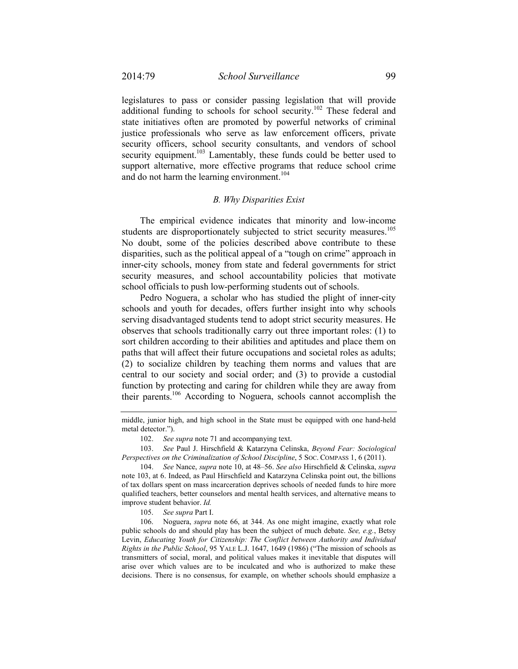legislatures to pass or consider passing legislation that will provide additional funding to schools for school security.<sup>102</sup> These federal and state initiatives often are promoted by powerful networks of criminal justice professionals who serve as law enforcement officers, private security officers, school security consultants, and vendors of school security equipment.<sup>103</sup> Lamentably, these funds could be better used to support alternative, more effective programs that reduce school crime and do not harm the learning environment.<sup>104</sup>

# *B. Why Disparities Exist*

The empirical evidence indicates that minority and low-income students are disproportionately subjected to strict security measures.<sup>105</sup> No doubt, some of the policies described above contribute to these disparities, such as the political appeal of a "tough on crime" approach in inner-city schools, money from state and federal governments for strict security measures, and school accountability policies that motivate school officials to push low-performing students out of schools.

Pedro Noguera, a scholar who has studied the plight of inner-city schools and youth for decades, offers further insight into why schools serving disadvantaged students tend to adopt strict security measures. He observes that schools traditionally carry out three important roles: (1) to sort children according to their abilities and aptitudes and place them on paths that will affect their future occupations and societal roles as adults; (2) to socialize children by teaching them norms and values that are central to our society and social order; and (3) to provide a custodial function by protecting and caring for children while they are away from their parents.106 According to Noguera, schools cannot accomplish the

102. *See supra* note 71 and accompanying text.

 103. *See* Paul J. Hirschfield & Katarzyna Celinska, *Beyond Fear: Sociological Perspectives on the Criminalization of School Discipline*, 5 Soc. COMPASS 1, 6 (2011).

105. *See supra* Part I.

middle, junior high, and high school in the State must be equipped with one hand-held metal detector.").

 <sup>104.</sup> *See* Nance, *supra* note 10, at 48–56. *See also* Hirschfield & Celinska, *supra* note 103, at 6. Indeed, as Paul Hirschfield and Katarzyna Celinska point out, the billions of tax dollars spent on mass incarceration deprives schools of needed funds to hire more qualified teachers, better counselors and mental health services, and alternative means to improve student behavior. *Id.*

 <sup>106.</sup> Noguera, *supra* note 66, at 344. As one might imagine, exactly what role public schools do and should play has been the subject of much debate. *See, e.g.*, Betsy Levin, *Educating Youth for Citizenship: The Conflict between Authority and Individual Rights in the Public School*, 95 YALE L.J. 1647, 1649 (1986) ("The mission of schools as transmitters of social, moral, and political values makes it inevitable that disputes will arise over which values are to be inculcated and who is authorized to make these decisions. There is no consensus, for example, on whether schools should emphasize a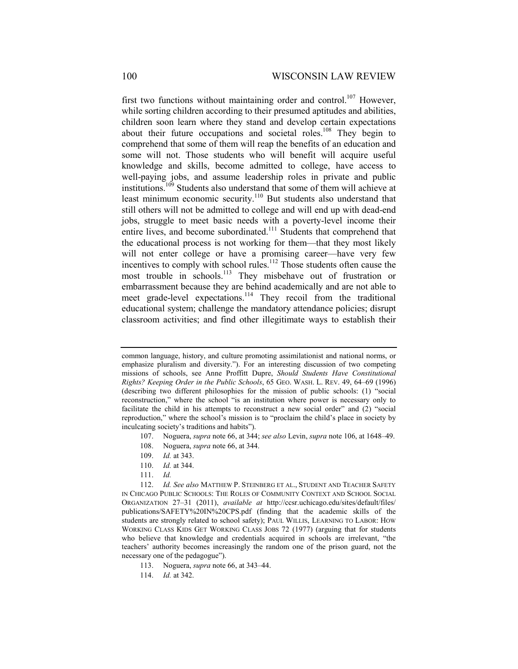first two functions without maintaining order and control.<sup>107</sup> However, while sorting children according to their presumed aptitudes and abilities, children soon learn where they stand and develop certain expectations about their future occupations and societal roles.<sup>108</sup> They begin to comprehend that some of them will reap the benefits of an education and some will not. Those students who will benefit will acquire useful knowledge and skills, become admitted to college, have access to well-paying jobs, and assume leadership roles in private and public institutions.<sup>109</sup> Students also understand that some of them will achieve at least minimum economic security.<sup>110</sup> But students also understand that still others will not be admitted to college and will end up with dead-end jobs, struggle to meet basic needs with a poverty-level income their entire lives, and become subordinated.<sup>111</sup> Students that comprehend that the educational process is not working for them—that they most likely will not enter college or have a promising career—have very few incentives to comply with school rules.<sup>112</sup> Those students often cause the most trouble in schools.<sup>113</sup> They misbehave out of frustration or embarrassment because they are behind academically and are not able to meet grade-level expectations.<sup>114</sup> They recoil from the traditional educational system; challenge the mandatory attendance policies; disrupt classroom activities; and find other illegitimate ways to establish their

common language, history, and culture promoting assimilationist and national norms, or emphasize pluralism and diversity."). For an interesting discussion of two competing missions of schools, see Anne Proffitt Dupre, *Should Students Have Constitutional Rights? Keeping Order in the Public Schools*, 65 GEO. WASH. L. REV. 49, 64–69 (1996) (describing two different philosophies for the mission of public schools: (1) "social reconstruction," where the school "is an institution where power is necessary only to facilitate the child in his attempts to reconstruct a new social order" and (2) "social reproduction," where the school's mission is to "proclaim the child's place in society by inculcating society's traditions and habits").

 <sup>107.</sup> Noguera, *supra* note 66, at 344; *see also* Levin, *supra* note 106, at 1648–49.

 <sup>108.</sup> Noguera, *supra* note 66, at 344.

 <sup>109.</sup> *Id.* at 343.

 <sup>110.</sup> *Id.* at 344.

 <sup>111.</sup> *Id.* 

 <sup>112.</sup> *Id. See also* MATTHEW P. STEINBERG ET AL., STUDENT AND TEACHER SAFETY IN CHICAGO PUBLIC SCHOOLS: THE ROLES OF COMMUNITY CONTEXT AND SCHOOL SOCIAL ORGANIZATION 27–31 (2011), *available at* http://ccsr.uchicago.edu/sites/default/files/ publications/SAFETY%20IN%20CPS.pdf (finding that the academic skills of the students are strongly related to school safety); PAUL WILLIS, LEARNING TO LABOR: HOW WORKING CLASS KIDS GET WORKING CLASS JOBS 72 (1977) (arguing that for students who believe that knowledge and credentials acquired in schools are irrelevant, "the teachers' authority becomes increasingly the random one of the prison guard, not the necessary one of the pedagogue").

 <sup>113.</sup> Noguera, *supra* note 66, at 343–44.

 <sup>114.</sup> *Id.* at 342.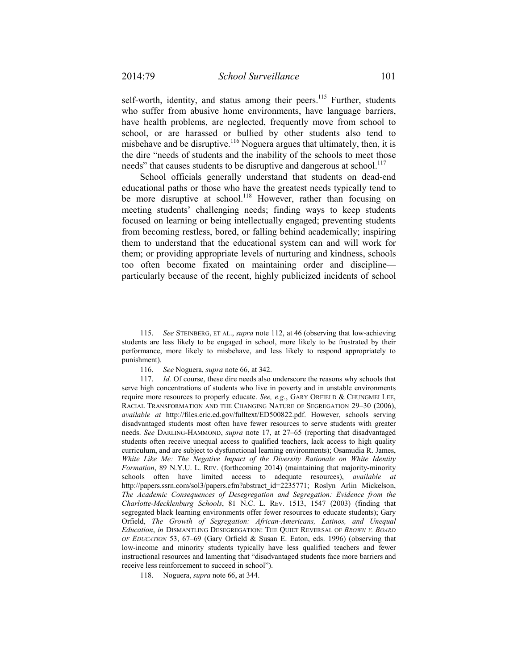self-worth, identity, and status among their peers.<sup>115</sup> Further, students who suffer from abusive home environments, have language barriers, have health problems, are neglected, frequently move from school to school, or are harassed or bullied by other students also tend to misbehave and be disruptive.<sup>116</sup> Noguera argues that ultimately, then, it is the dire "needs of students and the inability of the schools to meet those needs" that causes students to be disruptive and dangerous at school.<sup>117</sup>

School officials generally understand that students on dead-end educational paths or those who have the greatest needs typically tend to be more disruptive at school.<sup>118</sup> However, rather than focusing on meeting students' challenging needs; finding ways to keep students focused on learning or being intellectually engaged; preventing students from becoming restless, bored, or falling behind academically; inspiring them to understand that the educational system can and will work for them; or providing appropriate levels of nurturing and kindness, schools too often become fixated on maintaining order and discipline particularly because of the recent, highly publicized incidents of school

 <sup>115.</sup> *See* STEINBERG, ET AL., *supra* note 112, at 46 (observing that low-achieving students are less likely to be engaged in school, more likely to be frustrated by their performance, more likely to misbehave, and less likely to respond appropriately to punishment).

 <sup>116.</sup> *See* Noguera, *supra* note 66, at 342.

 <sup>117.</sup> *Id.* Of course, these dire needs also underscore the reasons why schools that serve high concentrations of students who live in poverty and in unstable environments require more resources to properly educate. *See, e.g.*, GARY ORFIELD & CHUNGMEI LEE, RACIAL TRANSFORMATION AND THE CHANGING NATURE OF SEGREGATION 29–30 (2006), *available at* http://files.eric.ed.gov/fulltext/ED500822.pdf. However, schools serving disadvantaged students most often have fewer resources to serve students with greater needs. *See* DARLING-HAMMOND, *supra* note 17, at 27–65 (reporting that disadvantaged students often receive unequal access to qualified teachers, lack access to high quality curriculum, and are subject to dysfunctional learning environments); Osamudia R. James, *White Like Me: The Negative Impact of the Diversity Rationale on White Identity Formation*, 89 N.Y.U. L. REV. (forthcoming 2014) (maintaining that majority-minority schools often have limited access to adequate resources), *available at*  http://papers.ssrn.com/sol3/papers.cfm?abstract\_id=2235771; Roslyn Arlin Mickelson, *The Academic Consequences of Desegregation and Segregation: Evidence from the Charlotte-Mecklenburg Schools*, 81 N.C. L. REV. 1513, 1547 (2003) (finding that segregated black learning environments offer fewer resources to educate students); Gary Orfield, *The Growth of Segregation: African-Americans, Latinos, and Unequal Education*, *in* DISMANTLING DESEGREGATION: THE QUIET REVERSAL OF *BROWN V. BOARD OF EDUCATION* 53, 67–69 (Gary Orfield & Susan E. Eaton, eds. 1996) (observing that low-income and minority students typically have less qualified teachers and fewer instructional resources and lamenting that "disadvantaged students face more barriers and receive less reinforcement to succeed in school").

 <sup>118.</sup> Noguera, *supra* note 66, at 344.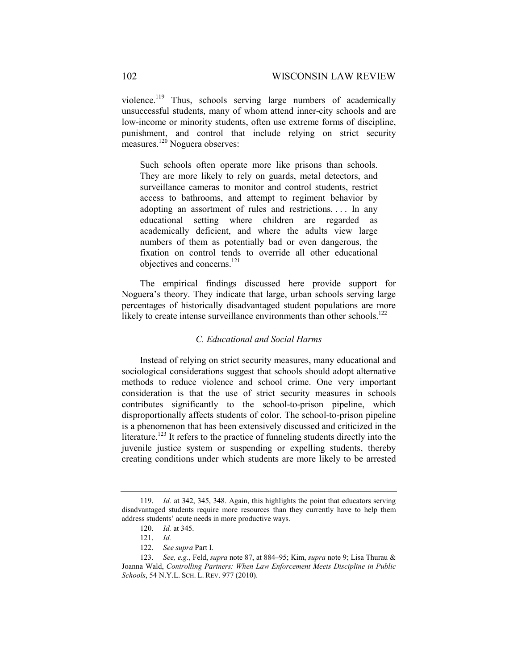violence.119 Thus, schools serving large numbers of academically unsuccessful students, many of whom attend inner-city schools and are low-income or minority students, often use extreme forms of discipline, punishment, and control that include relying on strict security measures.<sup>120</sup> Noguera observes:

Such schools often operate more like prisons than schools. They are more likely to rely on guards, metal detectors, and surveillance cameras to monitor and control students, restrict access to bathrooms, and attempt to regiment behavior by adopting an assortment of rules and restrictions. . . . In any educational setting where children are regarded as academically deficient, and where the adults view large numbers of them as potentially bad or even dangerous, the fixation on control tends to override all other educational objectives and concerns.<sup>121</sup>

The empirical findings discussed here provide support for Noguera's theory. They indicate that large, urban schools serving large percentages of historically disadvantaged student populations are more likely to create intense surveillance environments than other schools.<sup>122</sup>

# *C. Educational and Social Harms*

Instead of relying on strict security measures, many educational and sociological considerations suggest that schools should adopt alternative methods to reduce violence and school crime. One very important consideration is that the use of strict security measures in schools contributes significantly to the school-to-prison pipeline, which disproportionally affects students of color. The school-to-prison pipeline is a phenomenon that has been extensively discussed and criticized in the literature.<sup>123</sup> It refers to the practice of funneling students directly into the juvenile justice system or suspending or expelling students, thereby creating conditions under which students are more likely to be arrested

 <sup>119.</sup> *Id.* at 342, 345, 348. Again, this highlights the point that educators serving disadvantaged students require more resources than they currently have to help them address students' acute needs in more productive ways.

 <sup>120.</sup> *Id.* at 345.

 <sup>121.</sup> *Id.*

 <sup>122.</sup> *See supra* Part I.

 <sup>123.</sup> *See, e.g.*, Feld, *supra* note 87, at 884–95; Kim, *supra* note 9; Lisa Thurau & Joanna Wald, *Controlling Partners: When Law Enforcement Meets Discipline in Public Schools*, 54 N.Y.L. SCH. L. REV. 977 (2010).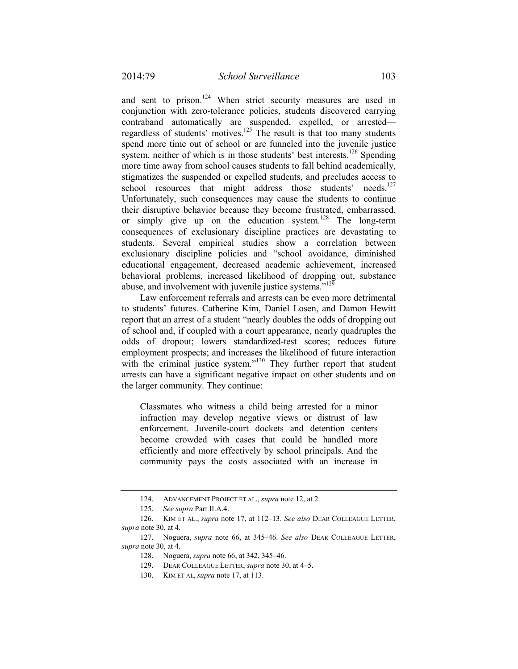and sent to prison.<sup>124</sup> When strict security measures are used in conjunction with zero-tolerance policies, students discovered carrying contraband automatically are suspended, expelled, or arrested regardless of students' motives.125 The result is that too many students spend more time out of school or are funneled into the juvenile justice system, neither of which is in those students' best interests.<sup>126</sup> Spending more time away from school causes students to fall behind academically, stigmatizes the suspended or expelled students, and precludes access to school resources that might address those students' needs.<sup>127</sup> Unfortunately, such consequences may cause the students to continue their disruptive behavior because they become frustrated, embarrassed, or simply give up on the education system.<sup>128</sup> The long-term consequences of exclusionary discipline practices are devastating to students. Several empirical studies show a correlation between exclusionary discipline policies and "school avoidance, diminished educational engagement, decreased academic achievement, increased behavioral problems, increased likelihood of dropping out, substance abuse, and involvement with juvenile justice systems."<sup>129</sup>

Law enforcement referrals and arrests can be even more detrimental to students' futures. Catherine Kim, Daniel Losen, and Damon Hewitt report that an arrest of a student "nearly doubles the odds of dropping out of school and, if coupled with a court appearance, nearly quadruples the odds of dropout; lowers standardized-test scores; reduces future employment prospects; and increases the likelihood of future interaction with the criminal justice system."<sup>130</sup> They further report that student arrests can have a significant negative impact on other students and on the larger community. They continue:

Classmates who witness a child being arrested for a minor infraction may develop negative views or distrust of law enforcement. Juvenile-court dockets and detention centers become crowded with cases that could be handled more efficiently and more effectively by school principals. And the community pays the costs associated with an increase in

 <sup>124.</sup> ADVANCEMENT PROJECT ET AL., *supra* note 12, at 2.

 <sup>125.</sup> *See supra* Part II.A.4.

 <sup>126.</sup> KIM ET AL., *supra* note 17, at 112–13. *See also* DEAR COLLEAGUE LETTER, *supra* note 30, at 4.

 <sup>127.</sup> Noguera, *supra* note 66, at 345–46. *See also* DEAR COLLEAGUE LETTER, *supra* note 30, at 4.

 <sup>128.</sup> Noguera, *supra* note 66, at 342, 345–46.

 <sup>129.</sup> DEAR COLLEAGUE LETTER, *supra* note 30, at 4–5.

 <sup>130.</sup> KIM ET AL, *supra* note 17, at 113.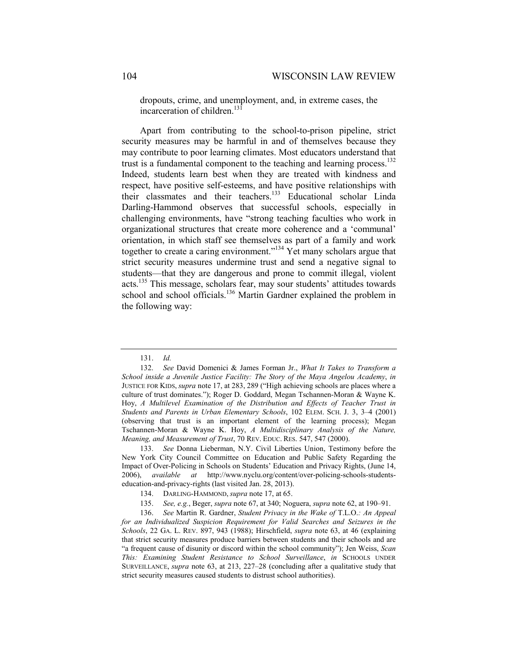dropouts, crime, and unemployment, and, in extreme cases, the incarceration of children.<sup>131</sup>

Apart from contributing to the school-to-prison pipeline, strict security measures may be harmful in and of themselves because they may contribute to poor learning climates. Most educators understand that trust is a fundamental component to the teaching and learning process.<sup>132</sup> Indeed, students learn best when they are treated with kindness and respect, have positive self-esteems, and have positive relationships with their classmates and their teachers.<sup>133</sup> Educational scholar Linda Darling-Hammond observes that successful schools, especially in challenging environments, have "strong teaching faculties who work in organizational structures that create more coherence and a 'communal' orientation, in which staff see themselves as part of a family and work together to create a caring environment."<sup>134</sup> Yet many scholars argue that strict security measures undermine trust and send a negative signal to students—that they are dangerous and prone to commit illegal, violent acts.135 This message, scholars fear, may sour students' attitudes towards school and school officials.<sup>136</sup> Martin Gardner explained the problem in the following way:

 133. *See* Donna Lieberman, N.Y. Civil Liberties Union, Testimony before the New York City Council Committee on Education and Public Safety Regarding the Impact of Over-Policing in Schools on Students' Education and Privacy Rights, (June 14, 2006), *available at* http://www.nyclu.org/content/over-policing-schools-studentseducation-and-privacy-rights (last visited Jan. 28, 2013).

136. *See* Martin R. Gardner, *Student Privacy in the Wake of* T.L.O.*: An Appeal for an Individualized Suspicion Requirement for Valid Searches and Seizures in the Schools*, 22 GA. L. REV. 897, 943 (1988); Hirschfield, *supra* note 63, at 46 (explaining that strict security measures produce barriers between students and their schools and are "a frequent cause of disunity or discord within the school community"); Jen Weiss, *Scan This: Examining Student Resistance to School Surveillance*, *in* SCHOOLS UNDER SURVEILLANCE, *supra* note 63, at 213, 227–28 (concluding after a qualitative study that strict security measures caused students to distrust school authorities).

 <sup>131.</sup> *Id.*

 <sup>132.</sup> *See* David Domenici & James Forman Jr., *What It Takes to Transform a School inside a Juvenile Justice Facility: The Story of the Maya Angelou Academy*, *in*  JUSTICE FOR KIDS, *supra* note 17, at 283, 289 ("High achieving schools are places where a culture of trust dominates."); Roger D. Goddard, Megan Tschannen-Moran & Wayne K. Hoy, *A Multilevel Examination of the Distribution and Effects of Teacher Trust in Students and Parents in Urban Elementary Schools*, 102 ELEM. SCH. J. 3, 3–4 (2001) (observing that trust is an important element of the learning process); Megan Tschannen-Moran & Wayne K. Hoy, *A Multidisciplinary Analysis of the Nature, Meaning, and Measurement of Trust*, 70 REV. EDUC. RES. 547, 547 (2000).

<sup>134.</sup> DARLING-HAMMOND, *supra* note 17, at 65.

 <sup>135.</sup> *See, e.g.*, Beger, *supra* note 67, at 340; Noguera, *supra* note 62, at 190–91.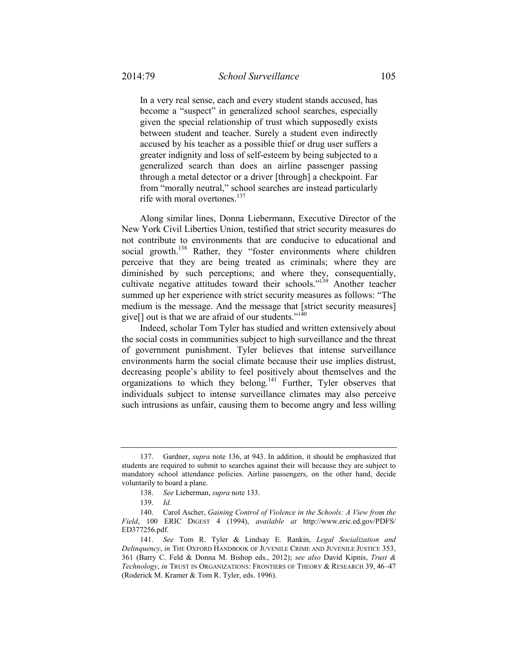In a very real sense, each and every student stands accused, has become a "suspect" in generalized school searches, especially given the special relationship of trust which supposedly exists between student and teacher. Surely a student even indirectly accused by his teacher as a possible thief or drug user suffers a greater indignity and loss of self-esteem by being subjected to a generalized search than does an airline passenger passing through a metal detector or a driver [through] a checkpoint. Far from "morally neutral," school searches are instead particularly rife with moral overtones. $137$ 

Along similar lines, Donna Liebermann, Executive Director of the New York Civil Liberties Union, testified that strict security measures do not contribute to environments that are conducive to educational and social growth.<sup>138</sup> Rather, they "foster environments where children perceive that they are being treated as criminals; where they are diminished by such perceptions; and where they, consequentially, cultivate negative attitudes toward their schools."<sup>139</sup> Another teacher summed up her experience with strict security measures as follows: "The medium is the message. And the message that [strict security measures] give $[]$  out is that we are afraid of our students."<sup>140</sup>

Indeed, scholar Tom Tyler has studied and written extensively about the social costs in communities subject to high surveillance and the threat of government punishment. Tyler believes that intense surveillance environments harm the social climate because their use implies distrust, decreasing people's ability to feel positively about themselves and the organizations to which they belong.<sup>141</sup> Further, Tyler observes that individuals subject to intense surveillance climates may also perceive such intrusions as unfair, causing them to become angry and less willing

 <sup>137.</sup> Gardner, *supra* note 136, at 943. In addition, it should be emphasized that students are required to submit to searches against their will because they are subject to mandatory school attendance policies. Airline passengers, on the other hand, decide voluntarily to board a plane.

 <sup>138.</sup> *See* Lieberman, *supra* note 133.

 <sup>139.</sup> *Id.* 

 <sup>140.</sup> Carol Ascher, *Gaining Control of Violence in the Schools: A View from the Field*, 100 ERIC DIGEST 4 (1994), *available at* http://www.eric.ed.gov/PDFS/ ED377256.pdf.

 <sup>141.</sup> *See* Tom R. Tyler & Lindsay E. Rankin, *Legal Socialization and Delinquency*, *in* THE OXFORD HANDBOOK OF JUVENILE CRIME AND JUVENILE JUSTICE 353, 361 (Barry C. Feld & Donna M. Bishop eds., 2012); *see also* David Kipnis, *Trust & Technology*, *in* TRUST IN ORGANIZATIONS: FRONTIERS OF THEORY & RESEARCH 39, 46–47 (Roderick M. Kramer & Tom R. Tyler, eds. 1996).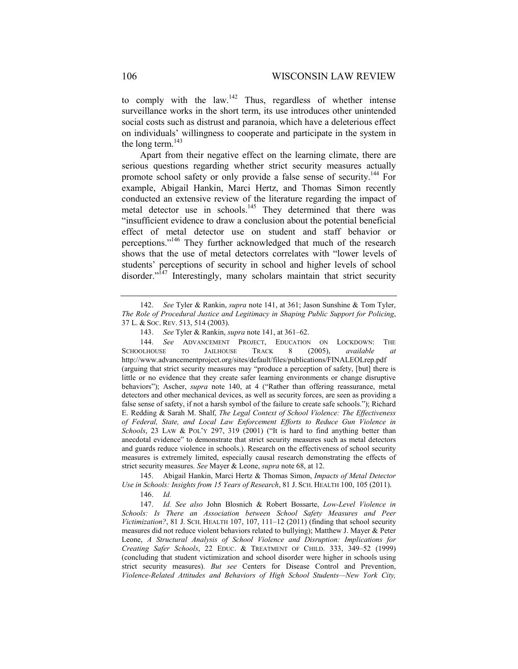to comply with the law.<sup>142</sup> Thus, regardless of whether intense surveillance works in the short term, its use introduces other unintended social costs such as distrust and paranoia, which have a deleterious effect on individuals' willingness to cooperate and participate in the system in the long term.<sup>143</sup>

Apart from their negative effect on the learning climate, there are serious questions regarding whether strict security measures actually promote school safety or only provide a false sense of security.144 For example, Abigail Hankin, Marci Hertz, and Thomas Simon recently conducted an extensive review of the literature regarding the impact of metal detector use in schools.<sup>145</sup> They determined that there was "insufficient evidence to draw a conclusion about the potential beneficial effect of metal detector use on student and staff behavior or perceptions."146 They further acknowledged that much of the research shows that the use of metal detectors correlates with "lower levels of students' perceptions of security in school and higher levels of school disorder."<sup>147</sup> Interestingly, many scholars maintain that strict security

 144. *See* ADVANCEMENT PROJECT, EDUCATION ON LOCKDOWN: THE SCHOOLHOUSE TO JAILHOUSE TRACK 8 (2005), *available at*  http://www.advancementproject.org/sites/default/files/publications/FINALEOLrep.pdf (arguing that strict security measures may "produce a perception of safety, [but] there is little or no evidence that they create safer learning environments or change disruptive behaviors"); Ascher, *supra* note 140, at 4 ("Rather than offering reassurance, metal detectors and other mechanical devices, as well as security forces, are seen as providing a false sense of safety, if not a harsh symbol of the failure to create safe schools."); Richard E. Redding & Sarah M. Shalf, *The Legal Context of School Violence: The Effectiveness of Federal, State, and Local Law Enforcement Efforts to Reduce Gun Violence in Schools*, 23 LAW & POL'Y 297, 319 (2001) ("It is hard to find anything better than anecdotal evidence" to demonstrate that strict security measures such as metal detectors and guards reduce violence in schools.). Research on the effectiveness of school security measures is extremely limited, especially causal research demonstrating the effects of strict security measures. *See* Mayer & Leone, *supra* note 68, at 12.

 145. Abigail Hankin, Marci Hertz & Thomas Simon, *Impacts of Metal Detector Use in Schools: Insights from 15 Years of Research*, 81 J. SCH. HEALTH 100, 105 (2011).

146. *Id.*

 147. *Id. See also* John Blosnich & Robert Bossarte, *Low-Level Violence in Schools: Is There an Association between School Safety Measures and Peer Victimization?*, 81 J. SCH. HEALTH 107, 107, 111–12 (2011) (finding that school security measures did not reduce violent behaviors related to bullying); Matthew J. Mayer & Peter Leone, *A Structural Analysis of School Violence and Disruption: Implications for Creating Safer Schools*, 22 EDUC. & TREATMENT OF CHILD. 333, 349–52 (1999) (concluding that student victimization and school disorder were higher in schools using strict security measures). *But see* Centers for Disease Control and Prevention, *Violence-Related Attitudes and Behaviors of High School Students—New York City,* 

 <sup>142.</sup> *See* Tyler & Rankin, *supra* note 141, at 361; Jason Sunshine & Tom Tyler, *The Role of Procedural Justice and Legitimacy in Shaping Public Support for Policing*, 37 L. & SOC. REV. 513, 514 (2003).

 <sup>143.</sup> *See* Tyler & Rankin, *supra* note 141, at 361–62.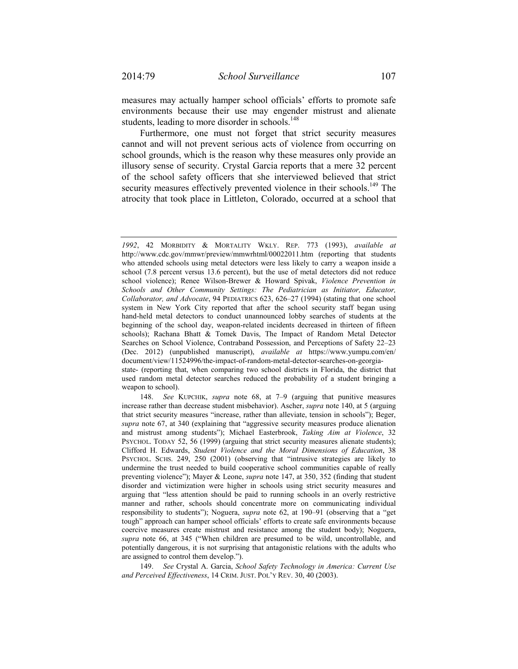measures may actually hamper school officials' efforts to promote safe environments because their use may engender mistrust and alienate students, leading to more disorder in schools.<sup>148</sup>

Furthermore, one must not forget that strict security measures cannot and will not prevent serious acts of violence from occurring on school grounds, which is the reason why these measures only provide an illusory sense of security. Crystal Garcia reports that a mere 32 percent of the school safety officers that she interviewed believed that strict security measures effectively prevented violence in their schools.<sup>149</sup> The atrocity that took place in Littleton, Colorado, occurred at a school that

used random metal detector searches reduced the probability of a student bringing a weapon to school).

149. *See* Crystal A. Garcia, *School Safety Technology in America: Current Use and Perceived Effectiveness*, 14 CRIM. JUST. POL'Y REV. 30, 40 (2003).

*<sup>1992</sup>*, 42 MORBIDITY & MORTALITY WKLY. REP. 773 (1993), *available at*  http://www.cdc.gov/mmwr/preview/mmwrhtml/00022011.htm (reporting that students who attended schools using metal detectors were less likely to carry a weapon inside a school (7.8 percent versus 13.6 percent), but the use of metal detectors did not reduce school violence); Renee Wilson-Brewer & Howard Spivak, *Violence Prevention in Schools and Other Community Settings: The Pediatrician as Initiator, Educator, Collaborator, and Advocate*, 94 PEDIATRICS 623, 626–27 (1994) (stating that one school system in New York City reported that after the school security staff began using hand-held metal detectors to conduct unannounced lobby searches of students at the beginning of the school day, weapon-related incidents decreased in thirteen of fifteen schools); Rachana Bhatt & Tomek Davis, The Impact of Random Metal Detector Searches on School Violence, Contraband Possession, and Perceptions of Safety 22–23 (Dec. 2012) (unpublished manuscript), *available at* https://www.yumpu.com/en/ document/view/11524996/the-impact-of-random-metal-detector-searches-on-georgiastate- (reporting that, when comparing two school districts in Florida, the district that

 <sup>148.</sup> *See* KUPCHIK, *supra* note 68, at 7–9 (arguing that punitive measures increase rather than decrease student misbehavior). Ascher, *supra* note 140, at 5 (arguing that strict security measures "increase, rather than alleviate, tension in schools"); Beger, *supra* note 67, at 340 (explaining that "aggressive security measures produce alienation and mistrust among students"); Michael Easterbrook, *Taking Aim at Violence*, 32 PSYCHOL. TODAY 52, 56 (1999) (arguing that strict security measures alienate students); Clifford H. Edwards, *Student Violence and the Moral Dimensions of Education*, 38 PSYCHOL. SCHS. 249, 250 (2001) (observing that "intrusive strategies are likely to undermine the trust needed to build cooperative school communities capable of really preventing violence"); Mayer & Leone, *supra* note 147, at 350, 352 (finding that student disorder and victimization were higher in schools using strict security measures and arguing that "less attention should be paid to running schools in an overly restrictive manner and rather, schools should concentrate more on communicating individual responsibility to students"); Noguera, *supra* note 62, at 190–91 (observing that a "get tough" approach can hamper school officials' efforts to create safe environments because coercive measures create mistrust and resistance among the student body); Noguera, *supra* note 66, at 345 ("When children are presumed to be wild, uncontrollable, and potentially dangerous, it is not surprising that antagonistic relations with the adults who are assigned to control them develop.").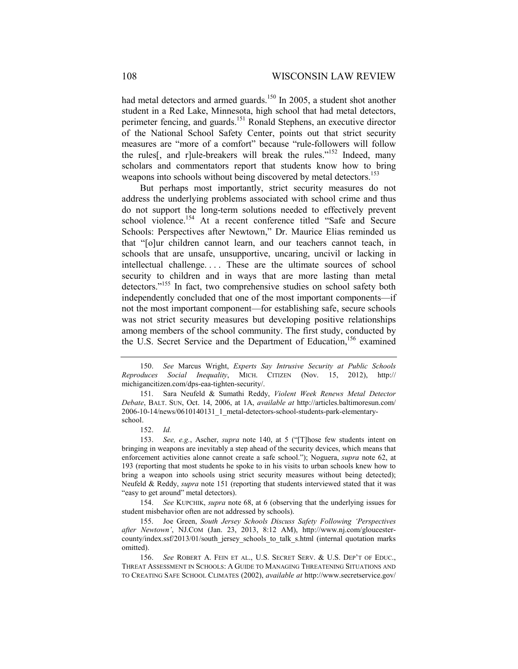had metal detectors and armed guards.<sup>150</sup> In 2005, a student shot another student in a Red Lake, Minnesota, high school that had metal detectors, perimeter fencing, and guards.<sup>151</sup> Ronald Stephens, an executive director of the National School Safety Center, points out that strict security measures are "more of a comfort" because "rule-followers will follow the rules<sup>[, and r]ule-breakers will break the rules."<sup>152</sup> Indeed, many</sup> scholars and commentators report that students know how to bring weapons into schools without being discovered by metal detectors.<sup>153</sup>

But perhaps most importantly, strict security measures do not address the underlying problems associated with school crime and thus do not support the long-term solutions needed to effectively prevent school violence.<sup>154</sup> At a recent conference titled "Safe and Secure Schools: Perspectives after Newtown," Dr. Maurice Elias reminded us that "[o]ur children cannot learn, and our teachers cannot teach, in schools that are unsafe, unsupportive, uncaring, uncivil or lacking in intellectual challenge. . . . These are the ultimate sources of school security to children and in ways that are more lasting than metal detectors."<sup>155</sup> In fact, two comprehensive studies on school safety both independently concluded that one of the most important components—if not the most important component—for establishing safe, secure schools was not strict security measures but developing positive relationships among members of the school community. The first study, conducted by the U.S. Secret Service and the Department of Education,<sup>156</sup> examined

 <sup>150.</sup> *See* Marcus Wright, *Experts Say Intrusive Security at Public Schools Reproduces Social Inequality*, MICH. CITIZEN (Nov. 15, 2012), http:// michigancitizen.com/dps-eaa-tighten-security/.

 <sup>151.</sup> Sara Neufeld & Sumathi Reddy, *Violent Week Renews Metal Detector Debate*, BALT. SUN, Oct. 14, 2006, at 1A, *available at* http://articles.baltimoresun.com/ 2006-10-14/news/0610140131\_1\_metal-detectors-school-students-park-elementaryschool.

 <sup>152.</sup> *Id.* 

 <sup>153.</sup> *See, e.g.*, Ascher, *supra* note 140, at 5 ("[T]hose few students intent on bringing in weapons are inevitably a step ahead of the security devices, which means that enforcement activities alone cannot create a safe school."); Noguera, *supra* note 62, at 193 (reporting that most students he spoke to in his visits to urban schools knew how to bring a weapon into schools using strict security measures without being detected); Neufeld & Reddy, *supra* note 151 (reporting that students interviewed stated that it was "easy to get around" metal detectors).

 <sup>154.</sup> *See* KUPCHIK, *supra* note 68, at 6 (observing that the underlying issues for student misbehavior often are not addressed by schools).

 <sup>155.</sup> Joe Green, *South Jersey Schools Discuss Safety Following 'Perspectives after Newtown'*, NJ.COM (Jan. 23, 2013, 8:12 AM), http://www.nj.com/gloucestercounty/index.ssf/2013/01/south\_jersey\_schools\_to\_talk\_s.html (internal quotation marks omitted).

 <sup>156.</sup> *See* ROBERT A. FEIN ET AL., U.S. SECRET SERV. & U.S. DEP'T OF EDUC., THREAT ASSESSMENT IN SCHOOLS: A GUIDE TO MANAGING THREATENING SITUATIONS AND TO CREATING SAFE SCHOOL CLIMATES (2002), *available at* http://www.secretservice.gov/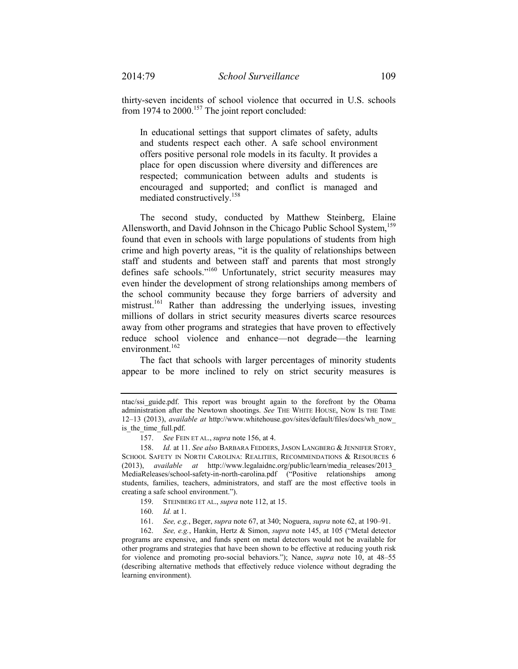thirty-seven incidents of school violence that occurred in U.S. schools from 1974 to 2000.<sup>157</sup> The joint report concluded:

In educational settings that support climates of safety, adults and students respect each other. A safe school environment offers positive personal role models in its faculty. It provides a place for open discussion where diversity and differences are respected; communication between adults and students is encouraged and supported; and conflict is managed and mediated constructively.158

The second study, conducted by Matthew Steinberg, Elaine Allensworth, and David Johnson in the Chicago Public School System,<sup>159</sup> found that even in schools with large populations of students from high crime and high poverty areas, "it is the quality of relationships between staff and students and between staff and parents that most strongly defines safe schools."160 Unfortunately, strict security measures may even hinder the development of strong relationships among members of the school community because they forge barriers of adversity and mistrust.<sup>161</sup> Rather than addressing the underlying issues, investing millions of dollars in strict security measures diverts scarce resources away from other programs and strategies that have proven to effectively reduce school violence and enhance—not degrade—the learning environment.<sup>162</sup>

The fact that schools with larger percentages of minority students appear to be more inclined to rely on strict security measures is

ntac/ssi\_guide.pdf. This report was brought again to the forefront by the Obama administration after the Newtown shootings. *See* THE WHITE HOUSE, NOW IS THE TIME 12–13 (2013), *available at* http://www.whitehouse.gov/sites/default/files/docs/wh\_now\_ is the time full.pdf.

 <sup>157.</sup> *See* FEIN ET AL., *supra* note 156, at 4.

 <sup>158.</sup> *Id.* at 11. *See also* BARBARA FEDDERS, JASON LANGBERG & JENNIFER STORY, SCHOOL SAFETY IN NORTH CAROLINA: REALITIES, RECOMMENDATIONS & RESOURCES 6 (2013), *available at* http://www.legalaidnc.org/public/learn/media\_releases/2013\_ MediaReleases/school-safety-in-north-carolina.pdf ("Positive relationships among students, families, teachers, administrators, and staff are the most effective tools in creating a safe school environment.").

 <sup>159.</sup> STEINBERG ET AL., *supra* note 112, at 15.

 <sup>160.</sup> *Id.* at 1.

 <sup>161.</sup> *See, e.g.*, Beger, *supra* note 67, at 340; Noguera, *supra* note 62, at 190–91.

 <sup>162.</sup> *See, e.g.*, Hankin, Hertz & Simon, *supra* note 145, at 105 ("Metal detector programs are expensive, and funds spent on metal detectors would not be available for other programs and strategies that have been shown to be effective at reducing youth risk for violence and promoting pro-social behaviors."); Nance, *supra* note 10, at 48–55 (describing alternative methods that effectively reduce violence without degrading the learning environment).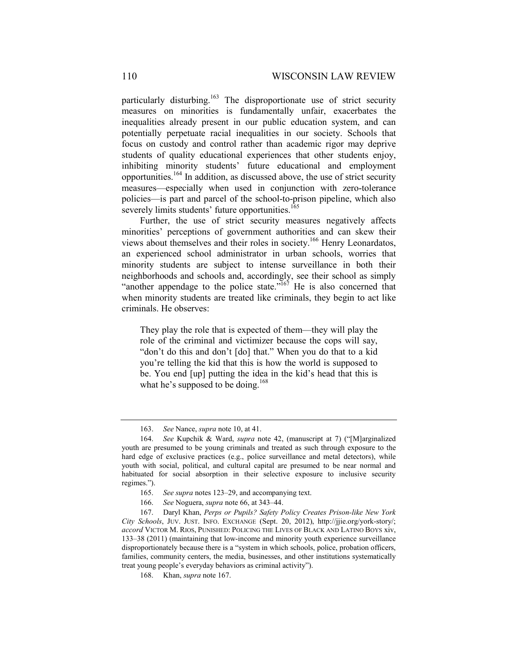particularly disturbing.<sup>163</sup> The disproportionate use of strict security measures on minorities is fundamentally unfair, exacerbates the inequalities already present in our public education system, and can potentially perpetuate racial inequalities in our society. Schools that focus on custody and control rather than academic rigor may deprive students of quality educational experiences that other students enjoy, inhibiting minority students' future educational and employment opportunities.164 In addition, as discussed above, the use of strict security measures—especially when used in conjunction with zero-tolerance policies—is part and parcel of the school-to-prison pipeline, which also severely limits students' future opportunities.<sup>165</sup>

Further, the use of strict security measures negatively affects minorities' perceptions of government authorities and can skew their views about themselves and their roles in society.166 Henry Leonardatos, an experienced school administrator in urban schools, worries that minority students are subject to intense surveillance in both their neighborhoods and schools and, accordingly, see their school as simply "another appendage to the police state."<sup>167</sup> He is also concerned that when minority students are treated like criminals, they begin to act like criminals. He observes:

They play the role that is expected of them—they will play the role of the criminal and victimizer because the cops will say, "don't do this and don't [do] that." When you do that to a kid you're telling the kid that this is how the world is supposed to be. You end [up] putting the idea in the kid's head that this is what he's supposed to be doing.<sup>168</sup>

166. *See* Noguera, *supra* note 66, at 343–44.

 <sup>163.</sup> *See* Nance, *supra* note 10, at 41.

 <sup>164.</sup> *See* Kupchik & Ward, *supra* note 42, (manuscript at 7) ("[M]arginalized youth are presumed to be young criminals and treated as such through exposure to the hard edge of exclusive practices (e.g., police surveillance and metal detectors), while youth with social, political, and cultural capital are presumed to be near normal and habituated for social absorption in their selective exposure to inclusive security regimes.").

 <sup>165.</sup> *See supra* notes 123–29, and accompanying text.

 <sup>167.</sup> Daryl Khan, *Perps or Pupils? Safety Policy Creates Prison-like New York City Schools*, JUV. JUST. INFO. EXCHANGE (Sept. 20, 2012), http://jjie.org/york-story/; *accord* VICTOR M. RIOS, PUNISHED: POLICING THE LIVES OF BLACK AND LATINO BOYS xiv, 133–38 (2011) (maintaining that low-income and minority youth experience surveillance disproportionately because there is a "system in which schools, police, probation officers, families, community centers, the media, businesses, and other institutions systematically treat young people's everyday behaviors as criminal activity").

 <sup>168.</sup> Khan, *supra* note 167.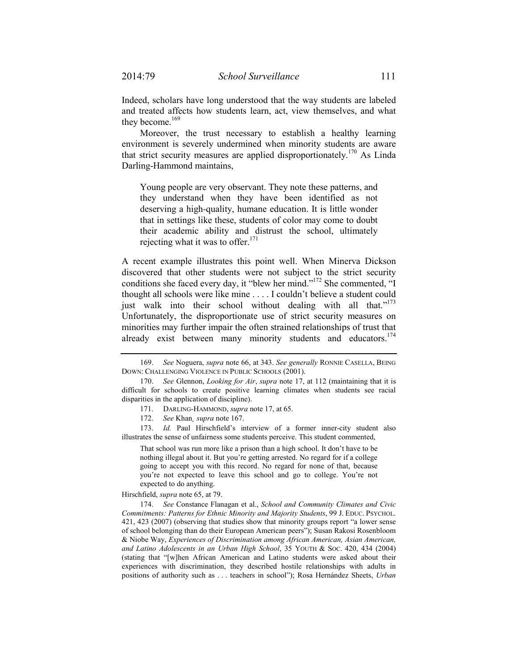Indeed, scholars have long understood that the way students are labeled and treated affects how students learn, act, view themselves, and what they become. $169$ 

Moreover, the trust necessary to establish a healthy learning environment is severely undermined when minority students are aware that strict security measures are applied disproportionately.<sup>170</sup> As Linda Darling-Hammond maintains,

Young people are very observant. They note these patterns, and they understand when they have been identified as not deserving a high-quality, humane education. It is little wonder that in settings like these, students of color may come to doubt their academic ability and distrust the school, ultimately rejecting what it was to offer. $171$ 

A recent example illustrates this point well. When Minerva Dickson discovered that other students were not subject to the strict security conditions she faced every day, it "blew her mind."172 She commented, "I thought all schools were like mine . . . . I couldn't believe a student could just walk into their school without dealing with all that."<sup>173</sup> Unfortunately, the disproportionate use of strict security measures on minorities may further impair the often strained relationships of trust that already exist between many minority students and educators.<sup>174</sup>

172. *See* Khan*¸ supra* note 167.

 173. *Id.* Paul Hirschfield's interview of a former inner-city student also illustrates the sense of unfairness some students perceive. This student commented,

That school was run more like a prison than a high school. It don't have to be nothing illegal about it. But you're getting arrested. No regard for if a college going to accept you with this record. No regard for none of that, because you're not expected to leave this school and go to college. You're not expected to do anything.

Hirschfield, *supra* note 65, at 79.

 174. *See* Constance Flanagan et al., *School and Community Climates and Civic Commitments: Patterns for Ethnic Minority and Majority Students*, 99 J. EDUC. PSYCHOL. 421, 423 (2007) (observing that studies show that minority groups report "a lower sense of school belonging than do their European American peers"); Susan Rakosi Rosenbloom & Niobe Way, *Experiences of Discrimination among African American, Asian American, and Latino Adolescents in an Urban High School*, 35 YOUTH & SOC. 420, 434 (2004) (stating that "[w]hen African American and Latino students were asked about their experiences with discrimination, they described hostile relationships with adults in positions of authority such as . . . teachers in school"); Rosa Hernández Sheets, *Urban* 

 <sup>169.</sup> *See* Noguera, *supra* note 66, at 343. *See generally* RONNIE CASELLA, BEING DOWN: CHALLENGING VIOLENCE IN PUBLIC SCHOOLS (2001).

 <sup>170.</sup> *See* Glennon, *Looking for Air*, *supra* note 17, at 112 (maintaining that it is difficult for schools to create positive learning climates when students see racial disparities in the application of discipline).

 <sup>171.</sup> DARLING-HAMMOND, *supra* note 17, at 65.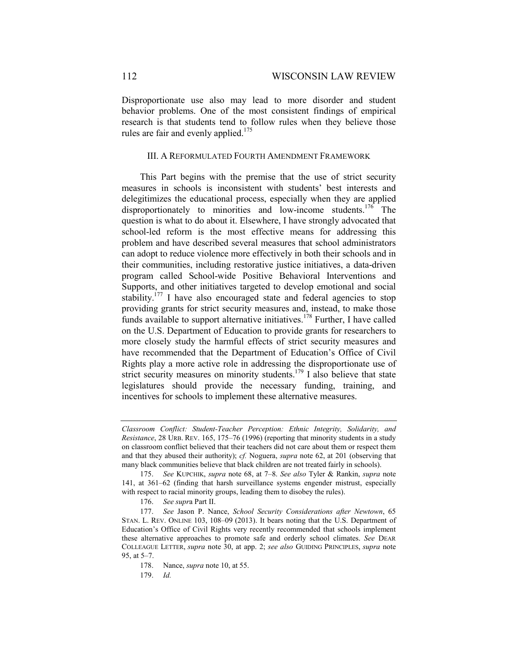Disproportionate use also may lead to more disorder and student behavior problems. One of the most consistent findings of empirical research is that students tend to follow rules when they believe those rules are fair and evenly applied.<sup>175</sup>

### III. A REFORMULATED FOURTH AMENDMENT FRAMEWORK

This Part begins with the premise that the use of strict security measures in schools is inconsistent with students' best interests and delegitimizes the educational process, especially when they are applied disproportionately to minorities and low-income students.<sup>176</sup> The question is what to do about it. Elsewhere, I have strongly advocated that school-led reform is the most effective means for addressing this problem and have described several measures that school administrators can adopt to reduce violence more effectively in both their schools and in their communities, including restorative justice initiatives, a data-driven program called School-wide Positive Behavioral Interventions and Supports, and other initiatives targeted to develop emotional and social stability.<sup>177</sup> I have also encouraged state and federal agencies to stop providing grants for strict security measures and, instead, to make those funds available to support alternative initiatives.<sup>178</sup> Further, I have called on the U.S. Department of Education to provide grants for researchers to more closely study the harmful effects of strict security measures and have recommended that the Department of Education's Office of Civil Rights play a more active role in addressing the disproportionate use of strict security measures on minority students.<sup>179</sup> I also believe that state legislatures should provide the necessary funding, training, and incentives for schools to implement these alternative measures.

*Classroom Conflict: Student-Teacher Perception: Ethnic Integrity, Solidarity, and Resistance*, 28 URB. REV. 165, 175–76 (1996) (reporting that minority students in a study on classroom conflict believed that their teachers did not care about them or respect them and that they abused their authority); *cf.* Noguera, *supra* note 62, at 201 (observing that many black communities believe that black children are not treated fairly in schools).

 <sup>175.</sup> *See* KUPCHIK, *supra* note 68, at 7–8. *See also* Tyler & Rankin, *supra* note 141, at 361–62 (finding that harsh surveillance systems engender mistrust, especially with respect to racial minority groups, leading them to disobey the rules).

 <sup>176.</sup> *See supr*a Part II.

 <sup>177.</sup> *See* Jason P. Nance, *School Security Considerations after Newtown*, 65 STAN. L. REV. ONLINE 103, 108–09 (2013). It bears noting that the U.S. Department of Education's Office of Civil Rights very recently recommended that schools implement these alternative approaches to promote safe and orderly school climates. *See* DEAR COLLEAGUE LETTER, *supra* note 30, at app. 2; *see also* GUIDING PRINCIPLES, *supra* note 95, at 5–7.

 <sup>178.</sup> Nance, *supra* note 10, at 55.

 <sup>179.</sup> *Id.*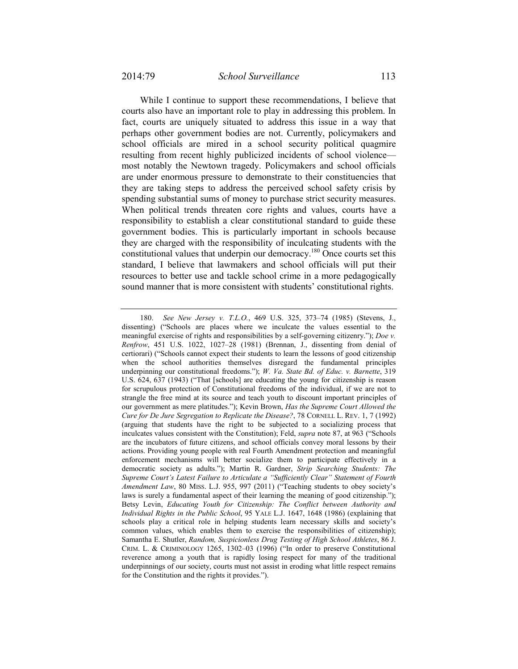While I continue to support these recommendations, I believe that courts also have an important role to play in addressing this problem. In fact, courts are uniquely situated to address this issue in a way that perhaps other government bodies are not. Currently, policymakers and school officials are mired in a school security political quagmire resulting from recent highly publicized incidents of school violence most notably the Newtown tragedy. Policymakers and school officials are under enormous pressure to demonstrate to their constituencies that they are taking steps to address the perceived school safety crisis by spending substantial sums of money to purchase strict security measures. When political trends threaten core rights and values, courts have a responsibility to establish a clear constitutional standard to guide these government bodies. This is particularly important in schools because they are charged with the responsibility of inculcating students with the constitutional values that underpin our democracy.180 Once courts set this standard, I believe that lawmakers and school officials will put their resources to better use and tackle school crime in a more pedagogically sound manner that is more consistent with students' constitutional rights.

 <sup>180.</sup> *See New Jersey v. T.L.O.*, 469 U.S. 325, 373–74 (1985) (Stevens, J., dissenting) ("Schools are places where we inculcate the values essential to the meaningful exercise of rights and responsibilities by a self-governing citizenry."); *Doe v. Renfrow*, 451 U.S. 1022, 1027–28 (1981) (Brennan, J., dissenting from denial of certiorari) ("Schools cannot expect their students to learn the lessons of good citizenship when the school authorities themselves disregard the fundamental principles underpinning our constitutional freedoms."); *W. Va. State Bd. of Educ. v. Barnette*, 319 U.S. 624, 637 (1943) ("That [schools] are educating the young for citizenship is reason for scrupulous protection of Constitutional freedoms of the individual, if we are not to strangle the free mind at its source and teach youth to discount important principles of our government as mere platitudes."); Kevin Brown, *Has the Supreme Court Allowed the Cure for De Jure Segregation to Replicate the Disease?*, 78 CORNELL L. REV. 1, 7 (1992) (arguing that students have the right to be subjected to a socializing process that inculcates values consistent with the Constitution); Feld, *supra* note 87, at 963 ("Schools are the incubators of future citizens, and school officials convey moral lessons by their actions. Providing young people with real Fourth Amendment protection and meaningful enforcement mechanisms will better socialize them to participate effectively in a democratic society as adults."); Martin R. Gardner, *Strip Searching Students: The Supreme Court's Latest Failure to Articulate a "Sufficiently Clear" Statement of Fourth Amendment Law*, 80 MISS. L.J. 955, 997 (2011) ("Teaching students to obey society's laws is surely a fundamental aspect of their learning the meaning of good citizenship."); Betsy Levin, *Educating Youth for Citizenship: The Conflict between Authority and Individual Rights in the Public School*, 95 YALE L.J. 1647, 1648 (1986) (explaining that schools play a critical role in helping students learn necessary skills and society's common values, which enables them to exercise the responsibilities of citizenship); Samantha E. Shutler, *Random, Suspicionless Drug Testing of High School Athletes*, 86 J. CRIM. L. & CRIMINOLOGY 1265, 1302–03 (1996) ("In order to preserve Constitutional reverence among a youth that is rapidly losing respect for many of the traditional underpinnings of our society, courts must not assist in eroding what little respect remains for the Constitution and the rights it provides.").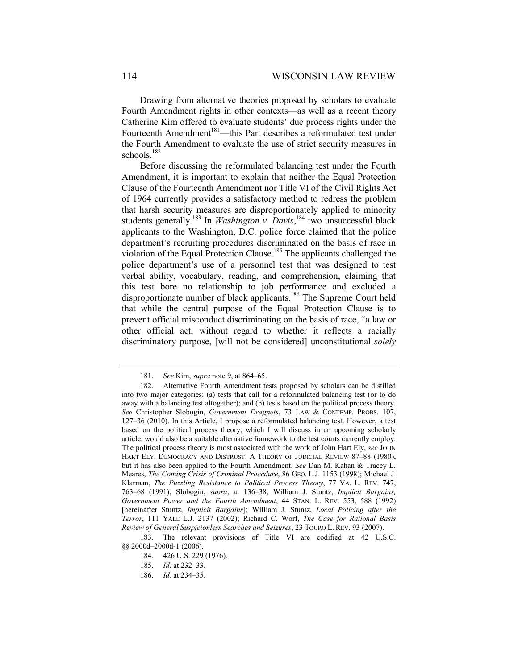Drawing from alternative theories proposed by scholars to evaluate Fourth Amendment rights in other contexts—as well as a recent theory Catherine Kim offered to evaluate students' due process rights under the Fourteenth Amendment<sup>181</sup>—this Part describes a reformulated test under the Fourth Amendment to evaluate the use of strict security measures in schools. $182$ 

Before discussing the reformulated balancing test under the Fourth Amendment, it is important to explain that neither the Equal Protection Clause of the Fourteenth Amendment nor Title VI of the Civil Rights Act of 1964 currently provides a satisfactory method to redress the problem that harsh security measures are disproportionately applied to minority students generally.<sup>183</sup> In *Washington v. Davis*,<sup>184</sup> two unsuccessful black applicants to the Washington, D.C. police force claimed that the police department's recruiting procedures discriminated on the basis of race in violation of the Equal Protection Clause.185 The applicants challenged the police department's use of a personnel test that was designed to test verbal ability, vocabulary, reading, and comprehension, claiming that this test bore no relationship to job performance and excluded a disproportionate number of black applicants.<sup>186</sup> The Supreme Court held that while the central purpose of the Equal Protection Clause is to prevent official misconduct discriminating on the basis of race, "a law or other official act, without regard to whether it reflects a racially discriminatory purpose, [will not be considered] unconstitutional *solely* 

 <sup>181.</sup> *See* Kim, *supra* note 9, at 864–65.

 <sup>182.</sup> Alternative Fourth Amendment tests proposed by scholars can be distilled into two major categories: (a) tests that call for a reformulated balancing test (or to do away with a balancing test altogether); and (b) tests based on the political process theory. *See* Christopher Slobogin, *Government Dragnets*, 73 LAW & CONTEMP. PROBS. 107, 127–36 (2010). In this Article, I propose a reformulated balancing test. However, a test based on the political process theory, which I will discuss in an upcoming scholarly article, would also be a suitable alternative framework to the test courts currently employ. The political process theory is most associated with the work of John Hart Ely, *see* JOHN HART ELY, DEMOCRACY AND DISTRUST: A THEORY OF JUDICIAL REVIEW 87–88 (1980), but it has also been applied to the Fourth Amendment. *See* Dan M. Kahan & Tracey L. Meares, *The Coming Crisis of Criminal Procedure*, 86 GEO. L.J. 1153 (1998); Michael J. Klarman, *The Puzzling Resistance to Political Process Theory*, 77 VA. L. REV. 747, 763–68 (1991); Slobogin, *supra*, at 136–38; William J. Stuntz, *Implicit Bargains, Government Power and the Fourth Amendment*, 44 STAN. L. REV. 553, 588 (1992) [hereinafter Stuntz, *Implicit Bargains*]; William J. Stuntz, *Local Policing after the Terror*, 111 YALE L.J. 2137 (2002); Richard C. Worf, *The Case for Rational Basis Review of General Suspicionless Searches and Seizures*, 23 TOURO L. REV. 93 (2007).

 <sup>183.</sup> The relevant provisions of Title VI are codified at 42 U.S.C. §§ 2000d–2000d-1 (2006).

 <sup>184. 426</sup> U.S. 229 (1976).

 <sup>185.</sup> *Id.* at 232–33.

 <sup>186.</sup> *Id.* at 234–35.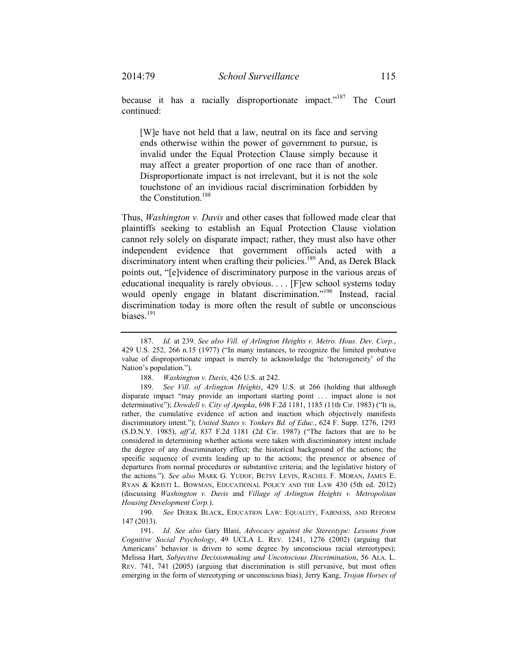because it has a racially disproportionate impact."<sup>187</sup> The Court continued:

[W]e have not held that a law, neutral on its face and serving ends otherwise within the power of government to pursue, is invalid under the Equal Protection Clause simply because it may affect a greater proportion of one race than of another. Disproportionate impact is not irrelevant, but it is not the sole touchstone of an invidious racial discrimination forbidden by the Constitution.<sup>188</sup>

Thus, *Washington v. Davis* and other cases that followed made clear that plaintiffs seeking to establish an Equal Protection Clause violation cannot rely solely on disparate impact; rather, they must also have other independent evidence that government officials acted with a discriminatory intent when crafting their policies.<sup>189</sup> And, as Derek Black points out, "[e]vidence of discriminatory purpose in the various areas of educational inequality is rarely obvious. . . . [F]ew school systems today would openly engage in blatant discrimination."<sup>190</sup> Instead, racial discrimination today is more often the result of subtle or unconscious biases.<sup>191</sup>

 <sup>187.</sup> *Id.* at 239*. See also Vill. of Arlington Heights v. Metro. Hous. Dev. Corp.*, 429 U.S. 252, 266 n.15 (1977) ("In many instances, to recognize the limited probative value of disproportionate impact is merely to acknowledge the 'heterogeneity' of the Nation's population.").

 <sup>188.</sup> *Washington v. Davis*, 426 U.S. at 242.

 <sup>189.</sup> *See Vill. of Arlington Heights*, 429 U.S. at 266 (holding that although disparate impact "may provide an important starting point . . . impact alone is not determinative"); *Dowdell v. City of Apopka*, 698 F.2d 1181, 1185 (11th Cir. 1983) ("It is, rather, the cumulative evidence of action and inaction which objectively manifests discriminatory intent."); *United States v. Yonkers Bd. of Educ.*, 624 F. Supp. 1276, 1293 (S.D.N.Y. 1985), *aff'd*, 837 F.2d 1181 (2d Cir. 1987) ("The factors that are to be considered in determining whether actions were taken with discriminatory intent include the degree of any discriminatory effect; the historical background of the actions; the specific sequence of events leading up to the actions; the presence or absence of departures from normal procedures or substantive criteria; and the legislative history of the actions."). *See also* MARK G. YUDOF, BETSY LEVIN, RACHEL F. MORAN, JAMES E. RYAN & KRISTI L. BOWMAN, EDUCATIONAL POLICY AND THE LAW 430 (5th ed. 2012) (discussing *Washington v. Davis* and *Village of Arlington Heights v. Metropolitan Housing Development Corp.*).

 <sup>190.</sup> *See* DEREK BLACK, EDUCATION LAW: EQUALITY, FAIRNESS, AND REFORM 147 (2013).

 <sup>191.</sup> *Id. See also* Gary Blasi, *Advocacy against the Stereotype: Lessons from Cognitive Social Psychology*, 49 UCLA L. REV. 1241, 1276 (2002) (arguing that Americans' behavior is driven to some degree by unconscious racial stereotypes); Melissa Hart, *Subjective Decisionmaking and Unconscious Discrimination*, 56 ALA. L. REV. 741, 741 (2005) (arguing that discrimination is still pervasive, but most often emerging in the form of stereotyping or unconscious bias); Jerry Kang, *Trojan Horses of*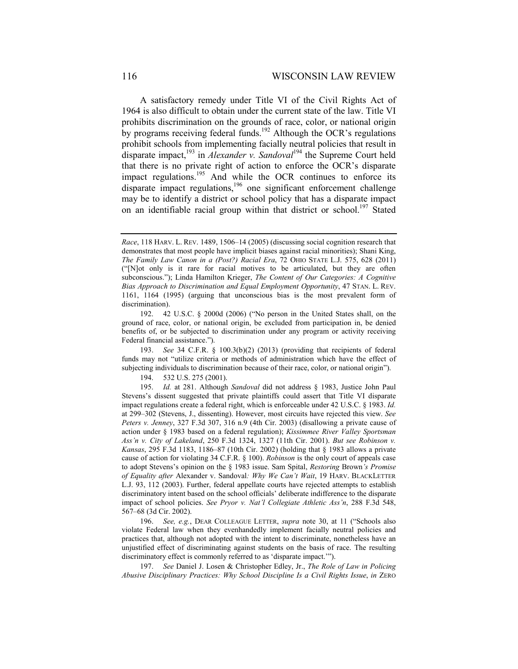A satisfactory remedy under Title VI of the Civil Rights Act of 1964 is also difficult to obtain under the current state of the law. Title VI prohibits discrimination on the grounds of race, color, or national origin by programs receiving federal funds.<sup>192</sup> Although the OCR's regulations prohibit schools from implementing facially neutral policies that result in disparate impact,<sup>193</sup> in *Alexander v. Sandoval*<sup>194</sup> the Supreme Court held that there is no private right of action to enforce the OCR's disparate impact regulations.<sup>195</sup> And while the OCR continues to enforce its disparate impact regulations,<sup>196</sup> one significant enforcement challenge may be to identify a district or school policy that has a disparate impact on an identifiable racial group within that district or school.<sup>197</sup> Stated

 193. *See* 34 C.F.R. § 100.3(b)(2) (2013) (providing that recipients of federal funds may not "utilize criteria or methods of administration which have the effect of subjecting individuals to discrimination because of their race, color, or national origin").

194. 532 U.S. 275 (2001).

 196. *See, e.g.*, DEAR COLLEAGUE LETTER, *supra* note 30, at 11 ("Schools also violate Federal law when they evenhandedly implement facially neutral policies and practices that, although not adopted with the intent to discriminate, nonetheless have an unjustified effect of discriminating against students on the basis of race. The resulting discriminatory effect is commonly referred to as 'disparate impact.'").

 197. *See* Daniel J. Losen & Christopher Edley, Jr., *The Role of Law in Policing Abusive Disciplinary Practices: Why School Discipline Is a Civil Rights Issue*, *in* ZERO

*Race*, 118 HARV. L. REV. 1489, 1506–14 (2005) (discussing social cognition research that demonstrates that most people have implicit biases against racial minorities); Shani King, *The Family Law Canon in a (Post?) Racial Era*, 72 OHIO STATE L.J. 575, 628 (2011) ("[N]ot only is it rare for racial motives to be articulated, but they are often subconscious."); Linda Hamilton Krieger, *The Content of Our Categories: A Cognitive Bias Approach to Discrimination and Equal Employment Opportunity*, 47 STAN. L. REV. 1161, 1164 (1995) (arguing that unconscious bias is the most prevalent form of discrimination).

 <sup>192. 42</sup> U.S.C. § 2000d (2006) ("No person in the United States shall, on the ground of race, color, or national origin, be excluded from participation in, be denied benefits of, or be subjected to discrimination under any program or activity receiving Federal financial assistance.").

 <sup>195.</sup> *Id.* at 281. Although *Sandoval* did not address § 1983, Justice John Paul Stevens's dissent suggested that private plaintiffs could assert that Title VI disparate impact regulations create a federal right, which is enforceable under 42 U.S.C. § 1983. *Id.*  at 299–302 (Stevens, J., dissenting). However, most circuits have rejected this view. *See Peters v. Jenney*, 327 F.3d 307, 316 n.9 (4th Cir. 2003) (disallowing a private cause of action under § 1983 based on a federal regulation); *Kissimmee River Valley Sportsman Ass'n v. City of Lakeland*, 250 F.3d 1324, 1327 (11th Cir. 2001). *But see Robinson v. Kansas*, 295 F.3d 1183, 1186–87 (10th Cir. 2002) (holding that § 1983 allows a private cause of action for violating 34 C.F.R. § 100). *Robinson* is the only court of appeals case to adopt Stevens's opinion on the § 1983 issue. Sam Spital, *Restoring* Brown*'s Promise of Equality after* Alexander v. Sandoval*: Why We Can't Wait*, 19 HARV. BLACKLETTER L.J. 93, 112 (2003). Further, federal appellate courts have rejected attempts to establish discriminatory intent based on the school officials' deliberate indifference to the disparate impact of school policies. *See Pryor v. Nat'l Collegiate Athletic Ass'n*, 288 F.3d 548, 567–68 (3d Cir. 2002).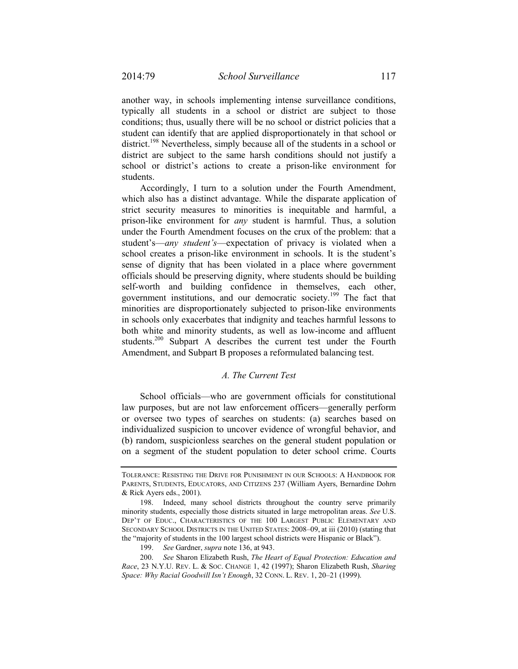another way, in schools implementing intense surveillance conditions, typically all students in a school or district are subject to those conditions; thus, usually there will be no school or district policies that a student can identify that are applied disproportionately in that school or district.<sup>198</sup> Nevertheless, simply because all of the students in a school or district are subject to the same harsh conditions should not justify a school or district's actions to create a prison-like environment for students.

Accordingly, I turn to a solution under the Fourth Amendment, which also has a distinct advantage. While the disparate application of strict security measures to minorities is inequitable and harmful, a prison-like environment for *any* student is harmful. Thus, a solution under the Fourth Amendment focuses on the crux of the problem: that a student's—*any student's*—expectation of privacy is violated when a school creates a prison-like environment in schools. It is the student's sense of dignity that has been violated in a place where government officials should be preserving dignity, where students should be building self-worth and building confidence in themselves, each other, government institutions, and our democratic society.<sup>199</sup> The fact that minorities are disproportionately subjected to prison-like environments in schools only exacerbates that indignity and teaches harmful lessons to both white and minority students, as well as low-income and affluent students.<sup>200</sup> Subpart A describes the current test under the Fourth Amendment, and Subpart B proposes a reformulated balancing test.

# *A. The Current Test*

School officials—who are government officials for constitutional law purposes, but are not law enforcement officers—generally perform or oversee two types of searches on students: (a) searches based on individualized suspicion to uncover evidence of wrongful behavior, and (b) random, suspicionless searches on the general student population or on a segment of the student population to deter school crime. Courts

TOLERANCE: RESISTING THE DRIVE FOR PUNISHMENT IN OUR SCHOOLS: A HANDBOOK FOR PARENTS, STUDENTS, EDUCATORS, AND CITIZENS 237 (William Ayers, Bernardine Dohrn & Rick Ayers eds., 2001).

 <sup>198.</sup> Indeed, many school districts throughout the country serve primarily minority students, especially those districts situated in large metropolitan areas. *See* U.S. DEP'T OF EDUC., CHARACTERISTICS OF THE 100 LARGEST PUBLIC ELEMENTARY AND SECONDARY SCHOOL DISTRICTS IN THE UNITED STATES: 2008–09, at iii (2010) (stating that the "majority of students in the 100 largest school districts were Hispanic or Black").

 <sup>199.</sup> *See* Gardner, *supra* note 136, at 943.

 <sup>200.</sup> *See* Sharon Elizabeth Rush, *The Heart of Equal Protection: Education and Race*, 23 N.Y.U. REV. L. & SOC. CHANGE 1, 42 (1997); Sharon Elizabeth Rush, *Sharing Space: Why Racial Goodwill Isn't Enough*, 32 CONN. L. REV. 1, 20–21 (1999).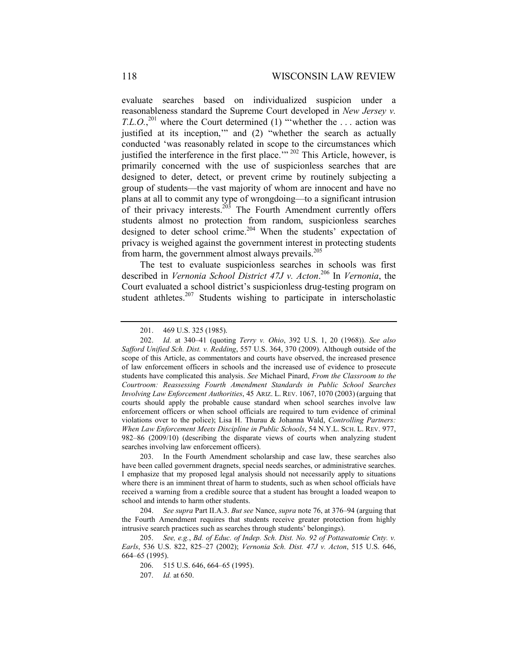evaluate searches based on individualized suspicion under a reasonableness standard the Supreme Court developed in *New Jersey v. T.L.O.*<sup>201</sup> where the Court determined (1) "'whether the ... action was justified at its inception," and (2) "whether the search as actually conducted 'was reasonably related in scope to the circumstances which justified the interference in the first place.<sup> $\cdot$ </sup><sup>202</sup> This Article, however, is primarily concerned with the use of suspicionless searches that are designed to deter, detect, or prevent crime by routinely subjecting a group of students—the vast majority of whom are innocent and have no plans at all to commit any type of wrongdoing—to a significant intrusion of their privacy interests.<sup>203</sup> The Fourth Amendment currently offers students almost no protection from random, suspicionless searches designed to deter school crime.<sup>204</sup> When the students' expectation of privacy is weighed against the government interest in protecting students from harm, the government almost always prevails. $^{205}$ 

The test to evaluate suspicionless searches in schools was first described in *Vernonia School District 47J v. Acton*. 206 In *Vernonia*, the Court evaluated a school district's suspicionless drug-testing program on student athletes.<sup>207</sup> Students wishing to participate in interscholastic

 <sup>201. 469</sup> U.S. 325 (1985).

 <sup>202.</sup> *Id.* at 340–41 (quoting *Terry v. Ohio*, 392 U.S. 1, 20 (1968)). *See also Safford Unified Sch. Dist. v. Redding*, 557 U.S. 364, 370 (2009). Although outside of the scope of this Article, as commentators and courts have observed, the increased presence of law enforcement officers in schools and the increased use of evidence to prosecute students have complicated this analysis. *See* Michael Pinard, *From the Classroom to the Courtroom: Reassessing Fourth Amendment Standards in Public School Searches Involving Law Enforcement Authorities*, 45 ARIZ. L. REV. 1067, 1070 (2003) (arguing that courts should apply the probable cause standard when school searches involve law enforcement officers or when school officials are required to turn evidence of criminal violations over to the police); Lisa H. Thurau & Johanna Wald, *Controlling Partners: When Law Enforcement Meets Discipline in Public Schools*, 54 N.Y.L. SCH. L. REV. 977, 982–86 (2009/10) (describing the disparate views of courts when analyzing student searches involving law enforcement officers).

 <sup>203.</sup> In the Fourth Amendment scholarship and case law, these searches also have been called government dragnets, special needs searches, or administrative searches. I emphasize that my proposed legal analysis should not necessarily apply to situations where there is an imminent threat of harm to students, such as when school officials have received a warning from a credible source that a student has brought a loaded weapon to school and intends to harm other students.

 <sup>204.</sup> *See supra* Part II.A.3. *But see* Nance, *supra* note 76, at 376–94 (arguing that the Fourth Amendment requires that students receive greater protection from highly intrusive search practices such as searches through students' belongings).

 <sup>205.</sup> *See, e.g.*, *Bd. of Educ. of Indep. Sch. Dist. No. 92 of Pottawatomie Cnty. v. Earls*, 536 U.S. 822, 825–27 (2002); *Vernonia Sch. Dist. 47J v. Acton*, 515 U.S. 646, 664–65 (1995).

 <sup>206. 515</sup> U.S. 646, 664–65 (1995).

 <sup>207.</sup> *Id.* at 650.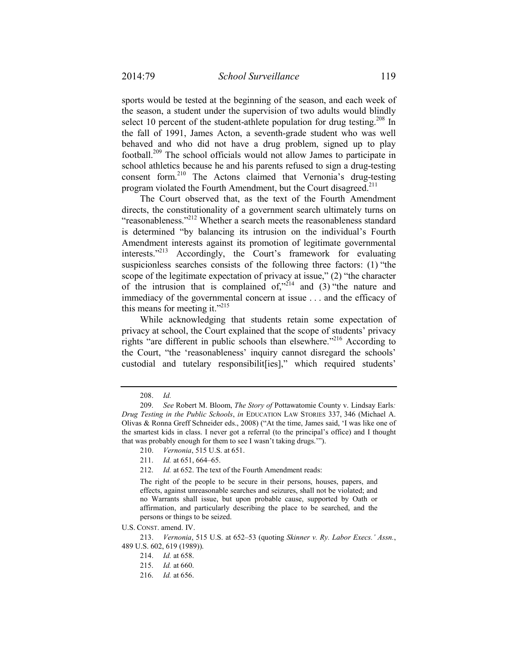sports would be tested at the beginning of the season, and each week of the season, a student under the supervision of two adults would blindly select 10 percent of the student-athlete population for drug testing.<sup>208</sup> In the fall of 1991, James Acton, a seventh-grade student who was well behaved and who did not have a drug problem, signed up to play football.209 The school officials would not allow James to participate in school athletics because he and his parents refused to sign a drug-testing consent form.210 The Actons claimed that Vernonia's drug-testing program violated the Fourth Amendment, but the Court disagreed.<sup>211</sup>

The Court observed that, as the text of the Fourth Amendment directs, the constitutionality of a government search ultimately turns on "reasonableness."212 Whether a search meets the reasonableness standard is determined "by balancing its intrusion on the individual's Fourth Amendment interests against its promotion of legitimate governmental interests."213 Accordingly, the Court's framework for evaluating suspicionless searches consists of the following three factors: (1) "the scope of the legitimate expectation of privacy at issue," (2) "the character of the intrusion that is complained of," $2^{14}$  and (3) "the nature and immediacy of the governmental concern at issue . . . and the efficacy of this means for meeting it."<sup>215</sup>

While acknowledging that students retain some expectation of privacy at school, the Court explained that the scope of students' privacy rights "are different in public schools than elsewhere."216 According to the Court, "the 'reasonableness' inquiry cannot disregard the schools' custodial and tutelary responsibilit[ies]," which required students'

 <sup>208.</sup> *Id.*

 <sup>209.</sup> *See* Robert M. Bloom, *The Story of* Pottawatomie County v. Lindsay Earls*: Drug Testing in the Public Schools*, *in* EDUCATION LAW STORIES 337, 346 (Michael A. Olivas & Ronna Greff Schneider eds., 2008) ("At the time, James said, 'I was like one of the smartest kids in class. I never got a referral (to the principal's office) and I thought that was probably enough for them to see I wasn't taking drugs.'").

 <sup>210.</sup> *Vernonia*, 515 U.S. at 651.

 <sup>211.</sup> *Id.* at 651, 664–65.

 <sup>212.</sup> *Id.* at 652. The text of the Fourth Amendment reads:

The right of the people to be secure in their persons, houses, papers, and effects, against unreasonable searches and seizures, shall not be violated; and no Warrants shall issue, but upon probable cause, supported by Oath or affirmation, and particularly describing the place to be searched, and the persons or things to be seized.

U.S. CONST. amend. IV.

 <sup>213.</sup> *Vernonia*, 515 U.S. at 652–53 (quoting *Skinner v. Ry. Labor Execs.' Assn.*, 489 U.S. 602, 619 (1989)).

 <sup>214.</sup> *Id.* at 658.

 <sup>215.</sup> *Id.* at 660.

 <sup>216.</sup> *Id.* at 656.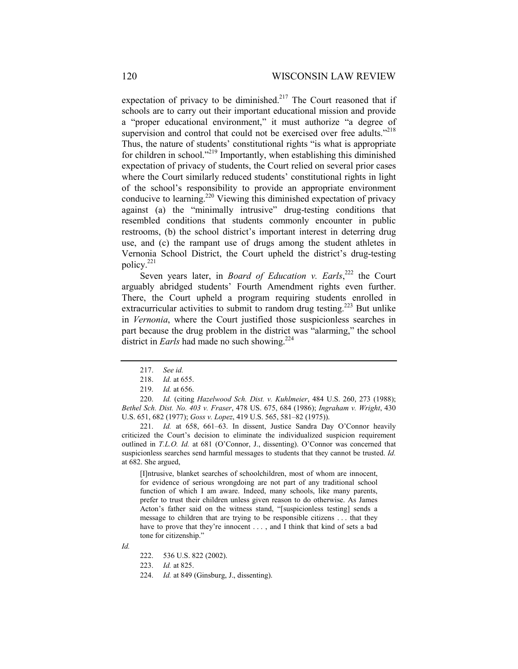expectation of privacy to be diminished.<sup>217</sup> The Court reasoned that if schools are to carry out their important educational mission and provide a "proper educational environment," it must authorize "a degree of supervision and control that could not be exercised over free adults."<sup>218</sup> Thus, the nature of students' constitutional rights "is what is appropriate for children in school."219 Importantly, when establishing this diminished expectation of privacy of students, the Court relied on several prior cases where the Court similarly reduced students' constitutional rights in light of the school's responsibility to provide an appropriate environment conducive to learning.<sup>220</sup> Viewing this diminished expectation of privacy against (a) the "minimally intrusive" drug-testing conditions that resembled conditions that students commonly encounter in public restrooms, (b) the school district's important interest in deterring drug use, and (c) the rampant use of drugs among the student athletes in Vernonia School District, the Court upheld the district's drug-testing policy.<sup>221</sup>

Seven years later, in *Board of Education v. Earls*,<sup>222</sup> the Court arguably abridged students' Fourth Amendment rights even further. There, the Court upheld a program requiring students enrolled in extracurricular activities to submit to random drug testing.<sup>223</sup> But unlike in *Vernonia*, where the Court justified those suspicionless searches in part because the drug problem in the district was "alarming," the school district in *Earls* had made no such showing.<sup>224</sup>

 221. *Id.* at 658, 661–63. In dissent, Justice Sandra Day O'Connor heavily criticized the Court's decision to eliminate the individualized suspicion requirement outlined in *T.L.O. Id.* at 681 (O'Connor, J., dissenting). O'Connor was concerned that suspicionless searches send harmful messages to students that they cannot be trusted. *Id.*  at 682. She argued,

[I]ntrusive, blanket searches of schoolchildren, most of whom are innocent, for evidence of serious wrongdoing are not part of any traditional school function of which I am aware. Indeed, many schools, like many parents, prefer to trust their children unless given reason to do otherwise. As James Acton's father said on the witness stand, "[suspicionless testing] sends a message to children that are trying to be responsible citizens . . . that they have to prove that they're innocent . . . , and I think that kind of sets a bad tone for citizenship."

223. *Id.* at 825.

 <sup>217.</sup> *See id.*

 <sup>218.</sup> *Id.* at 655.

 <sup>219.</sup> *Id.* at 656.

 <sup>220.</sup> *Id.* (citing *Hazelwood Sch. Dist. v. Kuhlmeier*, 484 U.S. 260, 273 (1988); *Bethel Sch. Dist. No. 403 v. Fraser*, 478 US. 675, 684 (1986); *Ingraham v. Wright*, 430 U.S. 651, 682 (1977); *Goss v. Lopez*, 419 U.S. 565, 581–82 (1975)).

*Id.*

 <sup>222. 536</sup> U.S. 822 (2002).

 <sup>224.</sup> *Id.* at 849 (Ginsburg, J., dissenting).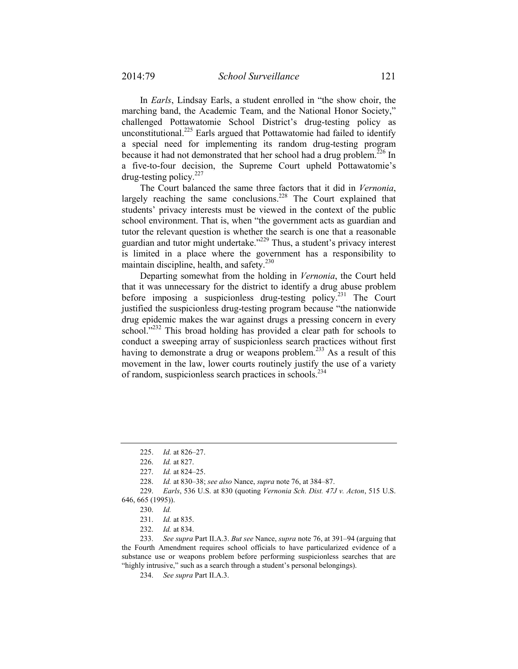In *Earls*, Lindsay Earls, a student enrolled in "the show choir, the marching band, the Academic Team, and the National Honor Society," challenged Pottawatomie School District's drug-testing policy as unconstitutional.<sup>225</sup> Earls argued that Pottawatomie had failed to identify a special need for implementing its random drug-testing program because it had not demonstrated that her school had a drug problem.<sup>226</sup> In a five-to-four decision, the Supreme Court upheld Pottawatomie's drug-testing policy. $227$ 

The Court balanced the same three factors that it did in *Vernonia*, largely reaching the same conclusions.<sup>228</sup> The Court explained that students' privacy interests must be viewed in the context of the public school environment. That is, when "the government acts as guardian and tutor the relevant question is whether the search is one that a reasonable guardian and tutor might undertake."229 Thus, a student's privacy interest is limited in a place where the government has a responsibility to maintain discipline, health, and safety.<sup>230</sup>

Departing somewhat from the holding in *Vernonia*, the Court held that it was unnecessary for the district to identify a drug abuse problem before imposing a suspicionless drug-testing policy.<sup>231</sup> The Court justified the suspicionless drug-testing program because "the nationwide drug epidemic makes the war against drugs a pressing concern in every school."<sup>232</sup> This broad holding has provided a clear path for schools to conduct a sweeping array of suspicionless search practices without first having to demonstrate a drug or weapons problem.<sup>233</sup> As a result of this movement in the law, lower courts routinely justify the use of a variety of random, suspicionless search practices in schools.234

 <sup>225.</sup> *Id.* at 826–27.

 <sup>226.</sup> *Id.* at 827.

 <sup>227.</sup> *Id.* at 824–25.

 <sup>228.</sup> *Id.* at 830–38; *see also* Nance, *supra* note 76, at 384–87.

 <sup>229.</sup> *Earls*, 536 U.S. at 830 (quoting *Vernonia Sch. Dist. 47J v. Acton*, 515 U.S. 646, 665 (1995)).

 <sup>230.</sup> *Id.*

 <sup>231.</sup> *Id.* at 835.

 <sup>232.</sup> *Id.* at 834.

 <sup>233.</sup> *See supra* Part II.A.3. *But see* Nance, *supra* note 76, at 391–94 (arguing that the Fourth Amendment requires school officials to have particularized evidence of a substance use or weapons problem before performing suspicionless searches that are "highly intrusive," such as a search through a student's personal belongings).

 <sup>234.</sup> *See supra* Part II.A.3.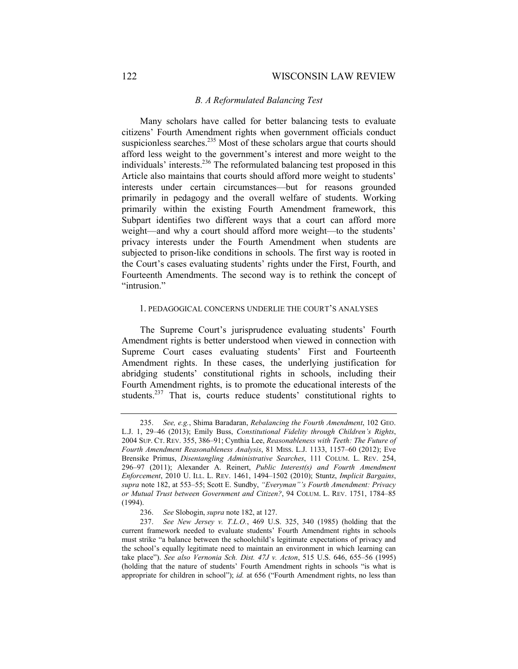## *B. A Reformulated Balancing Test*

Many scholars have called for better balancing tests to evaluate citizens' Fourth Amendment rights when government officials conduct suspicionless searches.<sup>235</sup> Most of these scholars argue that courts should afford less weight to the government's interest and more weight to the individuals' interests.236 The reformulated balancing test proposed in this Article also maintains that courts should afford more weight to students' interests under certain circumstances—but for reasons grounded primarily in pedagogy and the overall welfare of students. Working primarily within the existing Fourth Amendment framework, this Subpart identifies two different ways that a court can afford more weight—and why a court should afford more weight—to the students' privacy interests under the Fourth Amendment when students are subjected to prison-like conditions in schools. The first way is rooted in the Court's cases evaluating students' rights under the First, Fourth, and Fourteenth Amendments. The second way is to rethink the concept of "intrusion."

#### 1. PEDAGOGICAL CONCERNS UNDERLIE THE COURT'S ANALYSES

The Supreme Court's jurisprudence evaluating students' Fourth Amendment rights is better understood when viewed in connection with Supreme Court cases evaluating students' First and Fourteenth Amendment rights. In these cases, the underlying justification for abridging students' constitutional rights in schools, including their Fourth Amendment rights, is to promote the educational interests of the students.<sup>237</sup> That is, courts reduce students' constitutional rights to

 <sup>235.</sup> *See, e.g.*, Shima Baradaran, *Rebalancing the Fourth Amendment*, 102 GEO. L.J. 1, 29–46 (2013); Emily Buss, *Constitutional Fidelity through Children's Rights*, 2004 SUP. CT. REV. 355, 386–91; Cynthia Lee, *Reasonableness with Teeth: The Future of Fourth Amendment Reasonableness Analysis*, 81 MISS. L.J. 1133, 1157–60 (2012); Eve Brensike Primus, *Disentangling Administrative Searches*, 111 COLUM. L. REV. 254, 296–97 (2011); Alexander A. Reinert, *Public Interest(s) and Fourth Amendment Enforcement*, 2010 U. ILL. L. REV. 1461, 1494–1502 (2010); Stuntz, *Implicit Bargains*, *supra* note 182, at 553–55; Scott E. Sundby, *"Everyman"'s Fourth Amendment: Privacy or Mutual Trust between Government and Citizen?*, 94 COLUM. L. REV. 1751, 1784–85 (1994).

 <sup>236.</sup> *See* Slobogin, *supra* note 182, at 127.

 <sup>237.</sup> *See New Jersey v. T.L.O.*, 469 U.S. 325, 340 (1985) (holding that the current framework needed to evaluate students' Fourth Amendment rights in schools must strike "a balance between the schoolchild's legitimate expectations of privacy and the school's equally legitimate need to maintain an environment in which learning can take place"). *See also Vernonia Sch. Dist. 47J v. Acton*, 515 U.S. 646, 655–56 (1995) (holding that the nature of students' Fourth Amendment rights in schools "is what is appropriate for children in school"); *id.* at 656 ("Fourth Amendment rights, no less than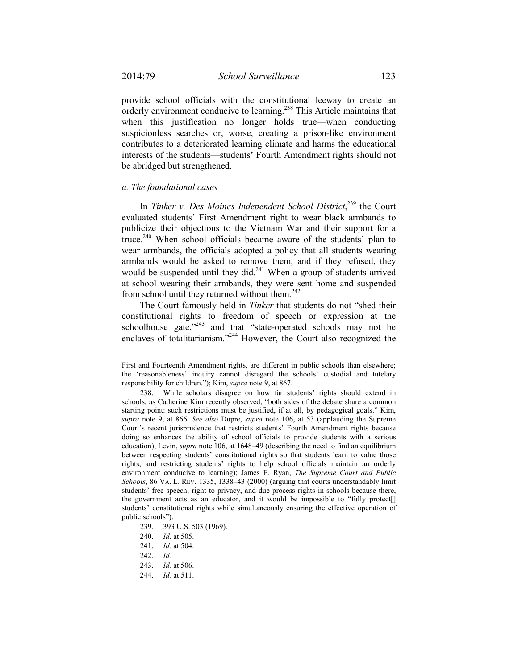provide school officials with the constitutional leeway to create an orderly environment conducive to learning.<sup>238</sup> This Article maintains that when this justification no longer holds true—when conducting suspicionless searches or, worse, creating a prison-like environment contributes to a deteriorated learning climate and harms the educational interests of the students—students' Fourth Amendment rights should not be abridged but strengthened.

### *a. The foundational cases*

In *Tinker v. Des Moines Independent School District*, 239 the Court evaluated students' First Amendment right to wear black armbands to publicize their objections to the Vietnam War and their support for a truce.<sup>240</sup> When school officials became aware of the students' plan to wear armbands, the officials adopted a policy that all students wearing armbands would be asked to remove them, and if they refused, they would be suspended until they did.<sup>241</sup> When a group of students arrived at school wearing their armbands, they were sent home and suspended from school until they returned without them. $242$ 

The Court famously held in *Tinker* that students do not "shed their constitutional rights to freedom of speech or expression at the schoolhouse gate,<sup>"243</sup> and that "state-operated schools may not be enclaves of totalitarianism."<sup>244</sup> However, the Court also recognized the

First and Fourteenth Amendment rights, are different in public schools than elsewhere; the 'reasonableness' inquiry cannot disregard the schools' custodial and tutelary responsibility for children."); Kim, *supra* note 9, at 867.

 <sup>238.</sup> While scholars disagree on how far students' rights should extend in schools, as Catherine Kim recently observed, "both sides of the debate share a common starting point: such restrictions must be justified, if at all, by pedagogical goals." Kim, *supra* note 9, at 866. *See also* Dupre, *supra* note 106, at 53 (applauding the Supreme Court's recent jurisprudence that restricts students' Fourth Amendment rights because doing so enhances the ability of school officials to provide students with a serious education); Levin, *supra* note 106, at 1648–49 (describing the need to find an equilibrium between respecting students' constitutional rights so that students learn to value those rights, and restricting students' rights to help school officials maintain an orderly environment conducive to learning); James E. Ryan, *The Supreme Court and Public Schools*, 86 VA. L. REV. 1335, 1338–43 (2000) (arguing that courts understandably limit students' free speech, right to privacy, and due process rights in schools because there, the government acts as an educator, and it would be impossible to "fully protect[] students' constitutional rights while simultaneously ensuring the effective operation of public schools").

 <sup>239. 393</sup> U.S. 503 (1969).

 <sup>240.</sup> *Id.* at 505.

 <sup>241.</sup> *Id.* at 504.

 <sup>242.</sup> *Id.*

 <sup>243.</sup> *Id.* at 506.

 <sup>244.</sup> *Id.* at 511.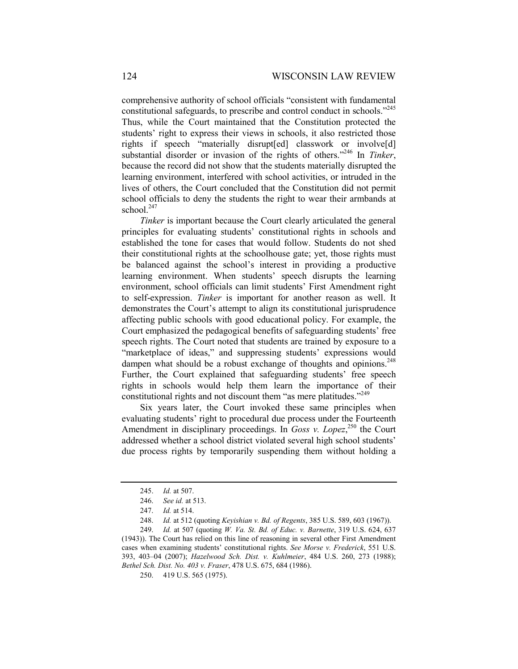comprehensive authority of school officials "consistent with fundamental constitutional safeguards, to prescribe and control conduct in schools."<sup>245</sup> Thus, while the Court maintained that the Constitution protected the students' right to express their views in schools, it also restricted those rights if speech "materially disrupt[ed] classwork or involve[d] substantial disorder or invasion of the rights of others."246 In *Tinker*, because the record did not show that the students materially disrupted the learning environment, interfered with school activities, or intruded in the lives of others, the Court concluded that the Constitution did not permit school officials to deny the students the right to wear their armbands at school.<sup>247</sup>

*Tinker* is important because the Court clearly articulated the general principles for evaluating students' constitutional rights in schools and established the tone for cases that would follow. Students do not shed their constitutional rights at the schoolhouse gate; yet, those rights must be balanced against the school's interest in providing a productive learning environment. When students' speech disrupts the learning environment, school officials can limit students' First Amendment right to self-expression. *Tinker* is important for another reason as well. It demonstrates the Court's attempt to align its constitutional jurisprudence affecting public schools with good educational policy. For example, the Court emphasized the pedagogical benefits of safeguarding students' free speech rights. The Court noted that students are trained by exposure to a "marketplace of ideas," and suppressing students' expressions would dampen what should be a robust exchange of thoughts and opinions.<sup>248</sup> Further, the Court explained that safeguarding students' free speech rights in schools would help them learn the importance of their constitutional rights and not discount them "as mere platitudes."<sup>249</sup>

Six years later, the Court invoked these same principles when evaluating students' right to procedural due process under the Fourteenth Amendment in disciplinary proceedings. In *Goss v. Lopez*,<sup>250</sup> the Court addressed whether a school district violated several high school students' due process rights by temporarily suspending them without holding a

 <sup>245.</sup> *Id.* at 507.

 <sup>246.</sup> *See id.* at 513.

 <sup>247.</sup> *Id.* at 514.

 <sup>248.</sup> *Id.* at 512 (quoting *Keyishian v. Bd. of Regents*, 385 U.S. 589, 603 (1967)).

 <sup>249.</sup> *Id.* at 507 (quoting *W. Va. St. Bd. of Educ. v. Barnette*, 319 U.S. 624, 637 (1943)). The Court has relied on this line of reasoning in several other First Amendment cases when examining students' constitutional rights. *See Morse v. Frederick*, 551 U.S. 393, 403–04 (2007); *Hazelwood Sch. Dist. v. Kuhlmeier*, 484 U.S. 260, 273 (1988); *Bethel Sch. Dist. No. 403 v. Fraser*, 478 U.S. 675, 684 (1986).

 <sup>250. 419</sup> U.S. 565 (1975).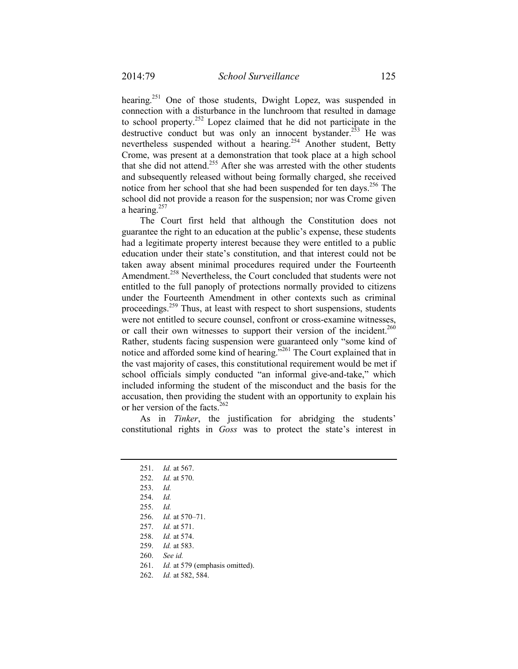hearing.<sup>251</sup> One of those students, Dwight Lopez, was suspended in connection with a disturbance in the lunchroom that resulted in damage to school property.252 Lopez claimed that he did not participate in the destructive conduct but was only an innocent bystander.<sup>253</sup> He was nevertheless suspended without a hearing.<sup>254</sup> Another student, Betty Crome, was present at a demonstration that took place at a high school that she did not attend.<sup>255</sup> After she was arrested with the other students and subsequently released without being formally charged, she received notice from her school that she had been suspended for ten days.<sup>256</sup> The school did not provide a reason for the suspension; nor was Crome given a hearing. $257$ 

The Court first held that although the Constitution does not guarantee the right to an education at the public's expense, these students had a legitimate property interest because they were entitled to a public education under their state's constitution, and that interest could not be taken away absent minimal procedures required under the Fourteenth Amendment.<sup>258</sup> Nevertheless, the Court concluded that students were not entitled to the full panoply of protections normally provided to citizens under the Fourteenth Amendment in other contexts such as criminal proceedings.259 Thus, at least with respect to short suspensions, students were not entitled to secure counsel, confront or cross-examine witnesses, or call their own witnesses to support their version of the incident.<sup>260</sup> Rather, students facing suspension were guaranteed only "some kind of notice and afforded some kind of hearing."261 The Court explained that in the vast majority of cases, this constitutional requirement would be met if school officials simply conducted "an informal give-and-take," which included informing the student of the misconduct and the basis for the accusation, then providing the student with an opportunity to explain his or her version of the facts.<sup>262</sup>

As in *Tinker*, the justification for abridging the students' constitutional rights in *Goss* was to protect the state's interest in

- 260. *See id.*
- 261. *Id.* at 579 (emphasis omitted).

 <sup>251.</sup> *Id.* at 567.

 <sup>252.</sup> *Id.* at 570.

 <sup>253.</sup> *Id.* 

 <sup>254.</sup> *Id.* 

 <sup>255.</sup> *Id.* 

 <sup>256.</sup> *Id.* at 570–71.

 <sup>257.</sup> *Id.* at 571.

 <sup>258.</sup> *Id.* at 574.

 <sup>259.</sup> *Id.* at 583.

 <sup>262.</sup> *Id.* at 582, 584.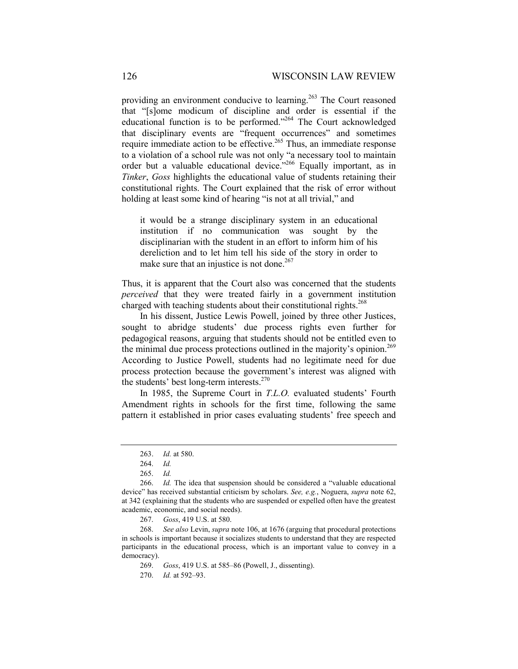providing an environment conducive to learning.<sup>263</sup> The Court reasoned that "[s]ome modicum of discipline and order is essential if the educational function is to be performed."264 The Court acknowledged that disciplinary events are "frequent occurrences" and sometimes require immediate action to be effective.<sup>265</sup> Thus, an immediate response to a violation of a school rule was not only "a necessary tool to maintain order but a valuable educational device."<sup>266</sup> Equally important, as in *Tinker*, *Goss* highlights the educational value of students retaining their constitutional rights. The Court explained that the risk of error without holding at least some kind of hearing "is not at all trivial," and

it would be a strange disciplinary system in an educational institution if no communication was sought by the disciplinarian with the student in an effort to inform him of his dereliction and to let him tell his side of the story in order to make sure that an injustice is not done.<sup>267</sup>

Thus, it is apparent that the Court also was concerned that the students *perceived* that they were treated fairly in a government institution charged with teaching students about their constitutional rights.<sup>268</sup>

In his dissent, Justice Lewis Powell, joined by three other Justices, sought to abridge students' due process rights even further for pedagogical reasons, arguing that students should not be entitled even to the minimal due process protections outlined in the majority's opinion.<sup>269</sup> According to Justice Powell, students had no legitimate need for due process protection because the government's interest was aligned with the students' best long-term interests.<sup>270</sup>

In 1985, the Supreme Court in *T.L.O.* evaluated students' Fourth Amendment rights in schools for the first time, following the same pattern it established in prior cases evaluating students' free speech and

 268. *See also* Levin, *supra* note 106, at 1676 (arguing that procedural protections in schools is important because it socializes students to understand that they are respected participants in the educational process, which is an important value to convey in a democracy).

269. *Goss*, 419 U.S. at 585–86 (Powell, J., dissenting).

270. *Id.* at 592–93.

 <sup>263.</sup> *Id.* at 580.

 <sup>264.</sup> *Id.*

 <sup>265.</sup> *Id.* 

 <sup>266.</sup> *Id.* The idea that suspension should be considered a "valuable educational device" has received substantial criticism by scholars. *See, e.g.*, Noguera, *supra* note 62, at 342 (explaining that the students who are suspended or expelled often have the greatest academic, economic, and social needs).

 <sup>267.</sup> *Goss*, 419 U.S. at 580.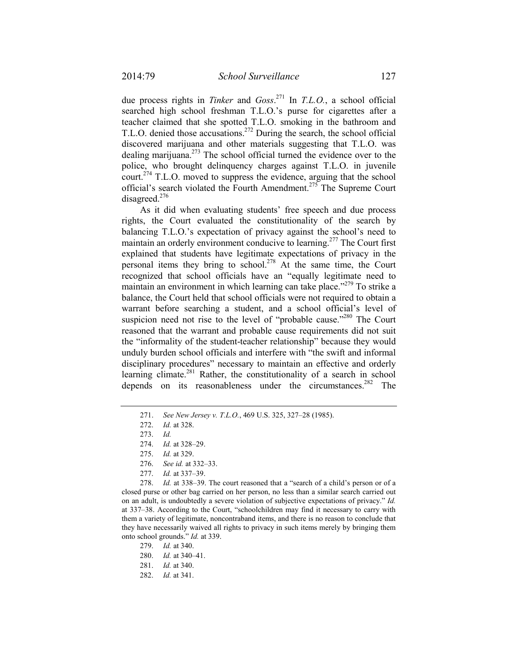due process rights in *Tinker* and *Goss*. 271 In *T.L.O.*, a school official searched high school freshman T.L.O.'s purse for cigarettes after a teacher claimed that she spotted T.L.O. smoking in the bathroom and T.L.O. denied those accusations.<sup>272</sup> During the search, the school official discovered marijuana and other materials suggesting that T.L.O. was dealing marijuana.<sup> $273$ </sup> The school official turned the evidence over to the police, who brought delinquency charges against T.L.O. in juvenile court.<sup>274</sup> T.L.O. moved to suppress the evidence, arguing that the school official's search violated the Fourth Amendment.275 The Supreme Court disagreed.<sup>276</sup>

As it did when evaluating students' free speech and due process rights, the Court evaluated the constitutionality of the search by balancing T.L.O.'s expectation of privacy against the school's need to maintain an orderly environment conducive to learning.<sup>277</sup> The Court first explained that students have legitimate expectations of privacy in the personal items they bring to school.<sup>278</sup> At the same time, the Court recognized that school officials have an "equally legitimate need to maintain an environment in which learning can take place."<sup>279</sup> To strike a balance, the Court held that school officials were not required to obtain a warrant before searching a student, and a school official's level of suspicion need not rise to the level of "probable cause."<sup>280</sup> The Court reasoned that the warrant and probable cause requirements did not suit the "informality of the student-teacher relationship" because they would unduly burden school officials and interfere with "the swift and informal disciplinary procedures" necessary to maintain an effective and orderly learning climate.<sup>281</sup> Rather, the constitutionality of a search in school depends on its reasonableness under the circumstances.<sup>282</sup> The

 278. *Id.* at 338–39. The court reasoned that a "search of a child's person or of a closed purse or other bag carried on her person, no less than a similar search carried out on an adult, is undoubtedly a severe violation of subjective expectations of privacy." *Id.* at 337–38. According to the Court, "schoolchildren may find it necessary to carry with them a variety of legitimate, noncontraband items, and there is no reason to conclude that they have necessarily waived all rights to privacy in such items merely by bringing them onto school grounds." *Id.* at 339.

- 279. *Id.* at 340.
- 280. *Id.* at 340–41.

282. *Id.* at 341.

 <sup>271.</sup> *See New Jersey v. T.L.O.*, 469 U.S. 325, 327–28 (1985).

 <sup>272.</sup> *Id.* at 328.

 <sup>273.</sup> *Id.*

 <sup>274.</sup> *Id.* at 328–29.

 <sup>275.</sup> *Id.* at 329.

 <sup>276.</sup> *See id.* at 332–33.

 <sup>277.</sup> *Id.* at 337–39.

 <sup>281.</sup> *Id.* at 340.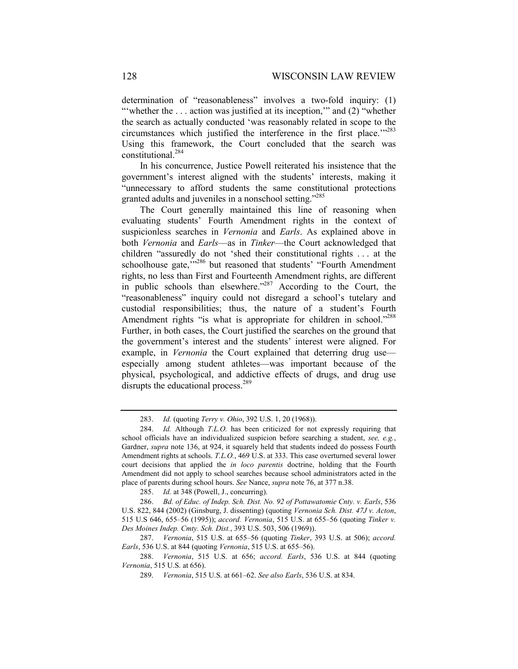determination of "reasonableness" involves a two-fold inquiry: (1) "'whether the ... action was justified at its inception," and (2) "whether the search as actually conducted 'was reasonably related in scope to the circumstances which justified the interference in the first place.'"<sup>283</sup> Using this framework, the Court concluded that the search was constitutional.284

In his concurrence, Justice Powell reiterated his insistence that the government's interest aligned with the students' interests, making it "unnecessary to afford students the same constitutional protections granted adults and juveniles in a nonschool setting."<sup>285</sup>

The Court generally maintained this line of reasoning when evaluating students' Fourth Amendment rights in the context of suspicionless searches in *Vernonia* and *Earls*. As explained above in both *Vernonia* and *Earls*—as in *Tinker*—the Court acknowledged that children "assuredly do not 'shed their constitutional rights . . . at the schoolhouse gate,"<sup>286</sup> but reasoned that students' "Fourth Amendment" rights, no less than First and Fourteenth Amendment rights, are different in public schools than elsewhere."<sup>287</sup> According to the Court, the "reasonableness" inquiry could not disregard a school's tutelary and custodial responsibilities; thus, the nature of a student's Fourth Amendment rights "is what is appropriate for children in school."<sup>288</sup> Further, in both cases, the Court justified the searches on the ground that the government's interest and the students' interest were aligned. For example, in *Vernonia* the Court explained that deterring drug use especially among student athletes—was important because of the physical, psychological, and addictive effects of drugs, and drug use disrupts the educational process.<sup>289</sup>

 <sup>283.</sup> *Id.* (quoting *Terry v. Ohio*, 392 U.S. 1, 20 (1968)).

 <sup>284.</sup> *Id.* Although *T.L.O.* has been criticized for not expressly requiring that school officials have an individualized suspicion before searching a student, *see, e.g.*, Gardner, *supra* note 136, at 924, it squarely held that students indeed do possess Fourth Amendment rights at schools. *T.L.O.*, 469 U.S. at 333. This case overturned several lower court decisions that applied the *in loco parentis* doctrine, holding that the Fourth Amendment did not apply to school searches because school administrators acted in the place of parents during school hours. *See* Nance, *supra* note 76, at 377 n.38.

 <sup>285.</sup> *Id.* at 348 (Powell, J., concurring).

 <sup>286.</sup> *Bd. of Educ. of Indep. Sch. Dist. No. 92 of Pottawatomie Cnty. v. Earls*, 536 U.S. 822, 844 (2002) (Ginsburg, J. dissenting) (quoting *Vernonia Sch. Dist. 47J v. Acton*, 515 U.S 646, 655–56 (1995)); *accord. Vernonia*, 515 U.S. at 655–56 (quoting *Tinker v. Des Moines Indep. Cmty. Sch. Dist.*, 393 U.S. 503, 506 (1969)).

 <sup>287.</sup> *Vernonia*, 515 U.S. at 655–56 (quoting *Tinker*, 393 U.S. at 506); *accord. Earls*, 536 U.S. at 844 (quoting *Vernonia*, 515 U.S. at 655–56).

 <sup>288.</sup> *Vernonia*, 515 U.S. at 656; *accord. Earls*, 536 U.S. at 844 (quoting *Vernonia*, 515 U.S. at 656).

 <sup>289.</sup> *Vernonia*, 515 U.S. at 661–62. *See also Earls*, 536 U.S. at 834.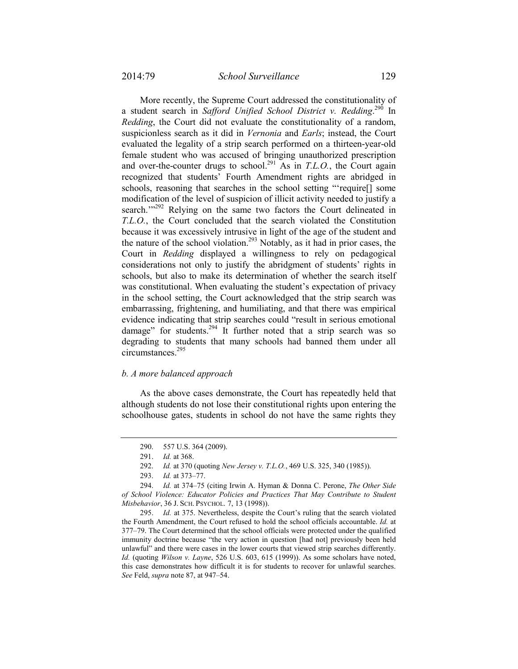More recently, the Supreme Court addressed the constitutionality of a student search in *Safford Unified School District v. Redding*.<sup>290</sup> In *Redding*, the Court did not evaluate the constitutionality of a random, suspicionless search as it did in *Vernonia* and *Earls*; instead, the Court evaluated the legality of a strip search performed on a thirteen-year-old female student who was accused of bringing unauthorized prescription and over-the-counter drugs to school.<sup>291</sup> As in *T.L.O.*, the Court again recognized that students' Fourth Amendment rights are abridged in schools, reasoning that searches in the school setting "'require[] some modification of the level of suspicion of illicit activity needed to justify a search."<sup>292</sup> Relying on the same two factors the Court delineated in *T.L.O.*, the Court concluded that the search violated the Constitution because it was excessively intrusive in light of the age of the student and the nature of the school violation.<sup>293</sup> Notably, as it had in prior cases, the Court in *Redding* displayed a willingness to rely on pedagogical considerations not only to justify the abridgment of students' rights in schools, but also to make its determination of whether the search itself was constitutional. When evaluating the student's expectation of privacy in the school setting, the Court acknowledged that the strip search was embarrassing, frightening, and humiliating, and that there was empirical evidence indicating that strip searches could "result in serious emotional damage" for students.<sup>294</sup> It further noted that a strip search was so degrading to students that many schools had banned them under all circumstances.295

# *b. A more balanced approach*

As the above cases demonstrate, the Court has repeatedly held that although students do not lose their constitutional rights upon entering the schoolhouse gates, students in school do not have the same rights they

 <sup>290. 557</sup> U.S. 364 (2009).

 <sup>291.</sup> *Id.* at 368.

 <sup>292.</sup> *Id.* at 370 (quoting *New Jersey v. T.L.O.*, 469 U.S. 325, 340 (1985)).

 <sup>293.</sup> *Id.* at 373–77.

 <sup>294.</sup> *Id.* at 374–75 (citing Irwin A. Hyman & Donna C. Perone, *The Other Side of School Violence: Educator Policies and Practices That May Contribute to Student Misbehavior*, 36 J. SCH. PSYCHOL. 7, 13 (1998)).

 <sup>295.</sup> *Id.* at 375. Nevertheless, despite the Court's ruling that the search violated the Fourth Amendment, the Court refused to hold the school officials accountable. *Id.* at 377–79. The Court determined that the school officials were protected under the qualified immunity doctrine because "the very action in question [had not] previously been held unlawful" and there were cases in the lower courts that viewed strip searches differently. *Id.* (quoting *Wilson v. Layne*, 526 U.S. 603, 615 (1999)). As some scholars have noted, this case demonstrates how difficult it is for students to recover for unlawful searches. *See* Feld, *supra* note 87, at 947–54.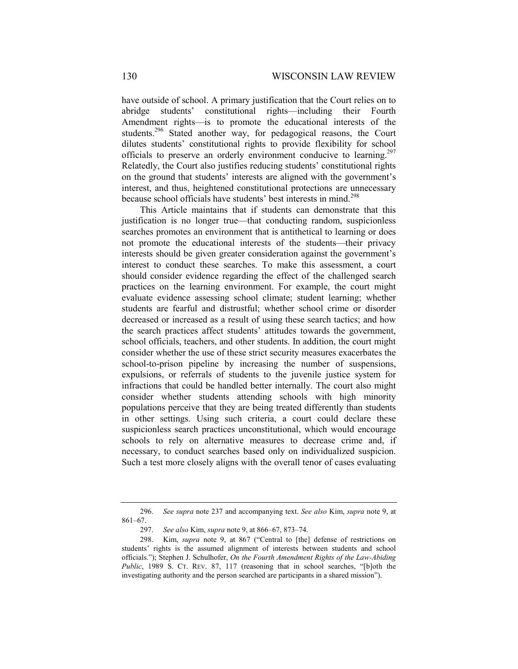have outside of school. A primary justification that the Court relies on to abridge students' constitutional rights—including their Fourth Amendment rights—is to promote the educational interests of the students.<sup>296</sup> Stated another way, for pedagogical reasons, the Court dilutes students' constitutional rights to provide flexibility for school officials to preserve an orderly environment conducive to learning.<sup>297</sup> Relatedly, the Court also justifies reducing students' constitutional rights on the ground that students' interests are aligned with the government's interest, and thus, heightened constitutional protections are unnecessary because school officials have students' best interests in mind.<sup>298</sup>

This Article maintains that if students can demonstrate that this justification is no longer true—that conducting random, suspicionless searches promotes an environment that is antithetical to learning or does not promote the educational interests of the students—their privacy interests should be given greater consideration against the government's interest to conduct these searches. To make this assessment, a court should consider evidence regarding the effect of the challenged search practices on the learning environment. For example, the court might evaluate evidence assessing school climate; student learning; whether students are fearful and distrustful; whether school crime or disorder decreased or increased as a result of using these search tactics; and how the search practices affect students' attitudes towards the government, school officials, teachers, and other students. In addition, the court might consider whether the use of these strict security measures exacerbates the school-to-prison pipeline by increasing the number of suspensions, expulsions, or referrals of students to the juvenile justice system for infractions that could be handled better internally. The court also might consider whether students attending schools with high minority populations perceive that they are being treated differently than students in other settings. Using such criteria, a court could declare these suspicionless search practices unconstitutional, which would encourage schools to rely on alternative measures to decrease crime and, if necessary, to conduct searches based only on individualized suspicion. Such a test more closely aligns with the overall tenor of cases evaluating

 <sup>296.</sup> *See supra* note 237 and accompanying text. *See also* Kim, *supra* note 9, at 861–67.

 <sup>297.</sup> *See also* Kim, *supra* note 9, at 866–67, 873–74.

 <sup>298.</sup> Kim, *supra* note 9, at 867 ("Central to [the] defense of restrictions on students' rights is the assumed alignment of interests between students and school officials."); Stephen J. Schulhofer, *On the Fourth Amendment Rights of the Law-Abiding Public*, 1989 S. CT. REV. 87, 117 (reasoning that in school searches, "[b]oth the investigating authority and the person searched are participants in a shared mission").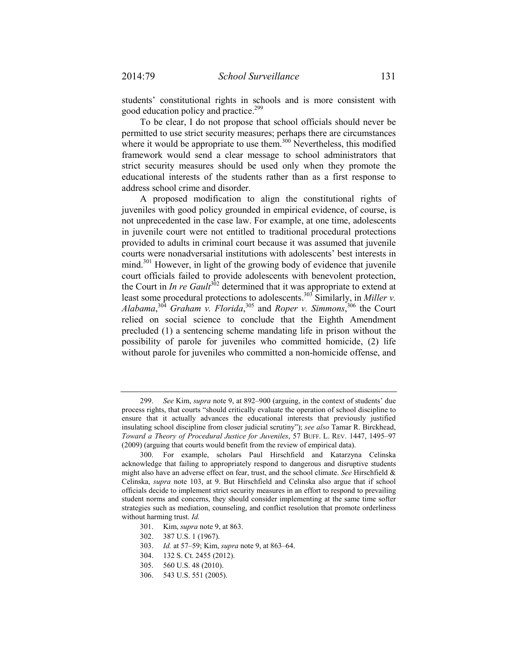students' constitutional rights in schools and is more consistent with good education policy and practice.<sup>299</sup>

To be clear, I do not propose that school officials should never be permitted to use strict security measures; perhaps there are circumstances where it would be appropriate to use them.<sup>300</sup> Nevertheless, this modified framework would send a clear message to school administrators that strict security measures should be used only when they promote the educational interests of the students rather than as a first response to address school crime and disorder.

A proposed modification to align the constitutional rights of juveniles with good policy grounded in empirical evidence, of course, is not unprecedented in the case law. For example, at one time, adolescents in juvenile court were not entitled to traditional procedural protections provided to adults in criminal court because it was assumed that juvenile courts were nonadversarial institutions with adolescents' best interests in mind.<sup>301</sup> However, in light of the growing body of evidence that juvenile court officials failed to provide adolescents with benevolent protection, the Court in *In re Gault*<sup>302</sup> determined that it was appropriate to extend at least some procedural protections to adolescents.<sup>303</sup> Similarly, in *Miller v*. *Alabama*, <sup>304</sup> *Graham v. Florida*, 305 and *Roper v. Simmons*, 306 the Court relied on social science to conclude that the Eighth Amendment precluded (1) a sentencing scheme mandating life in prison without the possibility of parole for juveniles who committed homicide, (2) life without parole for juveniles who committed a non-homicide offense, and

 <sup>299.</sup> *See* Kim, *supra* note 9, at 892–900 (arguing, in the context of students' due process rights, that courts "should critically evaluate the operation of school discipline to ensure that it actually advances the educational interests that previously justified insulating school discipline from closer judicial scrutiny"); *see also* Tamar R. Birckhead, *Toward a Theory of Procedural Justice for Juveniles*, 57 BUFF. L. REV. 1447, 1495–97 (2009) (arguing that courts would benefit from the review of empirical data).

 <sup>300.</sup> For example, scholars Paul Hirschfield and Katarzyna Celinska acknowledge that failing to appropriately respond to dangerous and disruptive students might also have an adverse effect on fear, trust, and the school climate. *See* Hirschfield & Celinska, *supra* note 103, at 9. But Hirschfield and Celinska also argue that if school officials decide to implement strict security measures in an effort to respond to prevailing student norms and concerns, they should consider implementing at the same time softer strategies such as mediation, counseling, and conflict resolution that promote orderliness without harming trust. *Id.*

 <sup>301.</sup> Kim, *supra* note 9, at 863.

 <sup>302. 387</sup> U.S. 1 (1967).

 <sup>303.</sup> *Id.* at 57–59; Kim, *supra* note 9, at 863–64.

 <sup>304. 132</sup> S. Ct. 2455 (2012).

 <sup>305. 560</sup> U.S. 48 (2010).

 <sup>306. 543</sup> U.S. 551 (2005).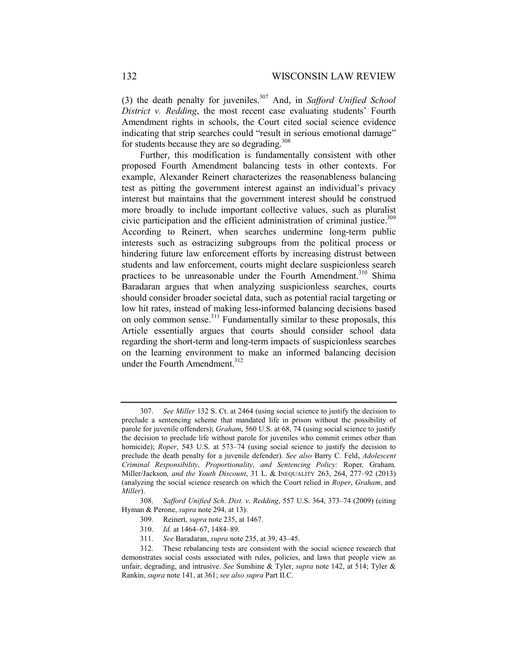(3) the death penalty for juveniles.<sup>307</sup> And, in *Safford Unified School District v. Redding*, the most recent case evaluating students' Fourth Amendment rights in schools, the Court cited social science evidence indicating that strip searches could "result in serious emotional damage" for students because they are so degrading.<sup>308</sup>

Further, this modification is fundamentally consistent with other proposed Fourth Amendment balancing tests in other contexts. For example, Alexander Reinert characterizes the reasonableness balancing test as pitting the government interest against an individual's privacy interest but maintains that the government interest should be construed more broadly to include important collective values, such as pluralist civic participation and the efficient administration of criminal justice.<sup>309</sup> According to Reinert, when searches undermine long-term public interests such as ostracizing subgroups from the political process or hindering future law enforcement efforts by increasing distrust between students and law enforcement, courts might declare suspicionless search practices to be unreasonable under the Fourth Amendment.<sup>310</sup> Shima Baradaran argues that when analyzing suspicionless searches, courts should consider broader societal data, such as potential racial targeting or low hit rates, instead of making less-informed balancing decisions based on only common sense.<sup>311</sup> Fundamentally similar to these proposals, this Article essentially argues that courts should consider school data regarding the short-term and long-term impacts of suspicionless searches on the learning environment to make an informed balancing decision under the Fourth Amendment.<sup>312</sup>

- 309. Reinert, *supra* note 235, at 1467.
- 310. *Id.* at 1464–67, 1484–89.
- 311. *See* Baradaran, *supra* note 235, at 39, 43–45.

 <sup>307.</sup> *See Miller* 132 S. Ct. at 2464 (using social science to justify the decision to preclude a sentencing scheme that mandated life in prison without the possibility of parole for juvenile offenders); *Graham*, 560 U.S. at 68, 74 (using social science to justify the decision to preclude life without parole for juveniles who commit crimes other than homicide); *Roper*, 543 U.S. at 573–74 (using social science to justify the decision to preclude the death penalty for a juvenile defender). *See also* Barry C. Feld, *Adolescent Criminal Responsibility, Proportionality, and Sentencing Policy:* Roper*,* Graham*,*  Miller/Jackson*, and the Youth Discount*, 31 L. & INEQUALITY 263, 264, 277–92 (2013) (analyzing the social science research on which the Court relied in *Roper*, *Graham*, and *Miller*).

 <sup>308.</sup> *Safford Unified Sch. Dist. v. Redding*, 557 U.S. 364, 373–74 (2009) (citing Hyman & Perone, *supra* note 294, at 13).

 <sup>312.</sup> These rebalancing tests are consistent with the social science research that demonstrates social costs associated with rules, policies, and laws that people view as unfair, degrading, and intrusive. *See* Sunshine & Tyler, *supra* note 142, at 514; Tyler & Rankin, *supra* note 141, at 361; *see also supra* Part II.C.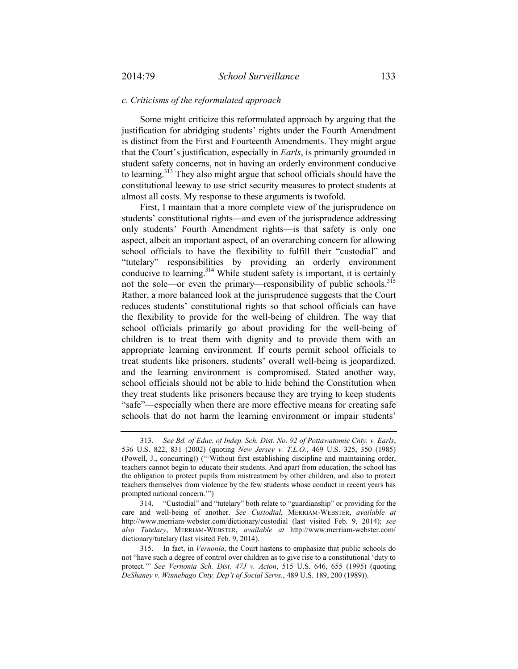### *c. Criticisms of the reformulated approach*

Some might criticize this reformulated approach by arguing that the justification for abridging students' rights under the Fourth Amendment is distinct from the First and Fourteenth Amendments. They might argue that the Court's justification, especially in *Earls*, is primarily grounded in student safety concerns, not in having an orderly environment conducive to learning.313 They also might argue that school officials should have the constitutional leeway to use strict security measures to protect students at almost all costs. My response to these arguments is twofold.

First, I maintain that a more complete view of the jurisprudence on students' constitutional rights—and even of the jurisprudence addressing only students' Fourth Amendment rights—is that safety is only one aspect, albeit an important aspect, of an overarching concern for allowing school officials to have the flexibility to fulfill their "custodial" and "tutelary" responsibilities by providing an orderly environment conducive to learning.<sup>314</sup> While student safety is important, it is certainly not the sole—or even the primary—responsibility of public schools.<sup>315</sup> Rather, a more balanced look at the jurisprudence suggests that the Court reduces students' constitutional rights so that school officials can have the flexibility to provide for the well-being of children. The way that school officials primarily go about providing for the well-being of children is to treat them with dignity and to provide them with an appropriate learning environment. If courts permit school officials to treat students like prisoners, students' overall well-being is jeopardized, and the learning environment is compromised. Stated another way, school officials should not be able to hide behind the Constitution when they treat students like prisoners because they are trying to keep students "safe"—especially when there are more effective means for creating safe schools that do not harm the learning environment or impair students'

 <sup>313.</sup> *See Bd. of Educ. of Indep. Sch. Dist. No. 92 of Pottawatomie Cnty. v. Earls*, 536 U.S. 822, 831 (2002) (quoting *New Jersey v. T.L.O.*, 469 U.S. 325, 350 (1985) (Powell, J., concurring)) ("'Without first establishing discipline and maintaining order, teachers cannot begin to educate their students. And apart from education, the school has the obligation to protect pupils from mistreatment by other children, and also to protect teachers themselves from violence by the few students whose conduct in recent years has prompted national concern.'")

 <sup>314. &</sup>quot;Custodial" and "tutelary" both relate to "guardianship" or providing for the care and well-being of another. *See Custodial*, MERRIAM-WEBSTER, *available at* http://www.merriam-webster.com/dictionary/custodial (last visited Feb. 9, 2014); *see also Tutelary*, MERRIAM-WEBSTER, *available at* http://www.merriam-webster.com/ dictionary/tutelary (last visited Feb. 9, 2014).

 <sup>315.</sup> In fact, in *Vernonia*, the Court hastens to emphasize that public schools do not "have such a degree of control over children as to give rise to a constitutional 'duty to protect.'" *See Vernonia Sch. Dist. 47J v. Acton*, 515 U.S. 646, 655 (1995) (quoting *DeShaney v. Winnebago Cnty. Dep't of Social Servs.*, 489 U.S. 189, 200 (1989)).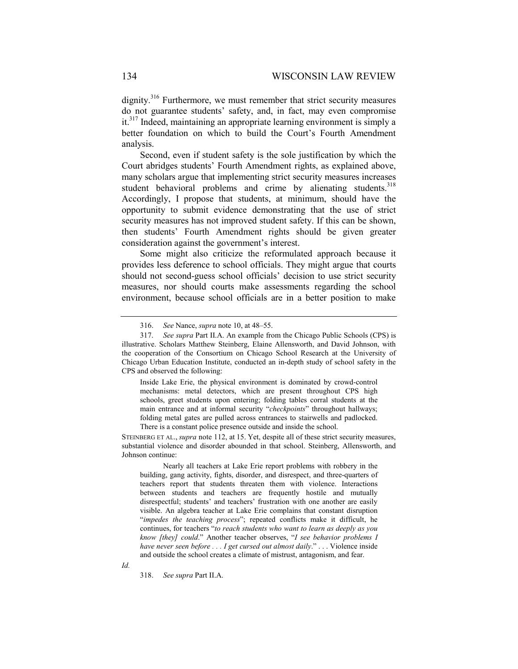dignity.<sup>316</sup> Furthermore, we must remember that strict security measures do not guarantee students' safety, and, in fact, may even compromise it.<sup>317</sup> Indeed, maintaining an appropriate learning environment is simply a better foundation on which to build the Court's Fourth Amendment analysis.

Second, even if student safety is the sole justification by which the Court abridges students' Fourth Amendment rights, as explained above, many scholars argue that implementing strict security measures increases student behavioral problems and crime by alienating students.<sup>318</sup> Accordingly, I propose that students, at minimum, should have the opportunity to submit evidence demonstrating that the use of strict security measures has not improved student safety. If this can be shown, then students' Fourth Amendment rights should be given greater consideration against the government's interest.

Some might also criticize the reformulated approach because it provides less deference to school officials. They might argue that courts should not second-guess school officials' decision to use strict security measures, nor should courts make assessments regarding the school environment, because school officials are in a better position to make

Inside Lake Erie, the physical environment is dominated by crowd-control mechanisms: metal detectors, which are present throughout CPS high schools, greet students upon entering; folding tables corral students at the main entrance and at informal security "*checkpoints*" throughout hallways; folding metal gates are pulled across entrances to stairwells and padlocked. There is a constant police presence outside and inside the school.

STEINBERG ET AL., *supra* note 112, at 15. Yet, despite all of these strict security measures, substantial violence and disorder abounded in that school. Steinberg, Allensworth, and Johnson continue:

 Nearly all teachers at Lake Erie report problems with robbery in the building, gang activity, fights, disorder, and disrespect, and three-quarters of teachers report that students threaten them with violence. Interactions between students and teachers are frequently hostile and mutually disrespectful; students' and teachers' frustration with one another are easily visible. An algebra teacher at Lake Erie complains that constant disruption "*impedes the teaching process*"; repeated conflicts make it difficult, he continues, for teachers "*to reach students who want to learn as deeply as you know [they] could*." Another teacher observes, "*I see behavior problems I have never seen before . . . I get cursed out almost daily*." . . . Violence inside and outside the school creates a climate of mistrust, antagonism, and fear.

*Id.* 

318. *See supra* Part II.A.

 <sup>316.</sup> *See* Nance, *supra* note 10, at 48–55.

 <sup>317.</sup> *See supra* Part II.A. An example from the Chicago Public Schools (CPS) is illustrative. Scholars Matthew Steinberg, Elaine Allensworth, and David Johnson, with the cooperation of the Consortium on Chicago School Research at the University of Chicago Urban Education Institute, conducted an in-depth study of school safety in the CPS and observed the following: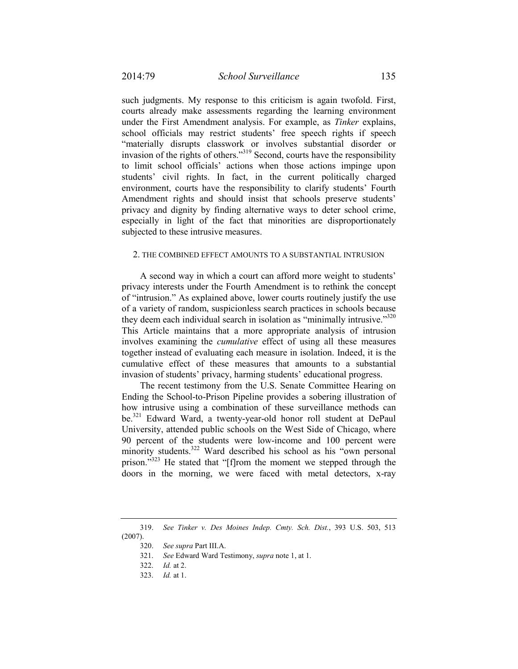such judgments. My response to this criticism is again twofold. First, courts already make assessments regarding the learning environment under the First Amendment analysis. For example, as *Tinker* explains, school officials may restrict students' free speech rights if speech "materially disrupts classwork or involves substantial disorder or invasion of the rights of others."319 Second, courts have the responsibility to limit school officials' actions when those actions impinge upon students' civil rights. In fact, in the current politically charged environment, courts have the responsibility to clarify students' Fourth Amendment rights and should insist that schools preserve students' privacy and dignity by finding alternative ways to deter school crime, especially in light of the fact that minorities are disproportionately subjected to these intrusive measures.

### 2. THE COMBINED EFFECT AMOUNTS TO A SUBSTANTIAL INTRUSION

A second way in which a court can afford more weight to students' privacy interests under the Fourth Amendment is to rethink the concept of "intrusion." As explained above, lower courts routinely justify the use of a variety of random, suspicionless search practices in schools because they deem each individual search in isolation as "minimally intrusive."<sup>320</sup> This Article maintains that a more appropriate analysis of intrusion involves examining the *cumulative* effect of using all these measures together instead of evaluating each measure in isolation. Indeed, it is the cumulative effect of these measures that amounts to a substantial invasion of students' privacy, harming students' educational progress.

The recent testimony from the U.S. Senate Committee Hearing on Ending the School-to-Prison Pipeline provides a sobering illustration of how intrusive using a combination of these surveillance methods can be.<sup>321</sup> Edward Ward, a twenty-year-old honor roll student at DePaul University, attended public schools on the West Side of Chicago, where 90 percent of the students were low-income and 100 percent were minority students.<sup>322</sup> Ward described his school as his "own personal prison."<sup>323</sup> He stated that "[f]rom the moment we stepped through the doors in the morning, we were faced with metal detectors, x-ray

321. *See* Edward Ward Testimony, *supra* note 1, at 1.

 <sup>319.</sup> *See Tinker v. Des Moines Indep. Cmty. Sch. Dist.*, 393 U.S. 503, 513 (2007).

 <sup>320.</sup> *See supra* Part III.A.

 <sup>322.</sup> *Id.* at 2.

 <sup>323.</sup> *Id.* at 1.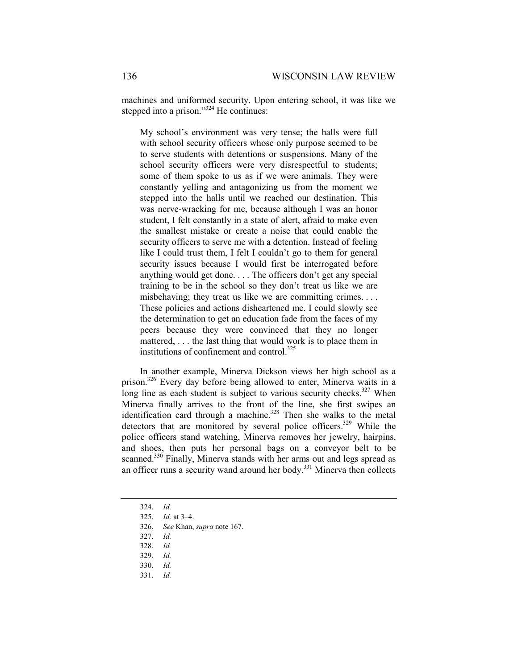machines and uniformed security. Upon entering school, it was like we stepped into a prison."<sup>324</sup> He continues:

My school's environment was very tense; the halls were full with school security officers whose only purpose seemed to be to serve students with detentions or suspensions. Many of the school security officers were very disrespectful to students; some of them spoke to us as if we were animals. They were constantly yelling and antagonizing us from the moment we stepped into the halls until we reached our destination. This was nerve-wracking for me, because although I was an honor student, I felt constantly in a state of alert, afraid to make even the smallest mistake or create a noise that could enable the security officers to serve me with a detention. Instead of feeling like I could trust them, I felt I couldn't go to them for general security issues because I would first be interrogated before anything would get done. . . . The officers don't get any special training to be in the school so they don't treat us like we are misbehaving; they treat us like we are committing crimes. . . . These policies and actions disheartened me. I could slowly see the determination to get an education fade from the faces of my peers because they were convinced that they no longer mattered, . . . the last thing that would work is to place them in institutions of confinement and control.<sup>325</sup>

In another example, Minerva Dickson views her high school as a prison.<sup>326</sup> Every day before being allowed to enter, Minerva waits in a long line as each student is subject to various security checks. $327$  When Minerva finally arrives to the front of the line, she first swipes an identification card through a machine.<sup>328</sup> Then she walks to the metal detectors that are monitored by several police officers.<sup>329</sup> While the police officers stand watching, Minerva removes her jewelry, hairpins, and shoes, then puts her personal bags on a conveyor belt to be scanned.<sup>330</sup> Finally, Minerva stands with her arms out and legs spread as an officer runs a security wand around her body.<sup>331</sup> Minerva then collects

331. *Id.*

 <sup>324.</sup> *Id.* 

 <sup>325.</sup> *Id.* at 3–4.

 <sup>326.</sup> *See* Khan, *supra* note 167.

 <sup>327.</sup> *Id.* 

 <sup>328.</sup> *Id.* 

 <sup>329.</sup> *Id.* 

 <sup>330.</sup> *Id.*